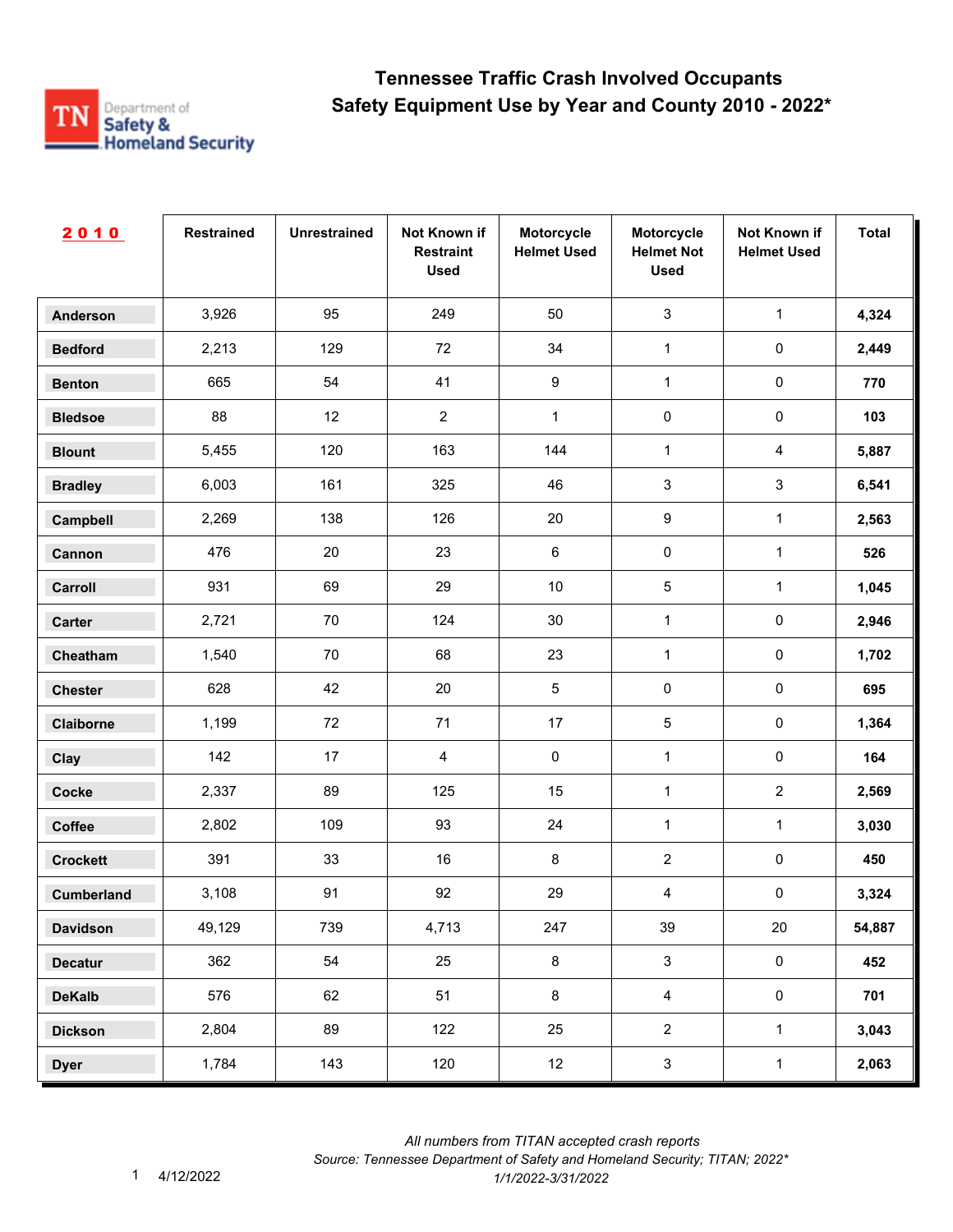

| 2010              | <b>Restrained</b> | <b>Unrestrained</b> | Not Known if<br><b>Restraint</b><br><b>Used</b> | Motorcycle<br><b>Helmet Used</b> | Motorcycle<br><b>Helmet Not</b><br><b>Used</b> | Not Known if<br><b>Helmet Used</b> | <b>Total</b> |
|-------------------|-------------------|---------------------|-------------------------------------------------|----------------------------------|------------------------------------------------|------------------------------------|--------------|
| <b>Anderson</b>   | 3,926             | 95                  | 249                                             | 50                               | $\mathfrak{S}$                                 | $\mathbf{1}$                       | 4,324        |
| <b>Bedford</b>    | 2,213             | 129                 | 72                                              | 34                               | $\mathbf{1}$                                   | 0                                  | 2,449        |
| <b>Benton</b>     | 665               | 54                  | 41                                              | 9                                | $\mathbf{1}$                                   | $\pmb{0}$                          | 770          |
| <b>Bledsoe</b>    | 88                | 12                  | $\overline{c}$                                  | 1                                | $\pmb{0}$                                      | $\pmb{0}$                          | 103          |
| <b>Blount</b>     | 5,455             | 120                 | 163                                             | 144                              | $\mathbf{1}$                                   | $\overline{4}$                     | 5,887        |
| <b>Bradley</b>    | 6,003             | 161                 | 325                                             | 46                               | $\mathsf 3$                                    | 3                                  | 6,541        |
| Campbell          | 2,269             | 138                 | 126                                             | 20                               | 9                                              | $\mathbf{1}$                       | 2,563        |
| Cannon            | 476               | 20                  | 23                                              | 6                                | $\pmb{0}$                                      | $\mathbf{1}$                       | 526          |
| Carroll           | 931               | 69                  | 29                                              | 10                               | $\sqrt{5}$                                     | $\mathbf{1}$                       | 1,045        |
| Carter            | 2,721             | 70                  | 124                                             | $30\,$                           | $\mathbf{1}$                                   | $\pmb{0}$                          | 2,946        |
| Cheatham          | 1,540             | 70                  | 68                                              | 23                               | $\mathbf{1}$                                   | 0                                  | 1,702        |
| <b>Chester</b>    | 628               | 42                  | 20                                              | 5                                | $\pmb{0}$                                      | $\pmb{0}$                          | 695          |
| Claiborne         | 1,199             | 72                  | 71                                              | 17                               | 5                                              | $\pmb{0}$                          | 1,364        |
| Clay              | 142               | 17                  | 4                                               | 0                                | $\mathbf{1}$                                   | $\pmb{0}$                          | 164          |
| Cocke             | 2,337             | 89                  | 125                                             | 15                               | $\mathbf{1}$                                   | $\overline{2}$                     | 2,569        |
| Coffee            | 2,802             | 109                 | 93                                              | 24                               | $\mathbf{1}$                                   | $\mathbf{1}$                       | 3,030        |
| <b>Crockett</b>   | 391               | 33                  | 16                                              | $\bf 8$                          | $\boldsymbol{2}$                               | $\pmb{0}$                          | 450          |
| <b>Cumberland</b> | 3,108             | 91                  | 92                                              | 29                               | 4                                              | $\pmb{0}$                          | 3,324        |
| <b>Davidson</b>   | 49,129            | 739                 | 4,713                                           | 247                              | 39                                             | $20\,$                             | 54,887       |
| <b>Decatur</b>    | 362               | 54                  | 25                                              | $\bf 8$                          | $\mathbf{3}$                                   | $\mathbf 0$                        | 452          |
| <b>DeKalb</b>     | 576               | 62                  | 51                                              | 8                                | $\overline{4}$                                 | $\pmb{0}$                          | 701          |
| <b>Dickson</b>    | 2,804             | 89                  | 122                                             | 25                               | $\overline{2}$                                 | $\mathbf{1}$                       | 3,043        |
| <b>Dyer</b>       | 1,784             | 143                 | 120                                             | 12                               | $\mathbf{3}$                                   | $\mathbf 1$                        | 2,063        |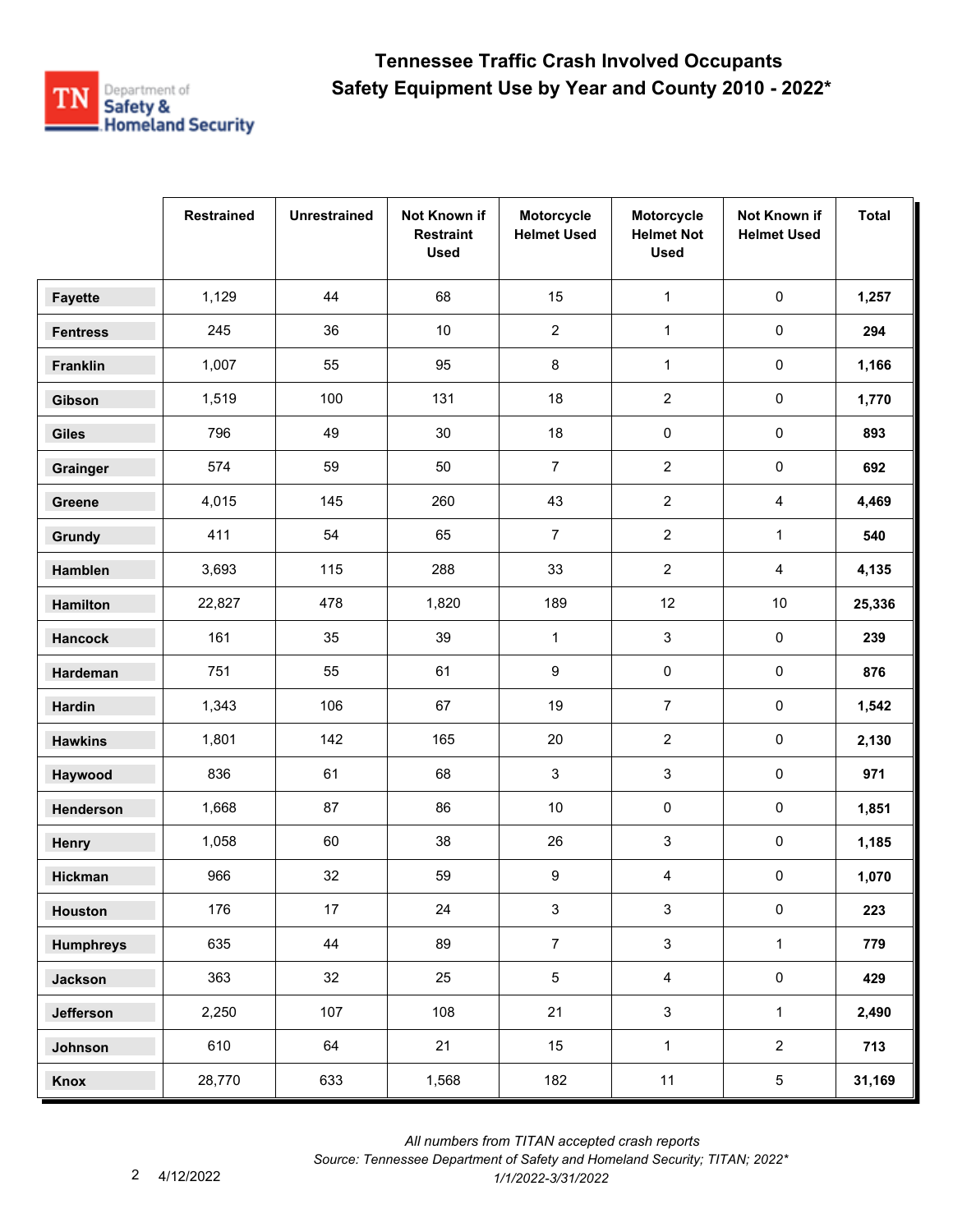

|                  | <b>Restrained</b> | <b>Unrestrained</b> | Not Known if<br><b>Restraint</b><br><b>Used</b> | Motorcycle<br><b>Helmet Used</b> | Motorcycle<br><b>Helmet Not</b><br><b>Used</b> | Not Known if<br><b>Helmet Used</b> | <b>Total</b> |
|------------------|-------------------|---------------------|-------------------------------------------------|----------------------------------|------------------------------------------------|------------------------------------|--------------|
| <b>Fayette</b>   | 1,129             | 44                  | 68                                              | 15                               | $\mathbf{1}$                                   | $\pmb{0}$                          | 1,257        |
| <b>Fentress</b>  | 245               | 36                  | $10\,$                                          | $\overline{2}$                   | $\mathbf{1}$                                   | $\pmb{0}$                          | 294          |
| Franklin         | 1,007             | 55                  | 95                                              | 8                                | $\mathbf{1}$                                   | 0                                  | 1,166        |
| Gibson           | 1,519             | 100                 | 131                                             | 18                               | $\overline{c}$                                 | 0                                  | 1,770        |
| <b>Giles</b>     | 796               | 49                  | $30\,$                                          | 18                               | $\pmb{0}$                                      | 0                                  | 893          |
| Grainger         | 574               | 59                  | 50                                              | $\overline{7}$                   | $\overline{2}$                                 | $\pmb{0}$                          | 692          |
| Greene           | 4,015             | 145                 | 260                                             | 43                               | $\boldsymbol{2}$                               | $\overline{4}$                     | 4,469        |
| Grundy           | 411               | 54                  | 65                                              | $\overline{7}$                   | $\overline{2}$                                 | $\mathbf{1}$                       | 540          |
| Hamblen          | 3,693             | 115                 | 288                                             | 33                               | $\overline{2}$                                 | 4                                  | 4,135        |
| Hamilton         | 22,827            | 478                 | 1,820                                           | 189                              | 12                                             | $10$                               | 25,336       |
| <b>Hancock</b>   | 161               | 35                  | 39                                              | $\mathbf{1}$                     | 3                                              | 0                                  | 239          |
| Hardeman         | 751               | 55                  | 61                                              | 9                                | 0                                              | 0                                  | 876          |
| <b>Hardin</b>    | 1,343             | 106                 | 67                                              | 19                               | $\boldsymbol{7}$                               | $\pmb{0}$                          | 1,542        |
| <b>Hawkins</b>   | 1,801             | 142                 | 165                                             | 20                               | $\overline{2}$                                 | 0                                  | 2,130        |
| Haywood          | 836               | 61                  | 68                                              | 3                                | 3                                              | 0                                  | 971          |
| Henderson        | 1,668             | 87                  | 86                                              | $10$                             | 0                                              | $\pmb{0}$                          | 1,851        |
| Henry            | 1,058             | 60                  | 38                                              | 26                               | 3                                              | 0                                  | 1,185        |
| <b>Hickman</b>   | 966               | 32                  | 59                                              | 9                                | 4                                              | 0                                  | 1,070        |
| Houston          | 176               | 17                  | 24                                              | $\mathbf{3}$                     | $\mathbf{3}$                                   | $\pmb{0}$                          | 223          |
| <b>Humphreys</b> | 635               | 44                  | 89                                              | $\overline{7}$                   | $\mathbf{3}$                                   | $\mathbf{1}$                       | 779          |
| <b>Jackson</b>   | 363               | 32                  | 25                                              | $5\phantom{.0}$                  | $\overline{4}$                                 | $\mathbf 0$                        | 429          |
| Jefferson        | 2,250             | 107                 | 108                                             | 21                               | $\mathbf{3}$                                   | $\mathbf{1}$                       | 2,490        |
| Johnson          | 610               | 64                  | 21                                              | 15                               | $\mathbf{1}$                                   | $\overline{a}$                     | 713          |
| Knox             | 28,770            | 633                 | 1,568                                           | 182                              | 11                                             | 5                                  | 31,169       |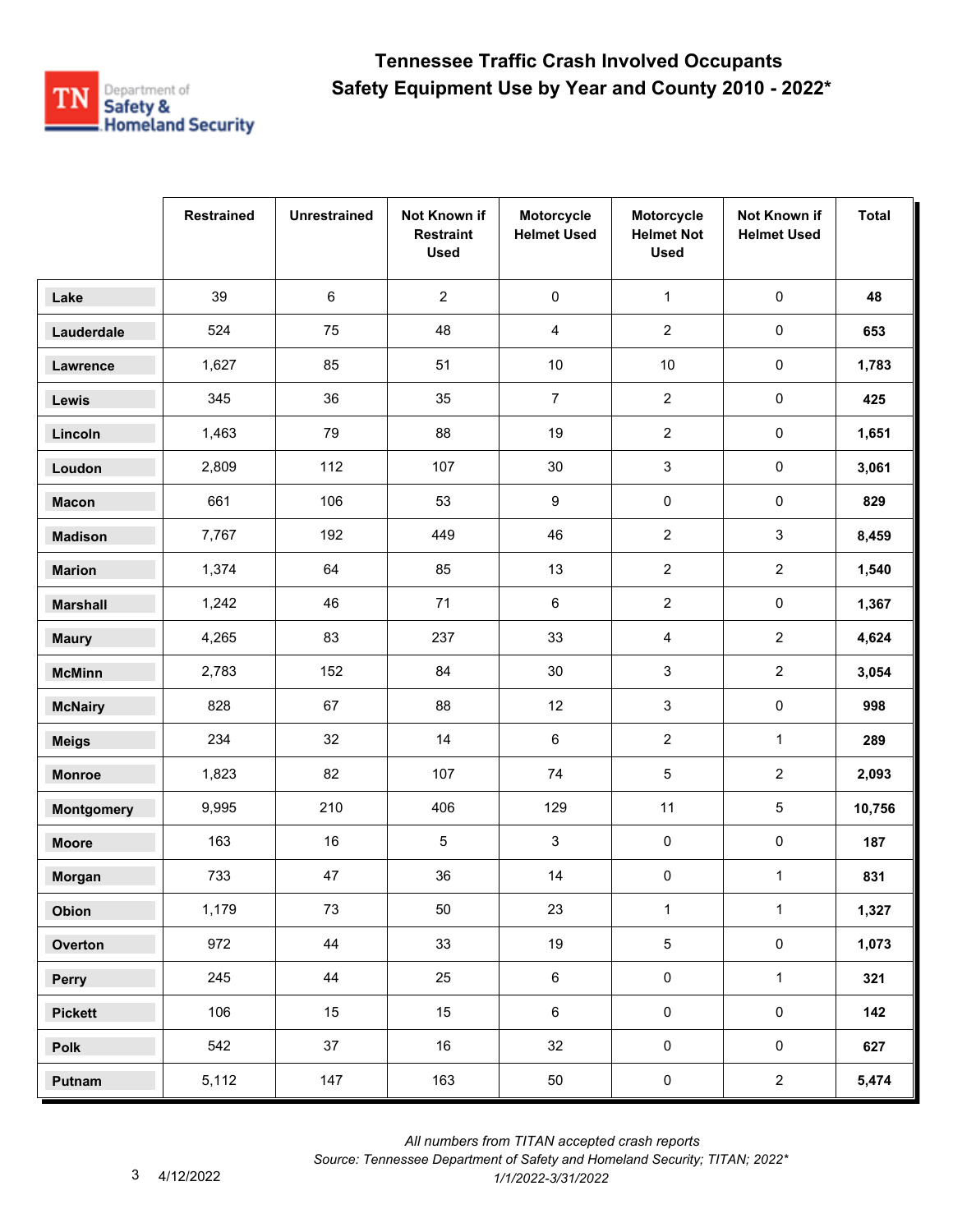

|                   | <b>Restrained</b> | <b>Unrestrained</b> | Not Known if<br><b>Restraint</b><br><b>Used</b> | Motorcycle<br><b>Helmet Used</b> | Motorcycle<br><b>Helmet Not</b><br><b>Used</b> | Not Known if<br><b>Helmet Used</b> | <b>Total</b> |
|-------------------|-------------------|---------------------|-------------------------------------------------|----------------------------------|------------------------------------------------|------------------------------------|--------------|
| Lake              | 39                | 6                   | $\overline{2}$                                  | $\pmb{0}$                        | $\mathbf{1}$                                   | $\pmb{0}$                          | 48           |
| Lauderdale        | 524               | 75                  | 48                                              | 4                                | $\overline{2}$                                 | $\pmb{0}$                          | 653          |
| Lawrence          | 1,627             | 85                  | 51                                              | $10\,$                           | $10$                                           | $\pmb{0}$                          | 1,783        |
| Lewis             | 345               | 36                  | 35                                              | $\overline{7}$                   | $\overline{2}$                                 | $\pmb{0}$                          | 425          |
| Lincoln           | 1,463             | 79                  | 88                                              | 19                               | $\overline{2}$                                 | $\pmb{0}$                          | 1,651        |
| Loudon            | 2,809             | 112                 | 107                                             | 30                               | 3                                              | $\pmb{0}$                          | 3,061        |
| <b>Macon</b>      | 661               | 106                 | 53                                              | 9                                | $\pmb{0}$                                      | $\pmb{0}$                          | 829          |
| <b>Madison</b>    | 7,767             | 192                 | 449                                             | 46                               | $\overline{2}$                                 | $\mathsf 3$                        | 8,459        |
| <b>Marion</b>     | 1,374             | 64                  | 85                                              | 13                               | $\overline{2}$                                 | $\overline{2}$                     | 1,540        |
| <b>Marshall</b>   | 1,242             | 46                  | 71                                              | 6                                | $\overline{2}$                                 | $\pmb{0}$                          | 1,367        |
| <b>Maury</b>      | 4,265             | 83                  | 237                                             | 33                               | $\overline{4}$                                 | $\overline{2}$                     | 4,624        |
| <b>McMinn</b>     | 2,783             | 152                 | 84                                              | 30                               | 3                                              | $\overline{2}$                     | 3,054        |
| <b>McNairy</b>    | 828               | 67                  | 88                                              | 12                               | $\sqrt{3}$                                     | $\pmb{0}$                          | 998          |
| <b>Meigs</b>      | 234               | 32                  | 14                                              | 6                                | $\overline{2}$                                 | $\mathbf{1}$                       | 289          |
| <b>Monroe</b>     | 1,823             | 82                  | 107                                             | $74\,$                           | 5                                              | $\overline{2}$                     | 2,093        |
| <b>Montgomery</b> | 9,995             | 210                 | 406                                             | 129                              | 11                                             | 5                                  | 10,756       |
| <b>Moore</b>      | 163               | 16                  | 5                                               | 3                                | $\pmb{0}$                                      | $\pmb{0}$                          | 187          |
| Morgan            | 733               | 47                  | 36                                              | 14                               | $\pmb{0}$                                      | $\mathbf{1}$                       | 831          |
| Obion             | 1,179             | 73                  | $50\,$                                          | 23                               | $\mathbf 1$                                    | $\mathbf{1}$                       | 1,327        |
| Overton           | 972               | 44                  | 33                                              | 19                               | 5                                              | $\pmb{0}$                          | 1,073        |
| Perry             | 245               | 44                  | 25                                              | $\,6\,$                          | $\pmb{0}$                                      | $\mathbf{1}$                       | 321          |
| <b>Pickett</b>    | 106               | 15                  | 15                                              | $\,6\,$                          | $\mathbf 0$                                    | $\mathsf{O}\xspace$                | 142          |
| <b>Polk</b>       | 542               | 37                  | 16                                              | 32                               | $\mathsf{O}\xspace$                            | $\mathbf 0$                        | 627          |
| Putnam            | 5,112             | 147                 | 163                                             | 50                               | $\pmb{0}$                                      | $\overline{2}$                     | 5,474        |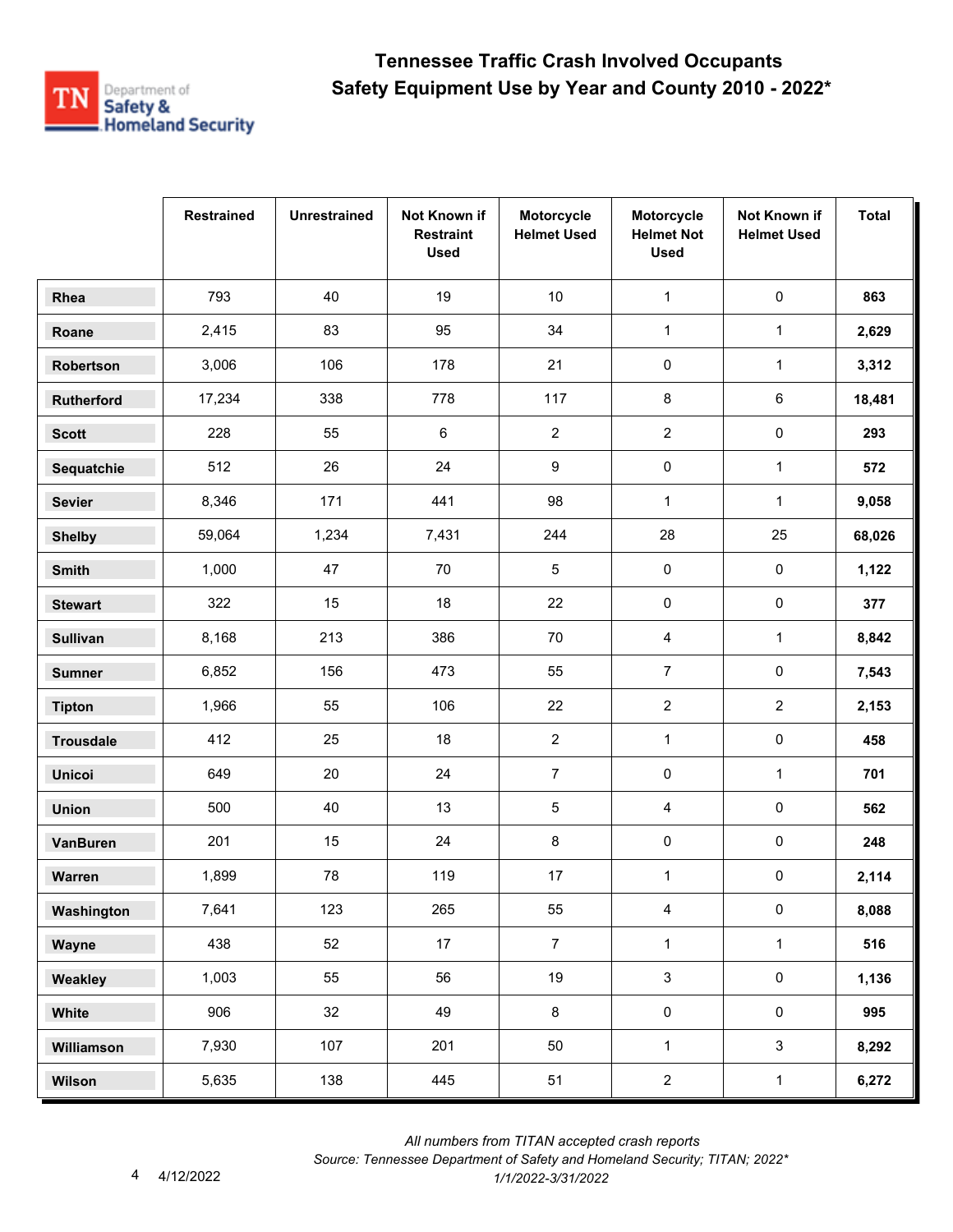

|                  | <b>Restrained</b> | <b>Unrestrained</b> | Not Known if<br><b>Restraint</b><br><b>Used</b> | Motorcycle<br><b>Helmet Used</b> | Motorcycle<br><b>Helmet Not</b><br><b>Used</b> | Not Known if<br><b>Helmet Used</b> | <b>Total</b> |
|------------------|-------------------|---------------------|-------------------------------------------------|----------------------------------|------------------------------------------------|------------------------------------|--------------|
| Rhea             | 793               | 40                  | 19                                              | 10                               | $\mathbf 1$                                    | $\pmb{0}$                          | 863          |
| Roane            | 2,415             | 83                  | 95                                              | 34                               | $\mathbf{1}$                                   | $\mathbf{1}$                       | 2,629        |
| Robertson        | 3,006             | 106                 | 178                                             | 21                               | 0                                              | $\mathbf{1}$                       | 3,312        |
| Rutherford       | 17,234            | 338                 | 778                                             | 117                              | 8                                              | 6                                  | 18,481       |
| <b>Scott</b>     | 228               | 55                  | $\,6\,$                                         | $\overline{2}$                   | $\overline{a}$                                 | 0                                  | 293          |
| Sequatchie       | 512               | 26                  | 24                                              | 9                                | 0                                              | $\mathbf{1}$                       | 572          |
| <b>Sevier</b>    | 8,346             | 171                 | 441                                             | 98                               | $\mathbf{1}$                                   | $\mathbf{1}$                       | 9,058        |
| <b>Shelby</b>    | 59,064            | 1,234               | 7,431                                           | 244                              | 28                                             | 25                                 | 68,026       |
| <b>Smith</b>     | 1,000             | 47                  | 70                                              | $\sqrt{5}$                       | 0                                              | 0                                  | 1,122        |
| <b>Stewart</b>   | 322               | 15                  | 18                                              | 22                               | 0                                              | 0                                  | 377          |
| <b>Sullivan</b>  | 8,168             | 213                 | 386                                             | 70                               | 4                                              | $\mathbf{1}$                       | 8,842        |
| <b>Sumner</b>    | 6,852             | 156                 | 473                                             | 55                               | $\overline{7}$                                 | 0                                  | 7,543        |
| <b>Tipton</b>    | 1,966             | 55                  | 106                                             | 22                               | $\overline{2}$                                 | $\overline{2}$                     | 2,153        |
| <b>Trousdale</b> | 412               | 25                  | 18                                              | $\overline{c}$                   | $\mathbf{1}$                                   | 0                                  | 458          |
| <b>Unicoi</b>    | 649               | 20                  | 24                                              | $\overline{7}$                   | 0                                              | $\mathbf{1}$                       | 701          |
| <b>Union</b>     | 500               | 40                  | 13                                              | $\sqrt{5}$                       | 4                                              | 0                                  | 562          |
| <b>VanBuren</b>  | 201               | 15                  | 24                                              | 8                                | 0                                              | 0                                  | 248          |
| Warren           | 1,899             | 78                  | 119                                             | 17                               | $\mathbf{1}$                                   | 0                                  | 2,114        |
| Washington       | 7,641             | 123                 | 265                                             | 55                               | $\overline{4}$                                 | 0                                  | 8,088        |
| Wayne            | 438               | 52                  | 17                                              | $\overline{7}$                   | $\mathbf{1}$                                   | $\mathbf{1}$                       | 516          |
| Weakley          | 1,003             | 55                  | 56                                              | 19                               | $\mathfrak{S}$                                 | $\pmb{0}$                          | 1,136        |
| White            | 906               | 32                  | 49                                              | $\bf 8$                          | $\mathbf 0$                                    | $\mathsf{O}\xspace$                | 995          |
| Williamson       | 7,930             | 107                 | 201                                             | 50                               | $\mathbf{1}$                                   | $\mathbf{3}$                       | 8,292        |
| Wilson           | 5,635             | 138                 | 445                                             | 51                               | $\overline{c}$                                 | $\mathbf{1}$                       | 6,272        |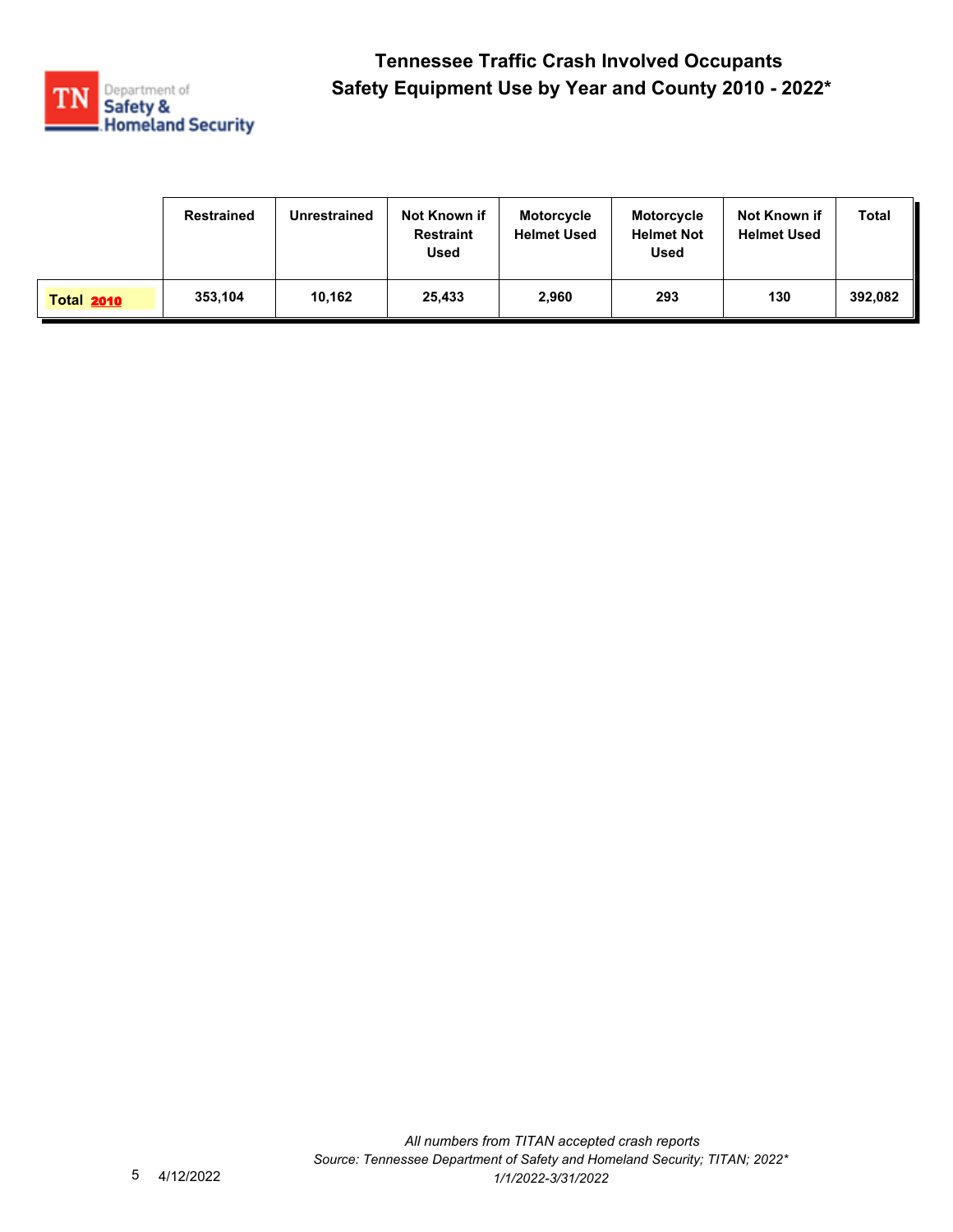

|                   | <b>Restrained</b> | <b>Unrestrained</b> | Not Known if<br><b>Restraint</b><br><b>Used</b> | <b>Motorcycle</b><br><b>Helmet Used</b> | <b>Motorcycle</b><br><b>Helmet Not</b><br><b>Used</b> | Not Known if<br><b>Helmet Used</b> | Total   |
|-------------------|-------------------|---------------------|-------------------------------------------------|-----------------------------------------|-------------------------------------------------------|------------------------------------|---------|
| <b>Total 2010</b> | 353,104           | 10.162              | 25,433                                          | 2,960                                   | 293                                                   | 130                                | 392.082 |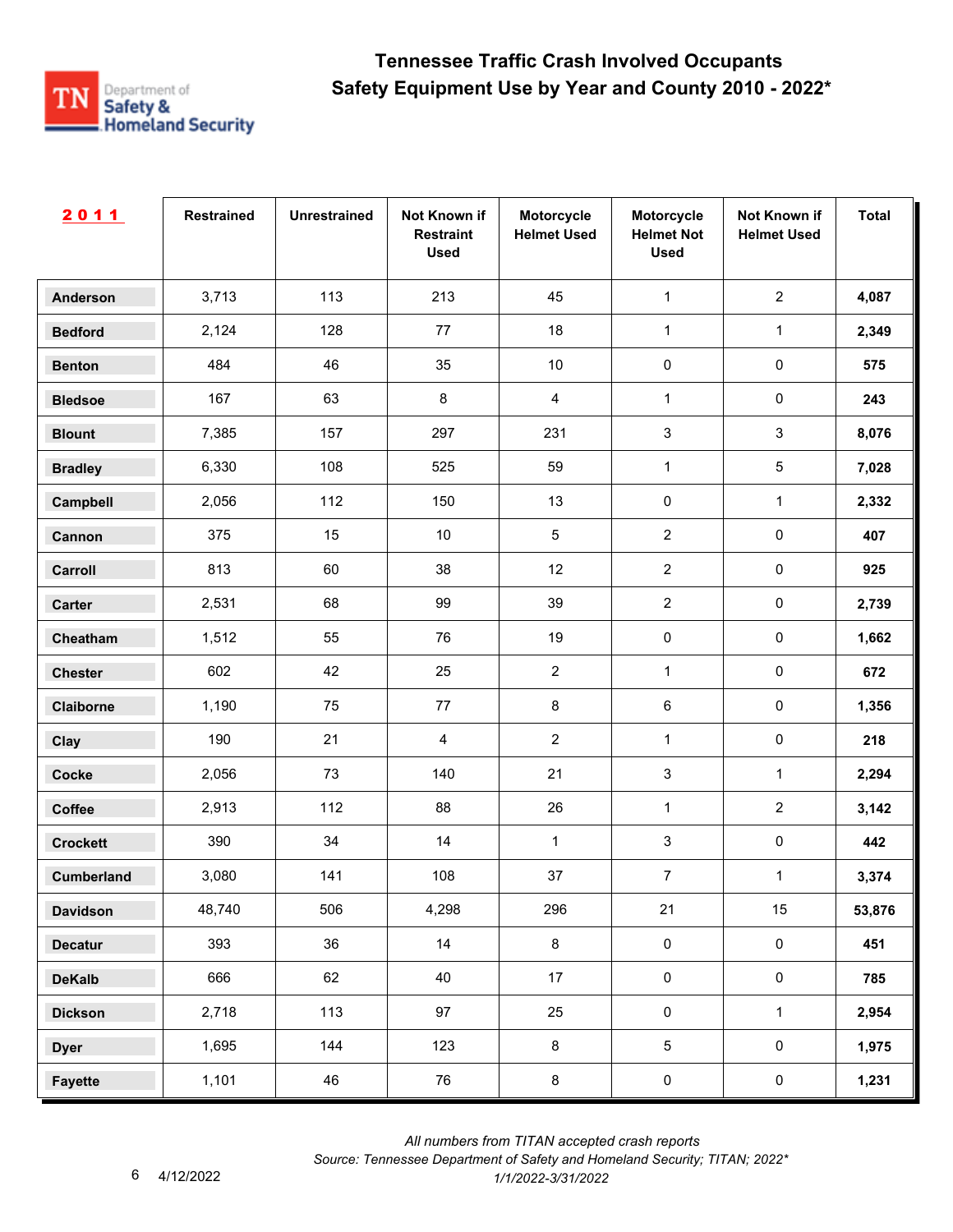

| 2011              | <b>Restrained</b> | <b>Unrestrained</b> | Not Known if<br><b>Restraint</b><br><b>Used</b> | Motorcycle<br><b>Helmet Used</b> | Motorcycle<br><b>Helmet Not</b><br><b>Used</b> | Not Known if<br><b>Helmet Used</b> | <b>Total</b> |
|-------------------|-------------------|---------------------|-------------------------------------------------|----------------------------------|------------------------------------------------|------------------------------------|--------------|
| <b>Anderson</b>   | 3,713             | 113                 | 213                                             | 45                               | $\mathbf{1}$                                   | $\overline{2}$                     | 4,087        |
| <b>Bedford</b>    | 2,124             | 128                 | $77\,$                                          | 18                               | $\mathbf{1}$                                   | $\mathbf{1}$                       | 2,349        |
| <b>Benton</b>     | 484               | 46                  | 35                                              | $10$                             | $\pmb{0}$                                      | $\pmb{0}$                          | 575          |
| <b>Bledsoe</b>    | 167               | 63                  | $\bf 8$                                         | $\overline{4}$                   | $\mathbf{1}$                                   | $\pmb{0}$                          | 243          |
| <b>Blount</b>     | 7,385             | 157                 | 297                                             | 231                              | $\mathbf{3}$                                   | $\mathbf{3}$                       | 8,076        |
| <b>Bradley</b>    | 6,330             | 108                 | 525                                             | 59                               | $\mathbf{1}$                                   | $\overline{5}$                     | 7,028        |
| Campbell          | 2,056             | 112                 | 150                                             | 13                               | $\pmb{0}$                                      | $\mathbf{1}$                       | 2,332        |
| Cannon            | 375               | 15                  | $10$                                            | $\sqrt{5}$                       | $\overline{2}$                                 | $\pmb{0}$                          | 407          |
| Carroll           | 813               | 60                  | 38                                              | 12                               | $\overline{2}$                                 | $\pmb{0}$                          | 925          |
| Carter            | 2,531             | 68                  | 99                                              | 39                               | $\overline{2}$                                 | $\mathbf 0$                        | 2,739        |
| Cheatham          | 1,512             | 55                  | 76                                              | 19                               | $\pmb{0}$                                      | $\pmb{0}$                          | 1,662        |
| <b>Chester</b>    | 602               | 42                  | 25                                              | $\boldsymbol{2}$                 | $\mathbf{1}$                                   | $\pmb{0}$                          | 672          |
| Claiborne         | 1,190             | 75                  | $77\,$                                          | $\bf 8$                          | $\,6\,$                                        | $\pmb{0}$                          | 1,356        |
| Clay              | 190               | 21                  | $\overline{4}$                                  | $\overline{2}$                   | $\mathbf{1}$                                   | $\pmb{0}$                          | 218          |
| <b>Cocke</b>      | 2,056             | 73                  | 140                                             | 21                               | 3                                              | $\mathbf{1}$                       | 2,294        |
| Coffee            | 2,913             | 112                 | 88                                              | 26                               | $\mathbf{1}$                                   | $\overline{2}$                     | 3,142        |
| <b>Crockett</b>   | 390               | 34                  | 14                                              | 1                                | $\mathbf{3}$                                   | $\pmb{0}$                          | 442          |
| <b>Cumberland</b> | 3,080             | 141                 | 108                                             | $37\,$                           | $\overline{7}$                                 | $\mathbf{1}$                       | 3,374        |
| <b>Davidson</b>   | 48,740            | 506                 | 4,298                                           | 296                              | 21                                             | 15                                 | 53,876       |
| <b>Decatur</b>    | 393               | 36                  | 14                                              | $\bf8$                           | $\mathsf{O}\xspace$                            | $\mathbf 0$                        | 451          |
| <b>DeKalb</b>     | 666               | 62                  | 40                                              | 17                               | $\mathsf{O}\xspace$                            | $\mathsf{O}\xspace$                | 785          |
| <b>Dickson</b>    | 2,718             | 113                 | 97                                              | 25                               | $\pmb{0}$                                      | $\mathbf 1$                        | 2,954        |
| <b>Dyer</b>       | 1,695             | 144                 | 123                                             | $\bf 8$                          | $\overline{5}$                                 | $\mathbf 0$                        | 1,975        |
| <b>Fayette</b>    | 1,101             | 46                  | 76                                              | $\bf 8$                          | $\pmb{0}$                                      | $\mathbf 0$                        | 1,231        |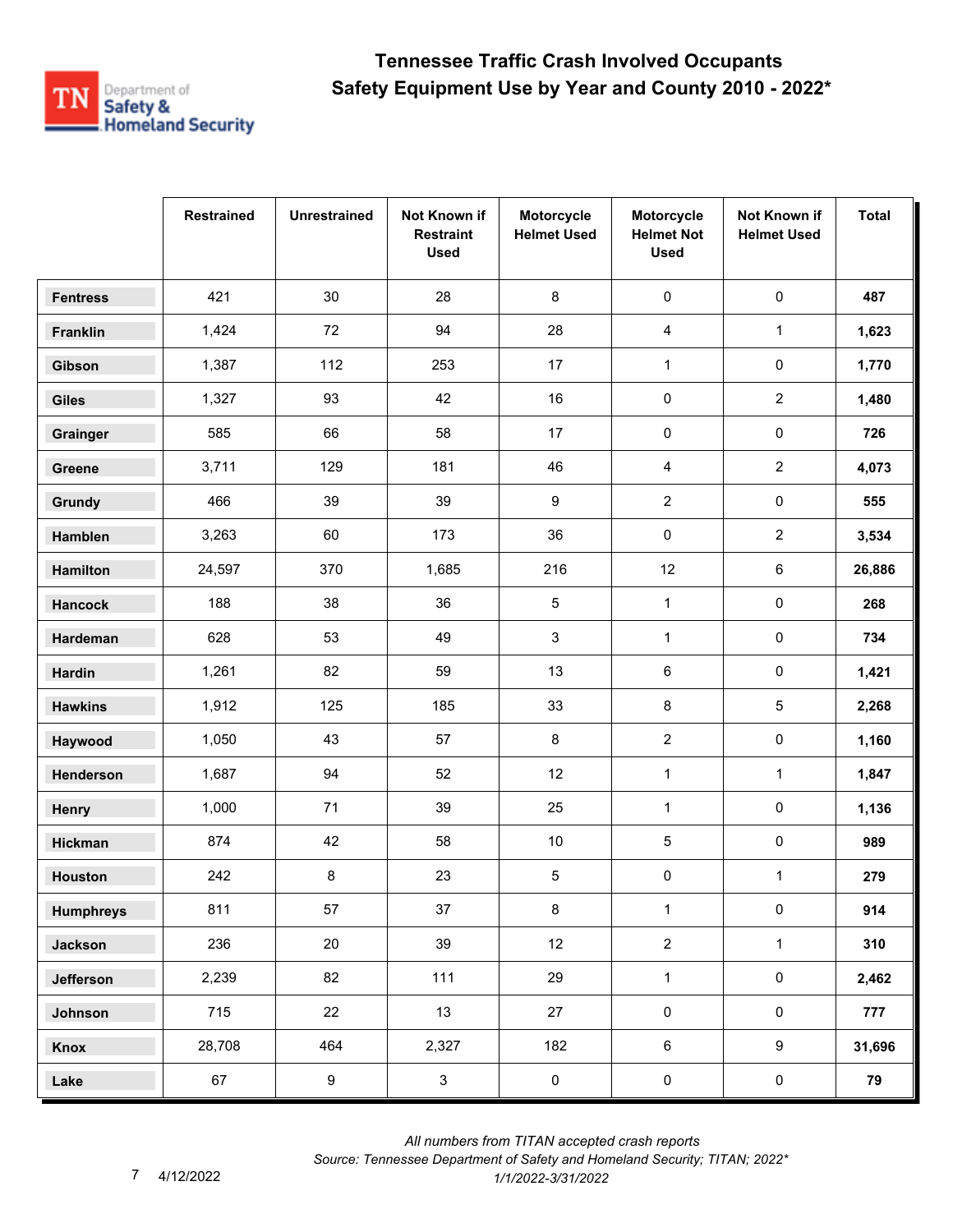

|                  | <b>Restrained</b> | <b>Unrestrained</b> | Not Known if<br><b>Restraint</b><br><b>Used</b> | Motorcycle<br><b>Helmet Used</b> | Motorcycle<br><b>Helmet Not</b><br><b>Used</b> | Not Known if<br><b>Helmet Used</b> | <b>Total</b> |
|------------------|-------------------|---------------------|-------------------------------------------------|----------------------------------|------------------------------------------------|------------------------------------|--------------|
| <b>Fentress</b>  | 421               | 30                  | 28                                              | $\,8\,$                          | $\pmb{0}$                                      | $\pmb{0}$                          | 487          |
| Franklin         | 1,424             | 72                  | 94                                              | 28                               | 4                                              | $\mathbf{1}$                       | 1,623        |
| Gibson           | 1,387             | 112                 | 253                                             | 17                               | $\mathbf{1}$                                   | 0                                  | 1,770        |
| <b>Giles</b>     | 1,327             | 93                  | 42                                              | 16                               | 0                                              | $\overline{c}$                     | 1,480        |
| Grainger         | 585               | 66                  | 58                                              | 17                               | $\pmb{0}$                                      | 0                                  | 726          |
| Greene           | 3,711             | 129                 | 181                                             | 46                               | 4                                              | $\overline{a}$                     | 4,073        |
| Grundy           | 466               | 39                  | 39                                              | 9                                | $\overline{2}$                                 | $\pmb{0}$                          | 555          |
| Hamblen          | 3,263             | 60                  | 173                                             | 36                               | $\pmb{0}$                                      | $\overline{2}$                     | 3,534        |
| <b>Hamilton</b>  | 24,597            | 370                 | 1,685                                           | 216                              | 12                                             | 6                                  | 26,886       |
| <b>Hancock</b>   | 188               | 38                  | 36                                              | 5                                | $\mathbf{1}$                                   | $\pmb{0}$                          | 268          |
| Hardeman         | 628               | 53                  | 49                                              | $\mathsf 3$                      | $\mathbf{1}$                                   | 0                                  | 734          |
| <b>Hardin</b>    | 1,261             | 82                  | 59                                              | 13                               | 6                                              | 0                                  | 1,421        |
| <b>Hawkins</b>   | 1,912             | 125                 | 185                                             | 33                               | 8                                              | 5                                  | 2,268        |
| Haywood          | 1,050             | 43                  | 57                                              | 8                                | $\boldsymbol{2}$                               | 0                                  | 1,160        |
| Henderson        | 1,687             | 94                  | 52                                              | 12                               | $\mathbf{1}$                                   | $\mathbf{1}$                       | 1,847        |
| Henry            | 1,000             | 71                  | 39                                              | 25                               | $\mathbf{1}$                                   | $\pmb{0}$                          | 1,136        |
| Hickman          | 874               | 42                  | 58                                              | $10\,$                           | 5                                              | 0                                  | 989          |
| <b>Houston</b>   | 242               | 8                   | 23                                              | 5                                | 0                                              | $\mathbf{1}$                       | 279          |
| <b>Humphreys</b> | 811               | 57                  | 37                                              | $\bf 8$                          | $\mathbf{1}$                                   | $\mathsf{O}\xspace$                | 914          |
| <b>Jackson</b>   | 236               | 20                  | 39                                              | 12                               | $\overline{2}$                                 | $\mathbf{1}$                       | 310          |
| Jefferson        | 2,239             | 82                  | 111                                             | 29                               | $\mathbf{1}$                                   | $\mathsf{O}\xspace$                | 2,462        |
| Johnson          | 715               | 22                  | 13                                              | 27                               | $\pmb{0}$                                      | $\mathsf{O}\xspace$                | 777          |
| Knox             | 28,708            | 464                 | 2,327                                           | 182                              | $\,6\,$                                        | 9                                  | 31,696       |
| Lake             | 67                | $\boldsymbol{9}$    | $\mathbf{3}$                                    | $\pmb{0}$                        | $\pmb{0}$                                      | $\mathbf 0$                        | 79           |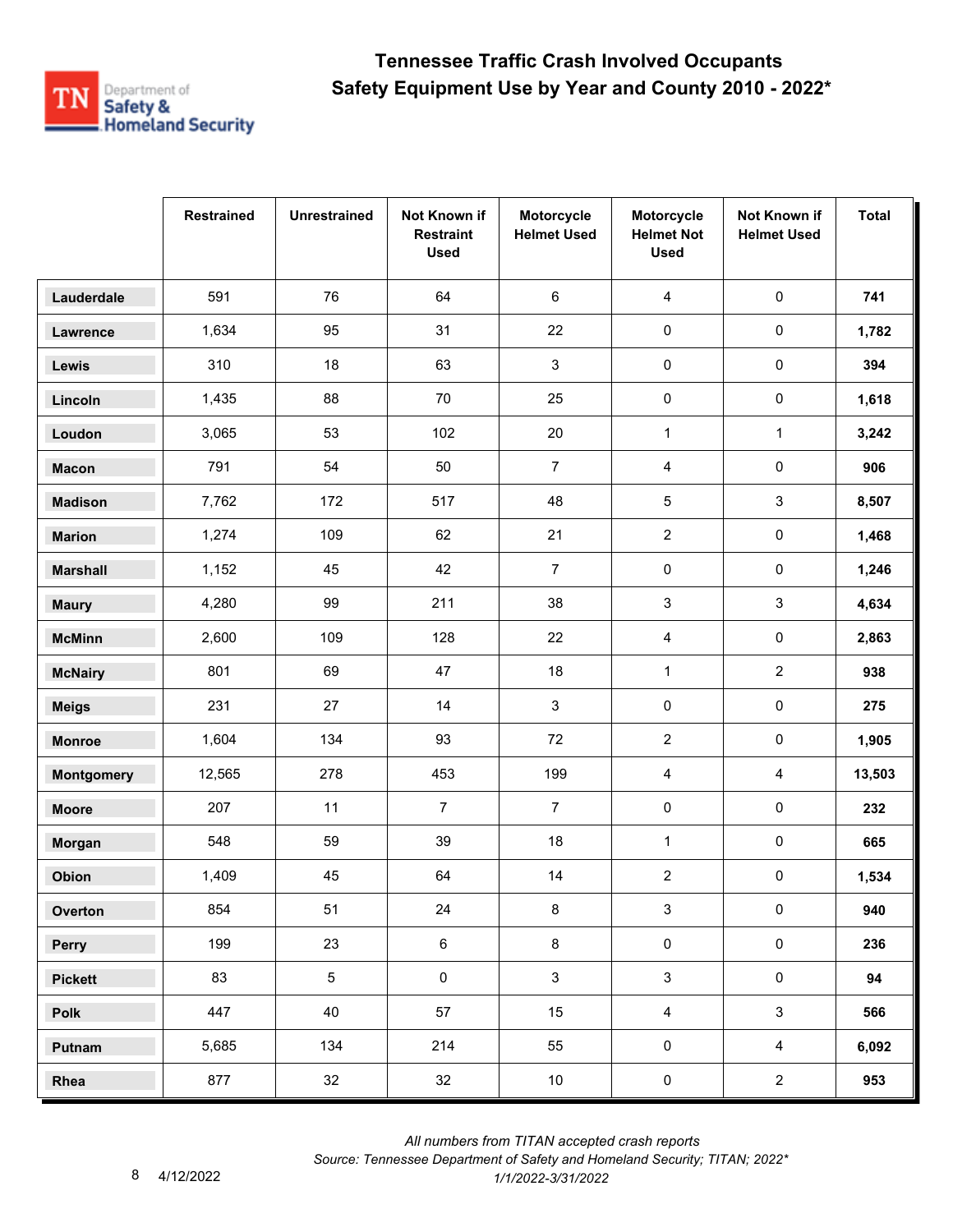

|                   | <b>Restrained</b> | <b>Unrestrained</b> | Not Known if<br><b>Restraint</b><br><b>Used</b> | Motorcycle<br><b>Helmet Used</b> | Motorcycle<br><b>Helmet Not</b><br><b>Used</b> | Not Known if<br><b>Helmet Used</b> | <b>Total</b> |
|-------------------|-------------------|---------------------|-------------------------------------------------|----------------------------------|------------------------------------------------|------------------------------------|--------------|
| Lauderdale        | 591               | 76                  | 64                                              | 6                                | $\overline{4}$                                 | $\pmb{0}$                          | 741          |
| Lawrence          | 1,634             | 95                  | 31                                              | 22                               | $\pmb{0}$                                      | $\pmb{0}$                          | 1,782        |
| Lewis             | 310               | 18                  | 63                                              | 3                                | $\pmb{0}$                                      | 0                                  | 394          |
| Lincoln           | 1,435             | 88                  | 70                                              | 25                               | 0                                              | 0                                  | 1,618        |
| Loudon            | 3,065             | 53                  | 102                                             | 20                               | $\mathbf{1}$                                   | $\mathbf{1}$                       | 3,242        |
| <b>Macon</b>      | 791               | 54                  | 50                                              | $\overline{7}$                   | 4                                              | $\pmb{0}$                          | 906          |
| <b>Madison</b>    | 7,762             | 172                 | 517                                             | 48                               | 5                                              | 3                                  | 8,507        |
| <b>Marion</b>     | 1,274             | 109                 | 62                                              | 21                               | $\overline{2}$                                 | 0                                  | 1,468        |
| <b>Marshall</b>   | 1,152             | 45                  | 42                                              | $\overline{7}$                   | 0                                              | 0                                  | 1,246        |
| <b>Maury</b>      | 4,280             | 99                  | 211                                             | 38                               | 3                                              | 3                                  | 4,634        |
| <b>McMinn</b>     | 2,600             | 109                 | 128                                             | 22                               | 4                                              | 0                                  | 2,863        |
| <b>McNairy</b>    | 801               | 69                  | 47                                              | 18                               | $\mathbf{1}$                                   | $\overline{a}$                     | 938          |
| <b>Meigs</b>      | 231               | 27                  | 14                                              | $\mathbf{3}$                     | $\pmb{0}$                                      | $\mathsf{O}\xspace$                | 275          |
| <b>Monroe</b>     | 1,604             | 134                 | 93                                              | 72                               | $\overline{2}$                                 | 0                                  | 1,905        |
| <b>Montgomery</b> | 12,565            | 278                 | 453                                             | 199                              | 4                                              | 4                                  | 13,503       |
| <b>Moore</b>      | 207               | 11                  | $\overline{7}$                                  | $\overline{7}$                   | 0                                              | $\pmb{0}$                          | 232          |
| Morgan            | 548               | 59                  | 39                                              | 18                               | $\mathbf{1}$                                   | 0                                  | 665          |
| Obion             | 1,409             | 45                  | 64                                              | 14                               | $\overline{2}$                                 | 0                                  | 1,534        |
| Overton           | 854               | 51                  | 24                                              | 8                                | $\mathbf{3}$                                   | $\pmb{0}$                          | 940          |
| Perry             | 199               | 23                  | $\,6\,$                                         | 8                                | $\pmb{0}$                                      | $\mathbf 0$                        | 236          |
| <b>Pickett</b>    | 83                | 5                   | $\mathsf{O}\xspace$                             | $\mathbf{3}$                     | $\mathbf{3}$                                   | $\mathsf{O}\xspace$                | 94           |
| Polk              | 447               | 40                  | 57                                              | 15                               | $\overline{4}$                                 | $\mathbf{3}$                       | 566          |
| Putnam            | 5,685             | 134                 | 214                                             | 55                               | $\pmb{0}$                                      | $\overline{4}$                     | 6,092        |
| Rhea              | 877               | 32                  | 32                                              | 10                               | $\pmb{0}$                                      | $\overline{a}$                     | 953          |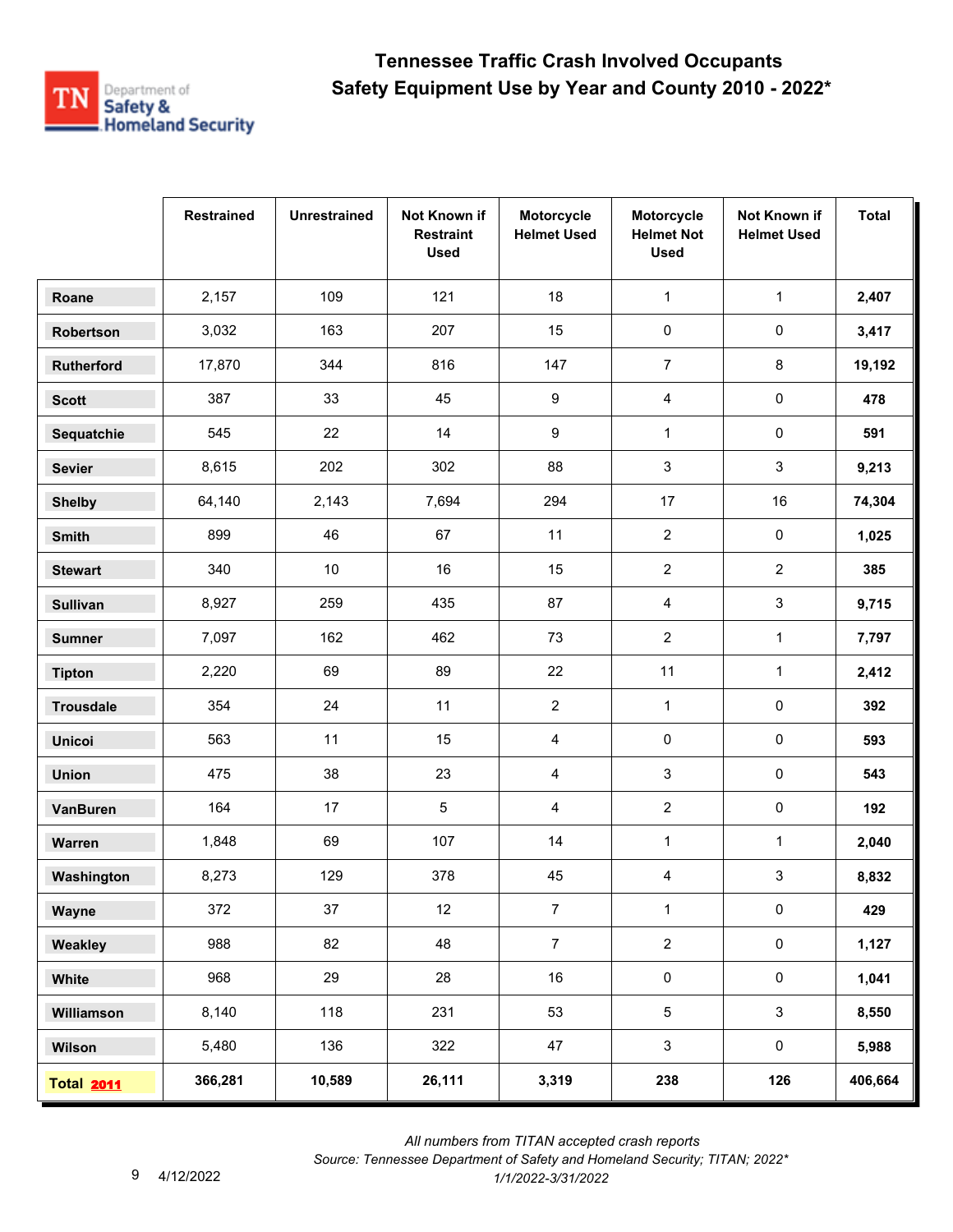

|                   | <b>Restrained</b> | <b>Unrestrained</b> | Not Known if<br><b>Restraint</b><br><b>Used</b> | Motorcycle<br><b>Helmet Used</b> | Motorcycle<br><b>Helmet Not</b><br><b>Used</b> | Not Known if<br><b>Helmet Used</b> | <b>Total</b> |
|-------------------|-------------------|---------------------|-------------------------------------------------|----------------------------------|------------------------------------------------|------------------------------------|--------------|
| Roane             | 2,157             | 109                 | 121                                             | 18                               | $\mathbf{1}$                                   | $\mathbf{1}$                       | 2,407        |
| Robertson         | 3,032             | 163                 | 207                                             | 15                               | 0                                              | 0                                  | 3,417        |
| Rutherford        | 17,870            | 344                 | 816                                             | 147                              | $\overline{7}$                                 | 8                                  | 19,192       |
| <b>Scott</b>      | 387               | 33                  | 45                                              | 9                                | 4                                              | 0                                  | 478          |
| Sequatchie        | 545               | 22                  | 14                                              | 9                                | $\mathbf{1}$                                   | 0                                  | 591          |
| <b>Sevier</b>     | 8,615             | 202                 | 302                                             | 88                               | 3                                              | 3                                  | 9,213        |
| <b>Shelby</b>     | 64,140            | 2,143               | 7,694                                           | 294                              | 17                                             | 16                                 | 74,304       |
| Smith             | 899               | 46                  | 67                                              | 11                               | $\overline{2}$                                 | 0                                  | 1,025        |
| <b>Stewart</b>    | 340               | 10                  | 16                                              | 15                               | $\overline{2}$                                 | $\overline{2}$                     | 385          |
| <b>Sullivan</b>   | 8,927             | 259                 | 435                                             | 87                               | 4                                              | 3                                  | 9,715        |
| <b>Sumner</b>     | 7,097             | 162                 | 462                                             | 73                               | $\overline{2}$                                 | $\mathbf{1}$                       | 7,797        |
| <b>Tipton</b>     | 2,220             | 69                  | 89                                              | 22                               | 11                                             | $\mathbf{1}$                       | 2,412        |
| <b>Trousdale</b>  | 354               | 24                  | 11                                              | $\overline{2}$                   | $\mathbf{1}$                                   | $\pmb{0}$                          | 392          |
| <b>Unicoi</b>     | 563               | 11                  | 15                                              | 4                                | 0                                              | 0                                  | 593          |
| <b>Union</b>      | 475               | 38                  | 23                                              | 4                                | 3                                              | 0                                  | 543          |
| <b>VanBuren</b>   | 164               | 17                  | 5                                               | 4                                | $\overline{2}$                                 | 0                                  | 192          |
| Warren            | 1,848             | 69                  | 107                                             | 14                               | $\mathbf{1}$                                   | 1                                  | 2,040        |
| Washington        | 8,273             | 129                 | 378                                             | 45                               | 4                                              | 3                                  | 8,832        |
| Wayne             | 372               | 37                  | 12                                              | $\overline{7}$                   | $\mathbf{1}$                                   | $\pmb{0}$                          | 429          |
| Weakley           | 988               | 82                  | 48                                              | $\overline{7}$                   | $\overline{2}$                                 | $\mathbf 0$                        | 1,127        |
| White             | 968               | 29                  | 28                                              | 16                               | $\pmb{0}$                                      | $\mathbf 0$                        | 1,041        |
| Williamson        | 8,140             | 118                 | 231                                             | 53                               | $\overline{5}$                                 | $\mathbf{3}$                       | 8,550        |
| Wilson            | 5,480             | 136                 | 322                                             | 47                               | $\mathbf{3}$                                   | $\mathbf 0$                        | 5,988        |
| <b>Total 2011</b> | 366,281           | 10,589              | 26,111                                          | 3,319                            | 238                                            | 126                                | 406,664      |

 *All numbers from TITAN accepted crash reports*

*Source: Tennessee Department of Safety and Homeland Security; TITAN; 2022\**  4/12/2022 *1/1/2022-3/31/2022*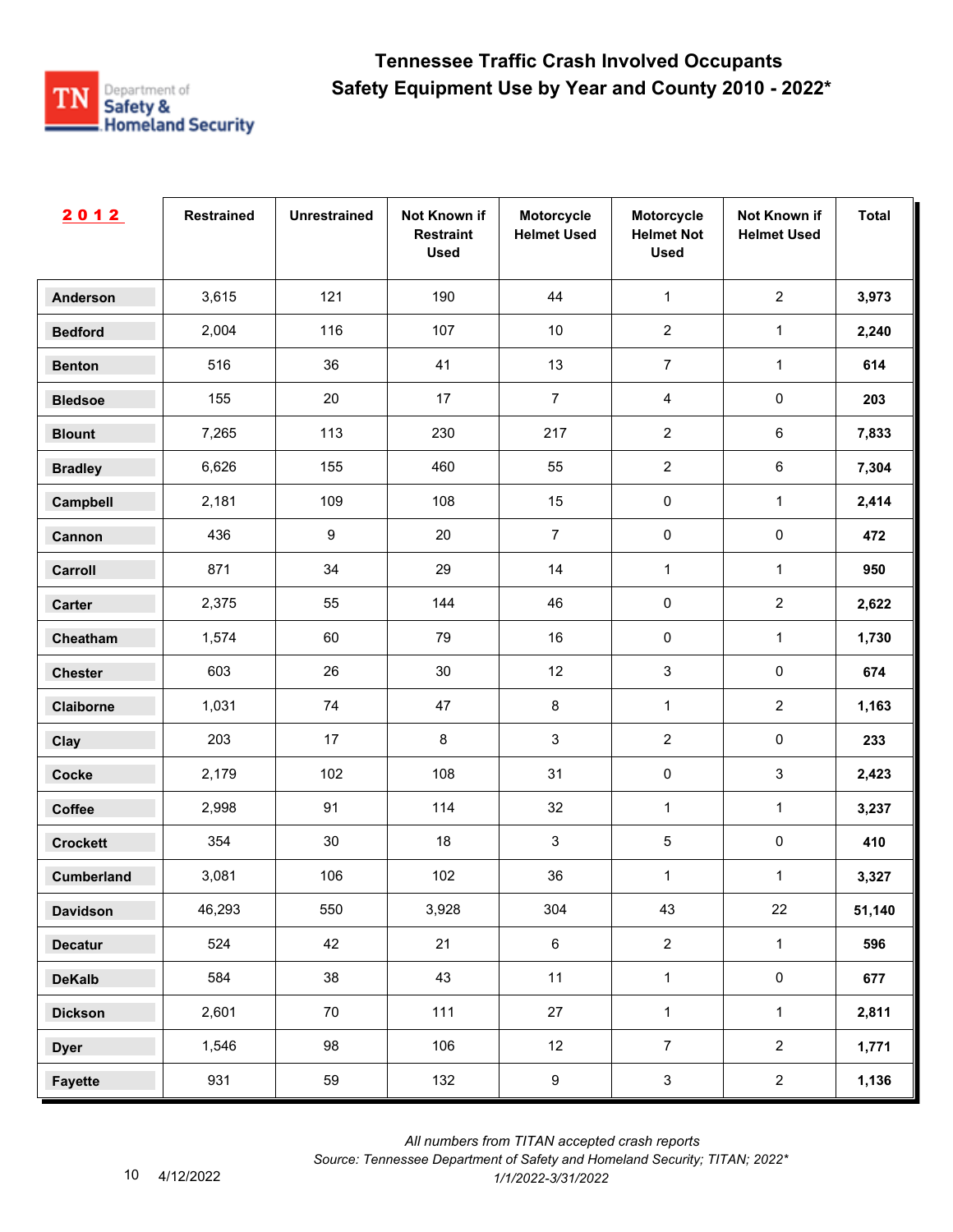

| 2012              | <b>Restrained</b> | <b>Unrestrained</b> | Not Known if<br><b>Restraint</b><br><b>Used</b> | Motorcycle<br><b>Helmet Used</b> | Motorcycle<br><b>Helmet Not</b><br><b>Used</b> | Not Known if<br><b>Helmet Used</b> | <b>Total</b> |
|-------------------|-------------------|---------------------|-------------------------------------------------|----------------------------------|------------------------------------------------|------------------------------------|--------------|
| <b>Anderson</b>   | 3,615             | 121                 | 190                                             | 44                               | $\mathbf{1}$                                   | $\overline{2}$                     | 3,973        |
| <b>Bedford</b>    | 2,004             | 116                 | 107                                             | $10$                             | $\overline{2}$                                 | $\mathbf{1}$                       | 2,240        |
| <b>Benton</b>     | 516               | 36                  | 41                                              | 13                               | $\overline{7}$                                 | $\mathbf{1}$                       | 614          |
| <b>Bledsoe</b>    | 155               | 20                  | 17                                              | $\overline{7}$                   | $\overline{4}$                                 | $\pmb{0}$                          | 203          |
| <b>Blount</b>     | 7,265             | 113                 | 230                                             | 217                              | $\overline{2}$                                 | $\,6\,$                            | 7,833        |
| <b>Bradley</b>    | 6,626             | 155                 | 460                                             | 55                               | $\overline{2}$                                 | $\,6\,$                            | 7,304        |
| Campbell          | 2,181             | 109                 | 108                                             | 15                               | $\pmb{0}$                                      | $\mathbf{1}$                       | 2,414        |
| Cannon            | 436               | $\boldsymbol{9}$    | 20                                              | $\overline{7}$                   | $\pmb{0}$                                      | $\pmb{0}$                          | 472          |
| Carroll           | 871               | 34                  | 29                                              | 14                               | 1                                              | $\mathbf 1$                        | 950          |
| Carter            | 2,375             | 55                  | 144                                             | 46                               | $\pmb{0}$                                      | $\overline{2}$                     | 2,622        |
| Cheatham          | 1,574             | 60                  | 79                                              | 16                               | $\pmb{0}$                                      | $\mathbf{1}$                       | 1,730        |
| <b>Chester</b>    | 603               | 26                  | 30                                              | 12                               | $\mathbf{3}$                                   | $\pmb{0}$                          | 674          |
| Claiborne         | 1,031             | 74                  | 47                                              | $\bf 8$                          | $\mathbf{1}$                                   | $\overline{2}$                     | 1,163        |
| Clay              | 203               | 17                  | $\bf 8$                                         | $\sqrt{3}$                       | $\overline{2}$                                 | $\pmb{0}$                          | 233          |
| <b>Cocke</b>      | 2,179             | 102                 | 108                                             | 31                               | $\pmb{0}$                                      | $\mathfrak{S}$                     | 2,423        |
| Coffee            | 2,998             | 91                  | 114                                             | 32                               | $\mathbf{1}$                                   | $\mathbf{1}$                       | 3,237        |
| <b>Crockett</b>   | 354               | 30                  | 18                                              | $\sqrt{3}$                       | $\,$ 5 $\,$                                    | $\pmb{0}$                          | 410          |
| <b>Cumberland</b> | 3,081             | 106                 | 102                                             | $36\,$                           | 1                                              | $\mathbf{1}$                       | 3,327        |
| <b>Davidson</b>   | 46,293            | 550                 | 3,928                                           | 304                              | 43                                             | 22                                 | 51,140       |
| <b>Decatur</b>    | 524               | 42                  | 21                                              | $\,6\,$                          | $\overline{2}$                                 | $\mathbf{1}$                       | 596          |
| <b>DeKalb</b>     | 584               | 38                  | 43                                              | 11                               | $\mathbf{1}$                                   | $\mathsf{O}\xspace$                | 677          |
| <b>Dickson</b>    | 2,601             | 70                  | 111                                             | 27                               | $\mathbf{1}$                                   | $\mathbf 1$                        | 2,811        |
| <b>Dyer</b>       | 1,546             | 98                  | 106                                             | 12                               | $\overline{7}$                                 | $\overline{2}$                     | 1,771        |
| <b>Fayette</b>    | 931               | 59                  | 132                                             | $\boldsymbol{9}$                 | $\mathbf{3}$                                   | $\overline{2}$                     | 1,136        |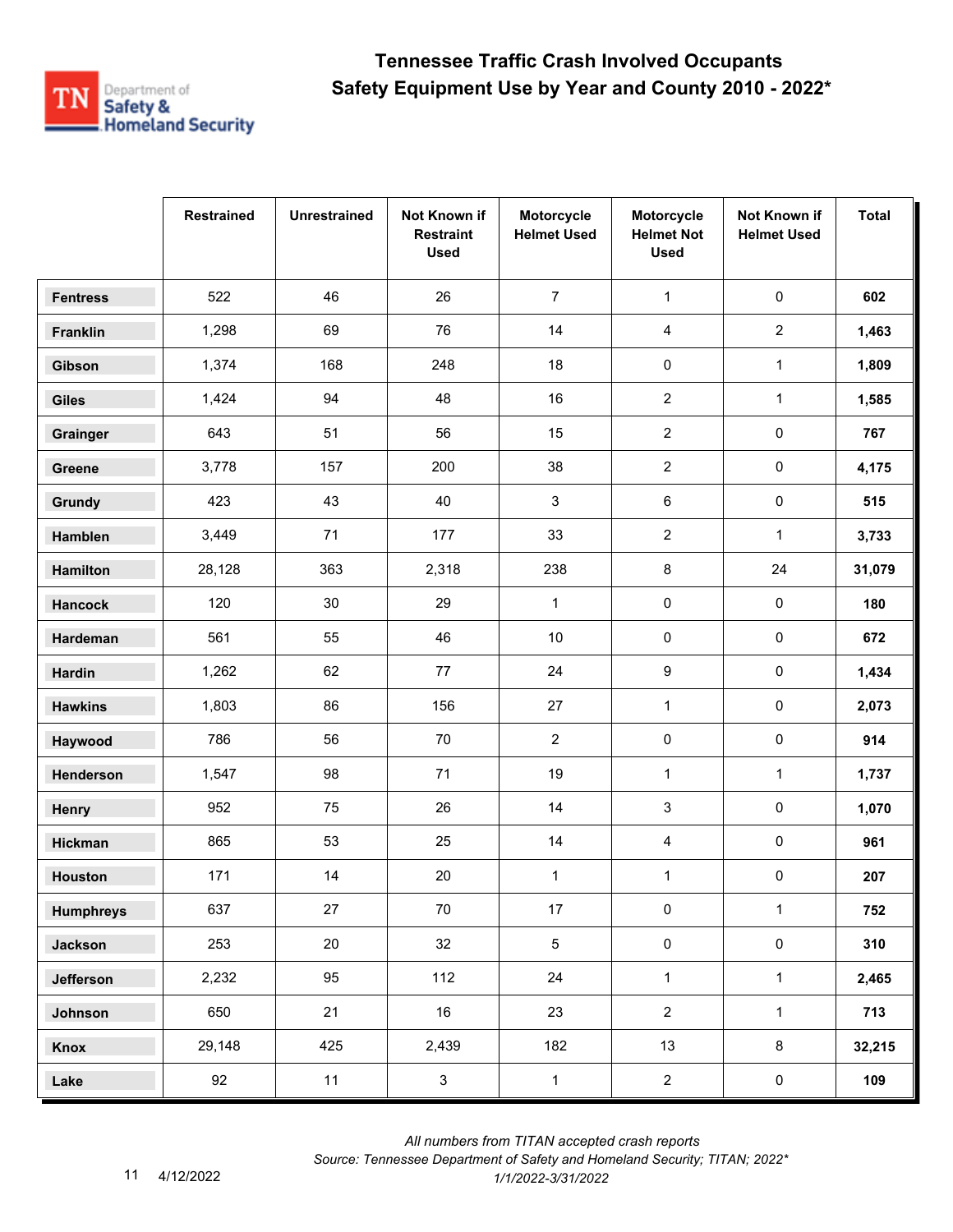

|                  | <b>Restrained</b> | <b>Unrestrained</b> | Not Known if<br><b>Restraint</b><br><b>Used</b> | Motorcycle<br><b>Helmet Used</b> | Motorcycle<br><b>Helmet Not</b><br><b>Used</b> | Not Known if<br><b>Helmet Used</b> | <b>Total</b> |
|------------------|-------------------|---------------------|-------------------------------------------------|----------------------------------|------------------------------------------------|------------------------------------|--------------|
| <b>Fentress</b>  | 522               | 46                  | 26                                              | $\overline{7}$                   | $\mathbf{1}$                                   | $\mathsf 0$                        | 602          |
| Franklin         | 1,298             | 69                  | 76                                              | 14                               | 4                                              | $\overline{2}$                     | 1,463        |
| Gibson           | 1,374             | 168                 | 248                                             | 18                               | $\pmb{0}$                                      | $\mathbf{1}$                       | 1,809        |
| <b>Giles</b>     | 1,424             | 94                  | 48                                              | 16                               | $\mathbf{2}$                                   | $\mathbf{1}$                       | 1,585        |
| Grainger         | 643               | 51                  | 56                                              | 15                               | $\overline{2}$                                 | 0                                  | 767          |
| Greene           | 3,778             | 157                 | 200                                             | 38                               | $\overline{2}$                                 | $\pmb{0}$                          | 4,175        |
| Grundy           | 423               | 43                  | 40                                              | 3                                | 6                                              | $\pmb{0}$                          | 515          |
| Hamblen          | 3,449             | 71                  | 177                                             | 33                               | $\overline{2}$                                 | $\mathbf{1}$                       | 3,733        |
| Hamilton         | 28,128            | 363                 | 2,318                                           | 238                              | 8                                              | 24                                 | 31,079       |
| <b>Hancock</b>   | 120               | 30                  | 29                                              | $\mathbf{1}$                     | 0                                              | $\pmb{0}$                          | 180          |
| Hardeman         | 561               | 55                  | 46                                              | $10\,$                           | $\pmb{0}$                                      | 0                                  | 672          |
| Hardin           | 1,262             | 62                  | 77                                              | 24                               | 9                                              | 0                                  | 1,434        |
| <b>Hawkins</b>   | 1,803             | 86                  | 156                                             | 27                               | $\mathbf{1}$                                   | $\pmb{0}$                          | 2,073        |
| Haywood          | 786               | 56                  | 70                                              | $\mathbf{2}$                     | $\pmb{0}$                                      | 0                                  | 914          |
| Henderson        | 1,547             | 98                  | 71                                              | 19                               | $\mathbf 1$                                    | $\mathbf{1}$                       | 1,737        |
| Henry            | 952               | 75                  | 26                                              | 14                               | 3                                              | $\pmb{0}$                          | 1,070        |
| Hickman          | 865               | 53                  | 25                                              | 14                               | 4                                              | 0                                  | 961          |
| <b>Houston</b>   | 171               | 14                  | 20                                              | $\mathbf{1}$                     | $\mathbf{1}$                                   | 0                                  | 207          |
| <b>Humphreys</b> | 637               | 27                  | 70                                              | 17                               | $\pmb{0}$                                      | $\mathbf{1}$                       | 752          |
| <b>Jackson</b>   | 253               | 20                  | 32                                              | $\overline{5}$                   | $\pmb{0}$                                      | $\mathsf{O}\xspace$                | 310          |
| Jefferson        | 2,232             | 95                  | 112                                             | 24                               | $\mathbf{1}$                                   | $\mathbf{1}$                       | 2,465        |
| Johnson          | 650               | 21                  | 16                                              | 23                               | $\overline{2}$                                 | $\mathbf{1}$                       | 713          |
| Knox             | 29,148            | 425                 | 2,439                                           | 182                              | 13                                             | $\bf 8$                            | 32,215       |
| Lake             | 92                | 11                  | $\mathbf{3}$                                    | $\mathbf{1}$                     | $\overline{2}$                                 | $\mathbf 0$                        | 109          |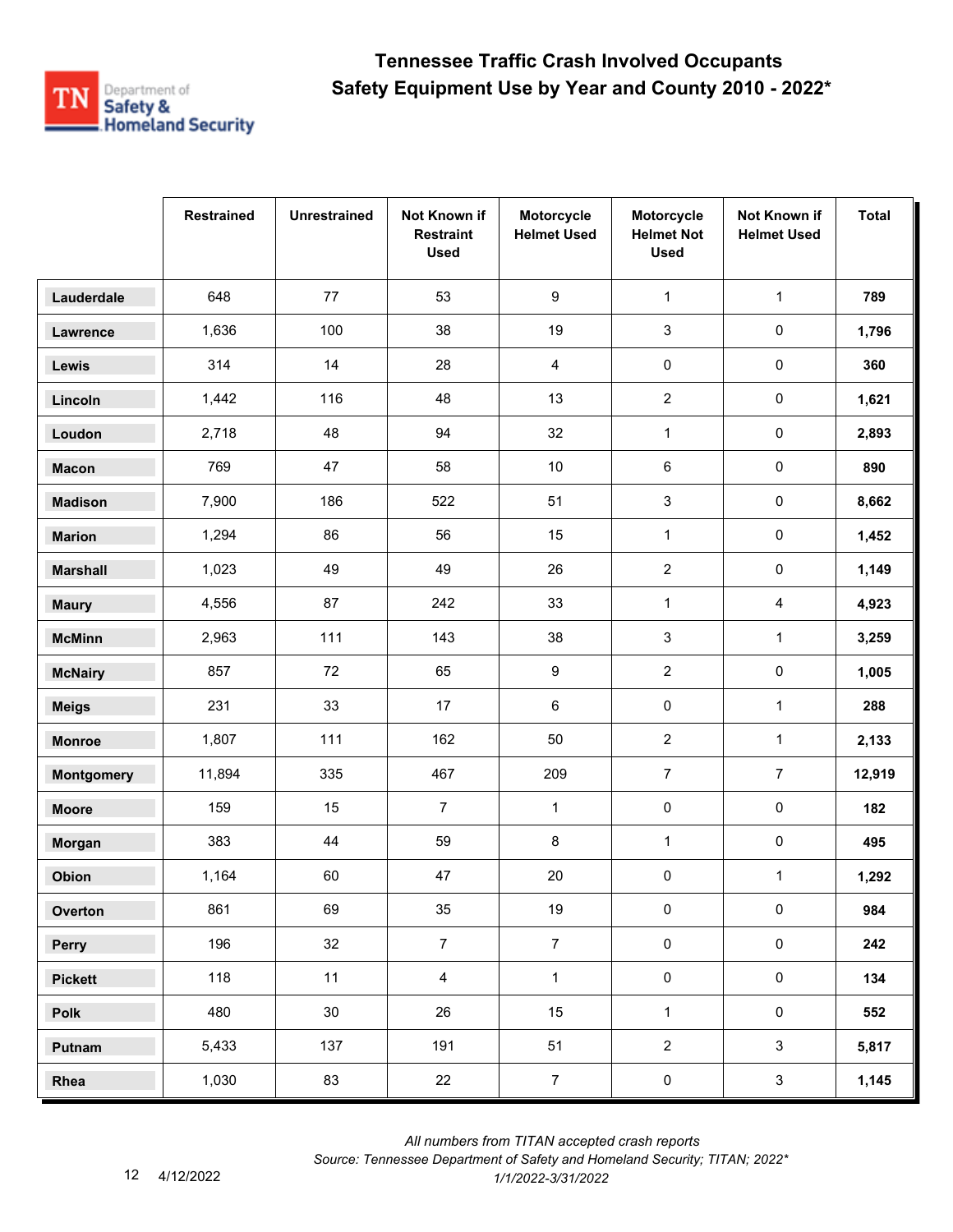

|                   | <b>Restrained</b> | <b>Unrestrained</b> | Not Known if<br><b>Restraint</b><br><b>Used</b> | Motorcycle<br><b>Helmet Used</b> | Motorcycle<br><b>Helmet Not</b><br><b>Used</b> | Not Known if<br><b>Helmet Used</b> | <b>Total</b> |
|-------------------|-------------------|---------------------|-------------------------------------------------|----------------------------------|------------------------------------------------|------------------------------------|--------------|
| Lauderdale        | 648               | 77                  | 53                                              | $\boldsymbol{9}$                 | $\mathbf 1$                                    | $\mathbf{1}$                       | 789          |
| Lawrence          | 1,636             | 100                 | 38                                              | 19                               | $\mathsf 3$                                    | $\pmb{0}$                          | 1,796        |
| Lewis             | 314               | 14                  | 28                                              | 4                                | $\pmb{0}$                                      | 0                                  | 360          |
| Lincoln           | 1,442             | 116                 | 48                                              | 13                               | $\overline{2}$                                 | 0                                  | 1,621        |
| Loudon            | 2,718             | 48                  | 94                                              | 32                               | $\mathbf{1}$                                   | $\pmb{0}$                          | 2,893        |
| <b>Macon</b>      | 769               | 47                  | 58                                              | $10\,$                           | 6                                              | $\pmb{0}$                          | 890          |
| <b>Madison</b>    | 7,900             | 186                 | 522                                             | 51                               | 3                                              | $\pmb{0}$                          | 8,662        |
| <b>Marion</b>     | 1,294             | 86                  | 56                                              | 15                               | $\mathbf{1}$                                   | 0                                  | 1,452        |
| <b>Marshall</b>   | 1,023             | 49                  | 49                                              | 26                               | $\overline{c}$                                 | 0                                  | 1,149        |
| <b>Maury</b>      | 4,556             | 87                  | 242                                             | 33                               | $\mathbf{1}$                                   | 4                                  | 4,923        |
| <b>McMinn</b>     | 2,963             | 111                 | 143                                             | 38                               | 3                                              | $\mathbf{1}$                       | 3,259        |
| <b>McNairy</b>    | 857               | 72                  | 65                                              | 9                                | $\overline{2}$                                 | $\pmb{0}$                          | 1,005        |
| <b>Meigs</b>      | 231               | 33                  | 17                                              | 6                                | $\pmb{0}$                                      | $\mathbf{1}$                       | 288          |
| <b>Monroe</b>     | 1,807             | 111                 | 162                                             | 50                               | $\boldsymbol{2}$                               | $\mathbf{1}$                       | 2,133        |
| <b>Montgomery</b> | 11,894            | 335                 | 467                                             | 209                              | $\boldsymbol{7}$                               | $\overline{7}$                     | 12,919       |
| <b>Moore</b>      | 159               | 15                  | $\overline{7}$                                  | $\mathbf{1}$                     | $\pmb{0}$                                      | $\pmb{0}$                          | 182          |
| Morgan            | 383               | 44                  | 59                                              | 8                                | $\mathbf{1}$                                   | 0                                  | 495          |
| Obion             | 1,164             | 60                  | 47                                              | $20\,$                           | 0                                              | $\mathbf{1}$                       | 1,292        |
| Overton           | 861               | 69                  | 35                                              | $19$                             | $\pmb{0}$                                      | $\pmb{0}$                          | 984          |
| Perry             | 196               | 32                  | $\overline{7}$                                  | $\overline{7}$                   | $\pmb{0}$                                      | $\mathbf 0$                        | 242          |
| <b>Pickett</b>    | 118               | 11                  | $\overline{4}$                                  | $\mathbf{1}$                     | $\pmb{0}$                                      | $\mathbf 0$                        | 134          |
| Polk              | 480               | 30 <sub>o</sub>     | 26                                              | 15                               | $\mathbf 1$                                    | $\mathsf{O}\xspace$                | 552          |
| Putnam            | 5,433             | 137                 | 191                                             | 51                               | $\overline{2}$                                 | 3                                  | 5,817        |
| Rhea              | 1,030             | 83                  | 22                                              | $\overline{7}$                   | $\pmb{0}$                                      | $\mathbf{3}$                       | 1,145        |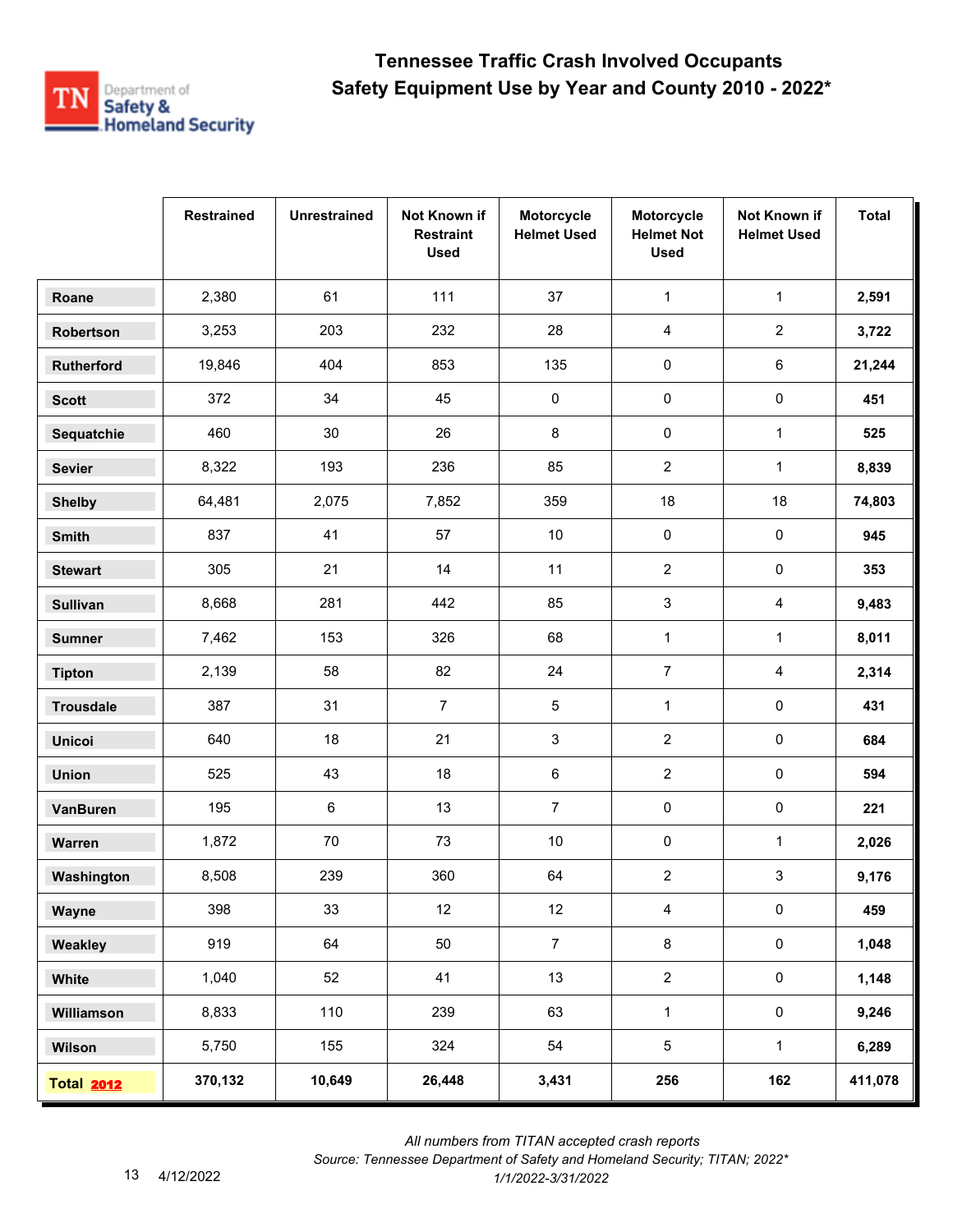

|                   | <b>Restrained</b> | <b>Unrestrained</b> | Not Known if<br><b>Restraint</b><br><b>Used</b> | Motorcycle<br><b>Helmet Used</b> | Motorcycle<br><b>Helmet Not</b><br><b>Used</b> | Not Known if<br><b>Helmet Used</b> | <b>Total</b> |
|-------------------|-------------------|---------------------|-------------------------------------------------|----------------------------------|------------------------------------------------|------------------------------------|--------------|
| Roane             | 2,380             | 61                  | 111                                             | 37                               | $\mathbf{1}$                                   | $\mathbf{1}$                       | 2,591        |
| Robertson         | 3,253             | 203                 | 232                                             | 28                               | 4                                              | $\overline{a}$                     | 3,722        |
| <b>Rutherford</b> | 19,846            | 404                 | 853                                             | 135                              | 0                                              | 6                                  | 21,244       |
| <b>Scott</b>      | 372               | 34                  | 45                                              | 0                                | 0                                              | 0                                  | 451          |
| Sequatchie        | 460               | 30                  | 26                                              | 8                                | $\pmb{0}$                                      | $\mathbf{1}$                       | 525          |
| <b>Sevier</b>     | 8,322             | 193                 | 236                                             | 85                               | $\overline{2}$                                 | $\mathbf{1}$                       | 8,839        |
| <b>Shelby</b>     | 64,481            | 2,075               | 7,852                                           | 359                              | 18                                             | 18                                 | 74,803       |
| <b>Smith</b>      | 837               | 41                  | 57                                              | $10\,$                           | 0                                              | 0                                  | 945          |
| <b>Stewart</b>    | 305               | 21                  | 14                                              | 11                               | $\overline{2}$                                 | 0                                  | 353          |
| <b>Sullivan</b>   | 8,668             | 281                 | 442                                             | 85                               | 3                                              | 4                                  | 9,483        |
| <b>Sumner</b>     | 7,462             | 153                 | 326                                             | 68                               | $\mathbf{1}$                                   | $\mathbf{1}$                       | 8,011        |
| <b>Tipton</b>     | 2,139             | 58                  | 82                                              | 24                               | $\overline{7}$                                 | 4                                  | 2,314        |
| <b>Trousdale</b>  | 387               | 31                  | $\overline{7}$                                  | 5                                | $\mathbf{1}$                                   | $\pmb{0}$                          | 431          |
| <b>Unicoi</b>     | 640               | 18                  | 21                                              | 3                                | $\overline{2}$                                 | 0                                  | 684          |
| <b>Union</b>      | 525               | 43                  | 18                                              | 6                                | $\overline{c}$                                 | 0                                  | 594          |
| <b>VanBuren</b>   | 195               | 6                   | 13                                              | $\overline{7}$                   | 0                                              | 0                                  | 221          |
| Warren            | 1,872             | 70                  | 73                                              | 10                               | 0                                              | 1                                  | 2,026        |
| Washington        | 8,508             | 239                 | 360                                             | 64                               | $\overline{2}$                                 | 3                                  | 9,176        |
| Wayne             | 398               | 33                  | 12                                              | 12                               | $\overline{4}$                                 | $\pmb{0}$                          | 459          |
| Weakley           | 919               | 64                  | 50                                              | $\overline{7}$                   | 8                                              | $\mathbf 0$                        | 1,048        |
| White             | 1,040             | 52                  | 41                                              | 13                               | $\overline{2}$                                 | $\mathbf 0$                        | 1,148        |
| Williamson        | 8,833             | 110                 | 239                                             | 63                               | $\mathbf{1}$                                   | $\pmb{0}$                          | 9,246        |
| Wilson            | 5,750             | 155                 | 324                                             | 54                               | 5                                              | $\mathbf{1}$                       | 6,289        |
| <b>Total 2012</b> | 370,132           | 10,649              | 26,448                                          | 3,431                            | 256                                            | 162                                | 411,078      |

 *All numbers from TITAN accepted crash reports*

*Source: Tennessee Department of Safety and Homeland Security; TITAN; 2022\**  4/12/2022 *1/1/2022-3/31/2022*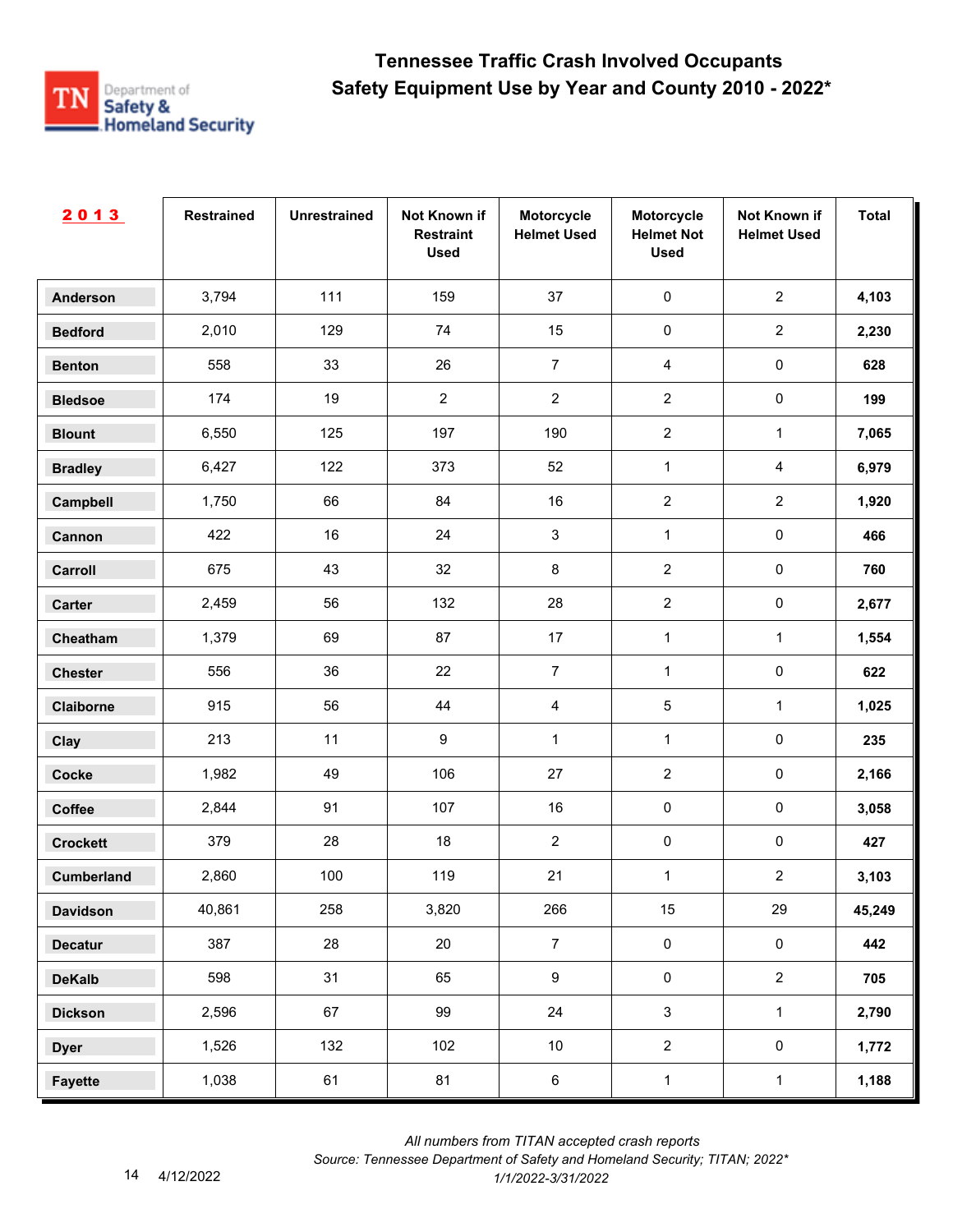

| 2013              | <b>Restrained</b> | <b>Unrestrained</b> | Not Known if<br><b>Restraint</b><br><b>Used</b> | Motorcycle<br><b>Helmet Used</b> | Motorcycle<br><b>Helmet Not</b><br><b>Used</b> | Not Known if<br><b>Helmet Used</b> | <b>Total</b> |
|-------------------|-------------------|---------------------|-------------------------------------------------|----------------------------------|------------------------------------------------|------------------------------------|--------------|
| <b>Anderson</b>   | 3,794             | 111                 | 159                                             | 37                               | $\pmb{0}$                                      | $\overline{2}$                     | 4,103        |
| <b>Bedford</b>    | 2,010             | 129                 | 74                                              | 15                               | $\pmb{0}$                                      | $\overline{2}$                     | 2,230        |
| <b>Benton</b>     | 558               | 33                  | 26                                              | $\overline{7}$                   | $\overline{4}$                                 | $\mathsf{O}\xspace$                | 628          |
| <b>Bledsoe</b>    | 174               | 19                  | $\sqrt{2}$                                      | $\overline{2}$                   | $\overline{2}$                                 | $\mathsf{O}\xspace$                | 199          |
| <b>Blount</b>     | 6,550             | 125                 | 197                                             | 190                              | $\overline{2}$                                 | $\mathbf{1}$                       | 7,065        |
| <b>Bradley</b>    | 6,427             | 122                 | 373                                             | 52                               | $\mathbf{1}$                                   | $\overline{4}$                     | 6,979        |
| Campbell          | 1,750             | 66                  | 84                                              | 16                               | $\overline{2}$                                 | $\overline{2}$                     | 1,920        |
| Cannon            | 422               | 16                  | 24                                              | $\ensuremath{\mathsf{3}}$        | $\mathbf{1}$                                   | $\pmb{0}$                          | 466          |
| Carroll           | 675               | 43                  | 32                                              | 8                                | $\overline{2}$                                 | $\pmb{0}$                          | 760          |
| Carter            | 2,459             | 56                  | 132                                             | 28                               | $\overline{2}$                                 | $\pmb{0}$                          | 2,677        |
| Cheatham          | 1,379             | 69                  | 87                                              | 17                               | $\mathbf{1}$                                   | $\mathbf{1}$                       | 1,554        |
| <b>Chester</b>    | 556               | 36                  | 22                                              | $\boldsymbol{7}$                 | $\mathbf{1}$                                   | $\pmb{0}$                          | 622          |
| Claiborne         | 915               | 56                  | 44                                              | $\overline{4}$                   | $\sqrt{5}$                                     | $\mathbf{1}$                       | 1,025        |
| Clay              | 213               | 11                  | $\boldsymbol{9}$                                | 1                                | $\mathbf{1}$                                   | $\pmb{0}$                          | 235          |
| Cocke             | 1,982             | 49                  | 106                                             | $27\,$                           | $\sqrt{2}$                                     | $\pmb{0}$                          | 2,166        |
| Coffee            | 2,844             | 91                  | 107                                             | 16                               | $\pmb{0}$                                      | $\pmb{0}$                          | 3,058        |
| <b>Crockett</b>   | 379               | 28                  | 18                                              | $\overline{a}$                   | $\pmb{0}$                                      | $\mathsf{O}\xspace$                | 427          |
| <b>Cumberland</b> | 2,860             | 100                 | 119                                             | 21                               | $\mathbf 1$                                    | $\overline{2}$                     | 3,103        |
| <b>Davidson</b>   | 40,861            | 258                 | 3,820                                           | 266                              | 15                                             | 29                                 | 45,249       |
| <b>Decatur</b>    | 387               | 28                  | 20                                              | $\overline{7}$                   | $\pmb{0}$                                      | $\mathbf 0$                        | 442          |
| <b>DeKalb</b>     | 598               | 31                  | 65                                              | 9                                | $\mathsf{O}\xspace$                            | $\overline{2}$                     | 705          |
| <b>Dickson</b>    | 2,596             | 67                  | 99                                              | 24                               | $\mathbf{3}$                                   | $\mathbf{1}$                       | 2,790        |
| <b>Dyer</b>       | 1,526             | 132                 | 102                                             | $10\,$                           | $\overline{2}$                                 | $\mathsf{O}\xspace$                | 1,772        |
| <b>Fayette</b>    | 1,038             | 61                  | 81                                              | $\,6\,$                          | $\mathbf{1}$                                   | $\mathbf{1}$                       | 1,188        |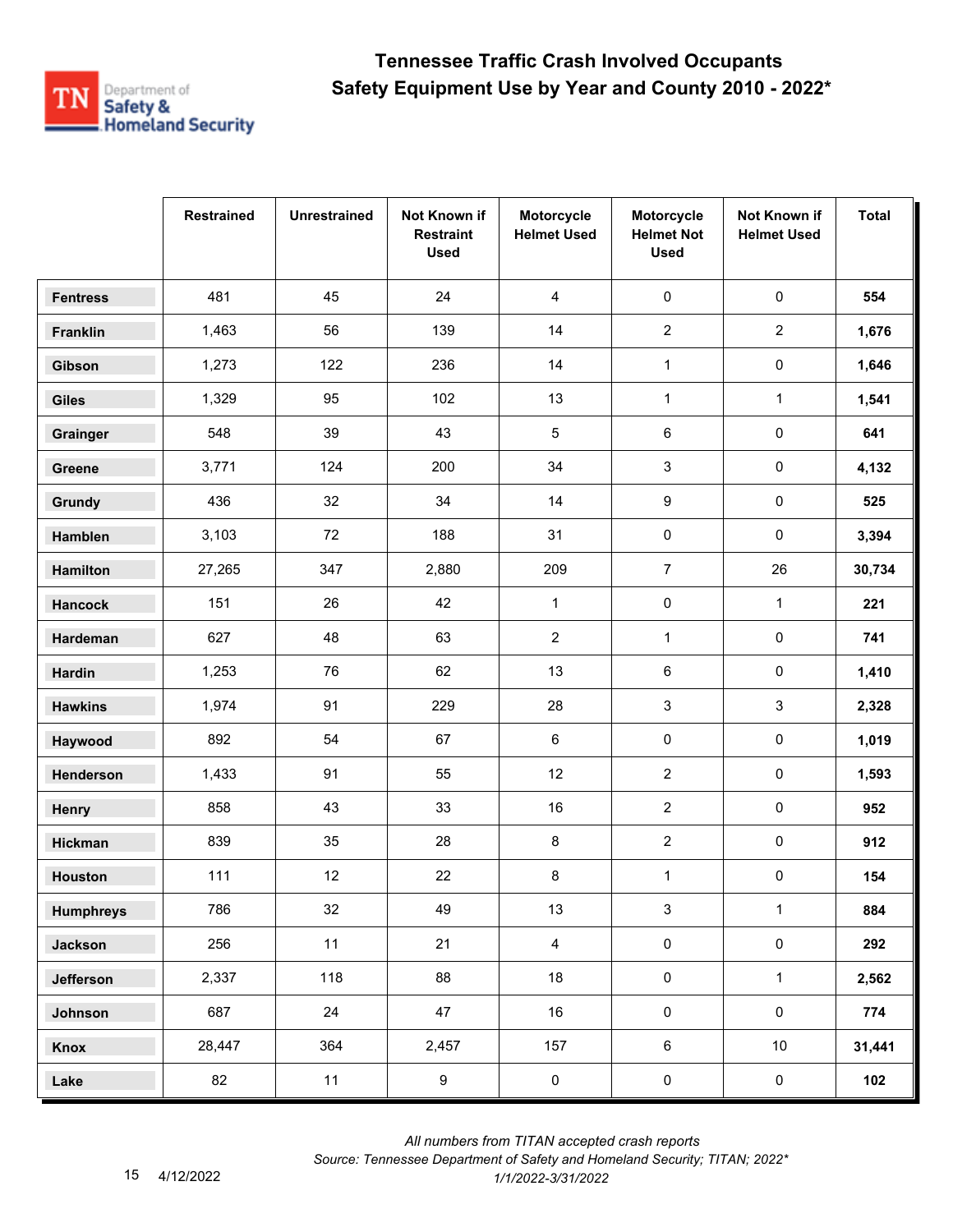

|                  | <b>Restrained</b> | <b>Unrestrained</b> | Not Known if<br><b>Restraint</b><br><b>Used</b> | Motorcycle<br><b>Helmet Used</b> | Motorcycle<br><b>Helmet Not</b><br><b>Used</b> | Not Known if<br><b>Helmet Used</b> | <b>Total</b> |
|------------------|-------------------|---------------------|-------------------------------------------------|----------------------------------|------------------------------------------------|------------------------------------|--------------|
| <b>Fentress</b>  | 481               | 45                  | 24                                              | 4                                | 0                                              | $\pmb{0}$                          | 554          |
| Franklin         | 1,463             | 56                  | 139                                             | 14                               | $\overline{2}$                                 | $\overline{2}$                     | 1,676        |
| Gibson           | 1,273             | 122                 | 236                                             | 14                               | $\mathbf{1}$                                   | 0                                  | 1,646        |
| <b>Giles</b>     | 1,329             | 95                  | 102                                             | 13                               | $\mathbf{1}$                                   | $\mathbf{1}$                       | 1,541        |
| Grainger         | 548               | 39                  | 43                                              | $\overline{5}$                   | 6                                              | $\pmb{0}$                          | 641          |
| Greene           | 3,771             | 124                 | 200                                             | 34                               | 3                                              | 0                                  | 4,132        |
| Grundy           | 436               | 32                  | 34                                              | 14                               | 9                                              | 0                                  | 525          |
| Hamblen          | 3,103             | 72                  | 188                                             | 31                               | $\pmb{0}$                                      | 0                                  | 3,394        |
| Hamilton         | 27,265            | 347                 | 2,880                                           | 209                              | $\overline{7}$                                 | 26                                 | 30,734       |
| <b>Hancock</b>   | 151               | 26                  | 42                                              | $\mathbf{1}$                     | 0                                              | $\mathbf{1}$                       | 221          |
| Hardeman         | 627               | 48                  | 63                                              | $\overline{2}$                   | $\mathbf{1}$                                   | 0                                  | 741          |
| <b>Hardin</b>    | 1,253             | 76                  | 62                                              | 13                               | 6                                              | $\pmb{0}$                          | 1,410        |
| <b>Hawkins</b>   | 1,974             | 91                  | 229                                             | 28                               | 3                                              | 3                                  | 2,328        |
| Haywood          | 892               | 54                  | 67                                              | 6                                | $\pmb{0}$                                      | 0                                  | 1,019        |
| Henderson        | 1,433             | 91                  | 55                                              | 12                               | $\overline{2}$                                 | 0                                  | 1,593        |
| Henry            | 858               | 43                  | 33                                              | 16                               | $\overline{2}$                                 | $\pmb{0}$                          | 952          |
| Hickman          | 839               | 35                  | 28                                              | 8                                | $\overline{2}$                                 | 0                                  | 912          |
| <b>Houston</b>   | 111               | 12                  | 22                                              | 8                                | $\mathbf{1}$                                   | 0                                  | 154          |
| <b>Humphreys</b> | 786               | 32                  | 49                                              | 13                               | 3                                              | $\mathbf{1}$                       | 884          |
| <b>Jackson</b>   | 256               | 11                  | 21                                              | $\overline{4}$                   | $\pmb{0}$                                      | $\pmb{0}$                          | 292          |
| Jefferson        | 2,337             | 118                 | 88                                              | 18                               | $\pmb{0}$                                      | $\mathbf{1}$                       | 2,562        |
| Johnson          | 687               | 24                  | 47                                              | 16                               | $\pmb{0}$                                      | $\mathbf 0$                        | 774          |
| Knox             | 28,447            | 364                 | 2,457                                           | 157                              | $\,6\,$                                        | 10 <sub>1</sub>                    | 31,441       |
| Lake             | 82                | 11                  | $\boldsymbol{9}$                                | $\pmb{0}$                        | $\pmb{0}$                                      | $\pmb{0}$                          | 102          |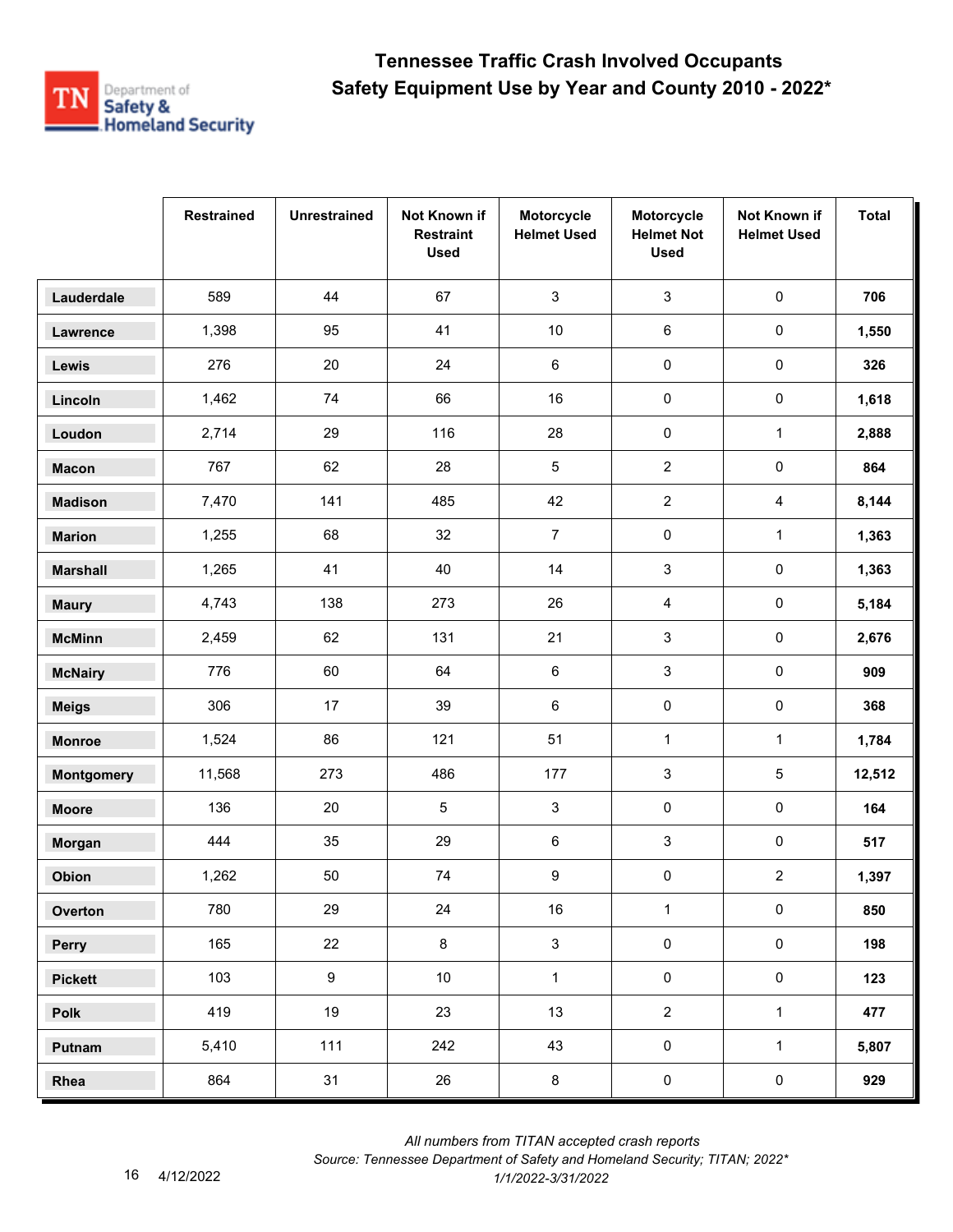

|                   | <b>Restrained</b> | <b>Unrestrained</b> | Not Known if<br><b>Restraint</b><br><b>Used</b> | Motorcycle<br><b>Helmet Used</b> | Motorcycle<br><b>Helmet Not</b><br><b>Used</b> | Not Known if<br><b>Helmet Used</b> | <b>Total</b> |
|-------------------|-------------------|---------------------|-------------------------------------------------|----------------------------------|------------------------------------------------|------------------------------------|--------------|
| Lauderdale        | 589               | 44                  | 67                                              | $\mathbf{3}$                     | $\mathbf{3}$                                   | $\pmb{0}$                          | 706          |
| Lawrence          | 1,398             | 95                  | 41                                              | $10$                             | 6                                              | $\pmb{0}$                          | 1,550        |
| Lewis             | 276               | 20                  | 24                                              | 6                                | $\pmb{0}$                                      | 0                                  | 326          |
| Lincoln           | 1,462             | 74                  | 66                                              | 16                               | 0                                              | 0                                  | 1,618        |
| Loudon            | 2,714             | 29                  | 116                                             | 28                               | $\pmb{0}$                                      | $\mathbf{1}$                       | 2,888        |
| <b>Macon</b>      | 767               | 62                  | 28                                              | 5                                | $\overline{2}$                                 | $\pmb{0}$                          | 864          |
| <b>Madison</b>    | 7,470             | 141                 | 485                                             | 42                               | $\overline{2}$                                 | $\overline{4}$                     | 8,144        |
| <b>Marion</b>     | 1,255             | 68                  | 32                                              | $\overline{7}$                   | $\pmb{0}$                                      | $\mathbf{1}$                       | 1,363        |
| <b>Marshall</b>   | 1,265             | 41                  | 40                                              | 14                               | 3                                              | 0                                  | 1,363        |
| <b>Maury</b>      | 4,743             | 138                 | 273                                             | 26                               | 4                                              | $\pmb{0}$                          | 5,184        |
| <b>McMinn</b>     | 2,459             | 62                  | 131                                             | 21                               | 3                                              | 0                                  | 2,676        |
| <b>McNairy</b>    | 776               | 60                  | 64                                              | 6                                | 3                                              | $\pmb{0}$                          | 909          |
| <b>Meigs</b>      | 306               | 17                  | 39                                              | 6                                | $\pmb{0}$                                      | $\mathsf{O}\xspace$                | 368          |
| <b>Monroe</b>     | 1,524             | 86                  | 121                                             | 51                               | $\mathbf{1}$                                   | $\mathbf{1}$                       | 1,784        |
| <b>Montgomery</b> | 11,568            | 273                 | 486                                             | 177                              | 3                                              | 5                                  | 12,512       |
| <b>Moore</b>      | 136               | 20                  | $\sqrt{5}$                                      | 3                                | 0                                              | $\pmb{0}$                          | 164          |
| Morgan            | 444               | 35                  | 29                                              | 6                                | 3                                              | 0                                  | 517          |
| Obion             | 1,262             | 50                  | 74                                              | 9                                | 0                                              | $\overline{a}$                     | 1,397        |
| Overton           | 780               | 29                  | 24                                              | $16\,$                           | $\mathbf{1}$                                   | $\mathsf{O}\xspace$                | 850          |
| Perry             | 165               | 22                  | 8                                               | $\mathbf{3}$                     | $\pmb{0}$                                      | $\mathbf 0$                        | 198          |
| <b>Pickett</b>    | 103               | $9\,$               | $10$                                            | $\mathbf{1}$                     | $\pmb{0}$                                      | $\mathsf{O}\xspace$                | 123          |
| Polk              | 419               | 19                  | 23                                              | 13                               | $\overline{2}$                                 | $\mathbf{1}$                       | 477          |
| Putnam            | 5,410             | 111                 | 242                                             | 43                               | $\pmb{0}$                                      | $\mathbf{1}$                       | 5,807        |
| Rhea              | 864               | 31                  | 26                                              | $\bf 8$                          | $\pmb{0}$                                      | $\mathbf 0$                        | 929          |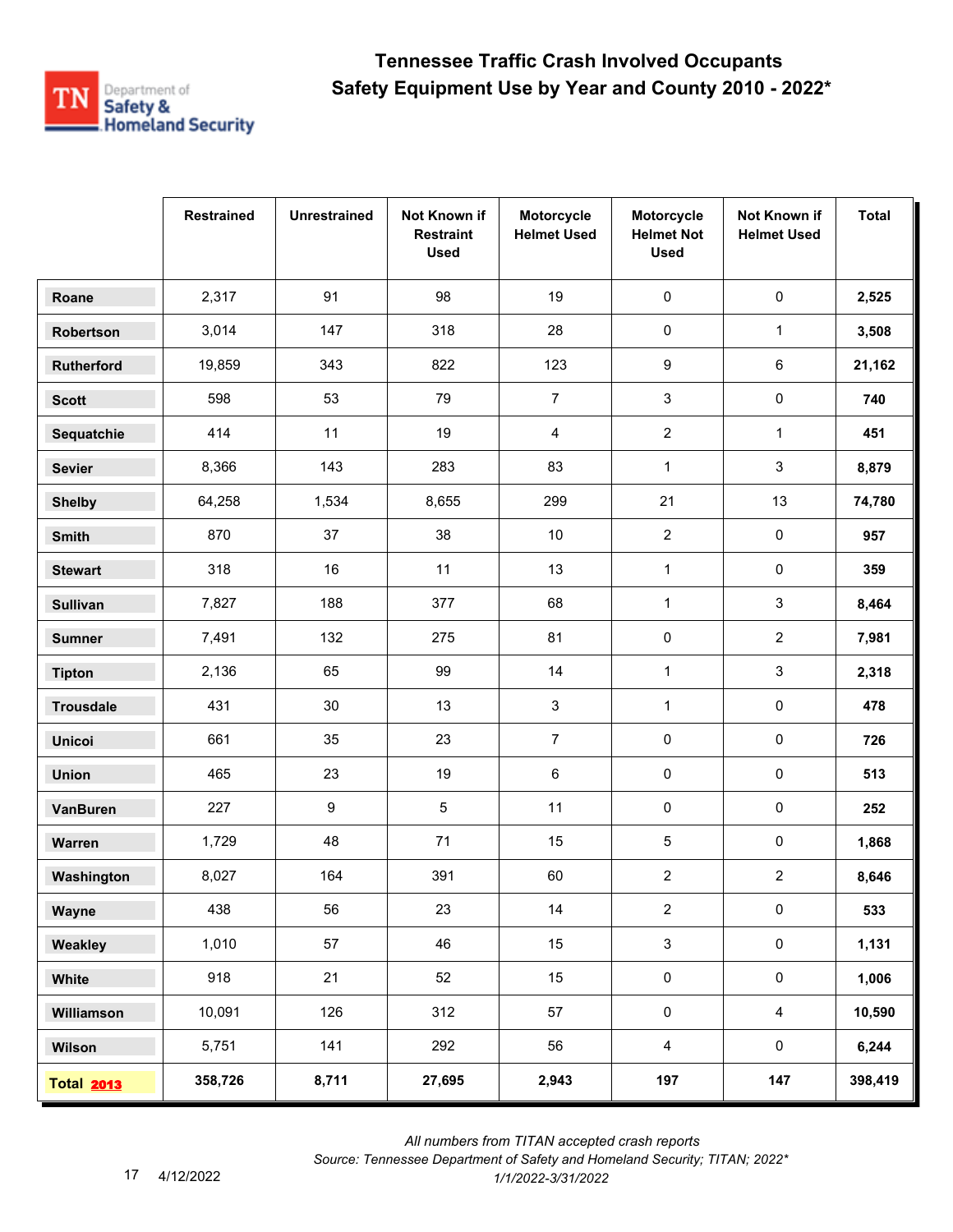

|                   | <b>Restrained</b> | <b>Unrestrained</b> | Not Known if<br><b>Restraint</b><br><b>Used</b> | Motorcycle<br><b>Helmet Used</b> | Motorcycle<br><b>Helmet Not</b><br><b>Used</b> | Not Known if<br><b>Helmet Used</b> | <b>Total</b> |
|-------------------|-------------------|---------------------|-------------------------------------------------|----------------------------------|------------------------------------------------|------------------------------------|--------------|
| Roane             | 2,317             | 91                  | 98                                              | 19                               | $\pmb{0}$                                      | $\pmb{0}$                          | 2,525        |
| Robertson         | 3,014             | 147                 | 318                                             | 28                               | $\pmb{0}$                                      | $\mathbf{1}$                       | 3,508        |
| Rutherford        | 19,859            | 343                 | 822                                             | 123                              | 9                                              | 6                                  | 21,162       |
| <b>Scott</b>      | 598               | 53                  | 79                                              | $\overline{7}$                   | 3                                              | 0                                  | 740          |
| Sequatchie        | 414               | 11                  | 19                                              | 4                                | $\overline{2}$                                 | $\mathbf{1}$                       | 451          |
| <b>Sevier</b>     | 8,366             | 143                 | 283                                             | 83                               | $\mathbf{1}$                                   | 3                                  | 8,879        |
| <b>Shelby</b>     | 64,258            | 1,534               | 8,655                                           | 299                              | 21                                             | 13                                 | 74,780       |
| Smith             | 870               | 37                  | 38                                              | $10\,$                           | $\overline{2}$                                 | 0                                  | 957          |
| <b>Stewart</b>    | 318               | 16                  | 11                                              | 13                               | $\mathbf{1}$                                   | 0                                  | 359          |
| <b>Sullivan</b>   | 7,827             | 188                 | 377                                             | 68                               | $\mathbf{1}$                                   | 3                                  | 8,464        |
| <b>Sumner</b>     | 7,491             | 132                 | 275                                             | 81                               | $\pmb{0}$                                      | $\overline{a}$                     | 7,981        |
| <b>Tipton</b>     | 2,136             | 65                  | 99                                              | 14                               | $\mathbf{1}$                                   | 3                                  | 2,318        |
| <b>Trousdale</b>  | 431               | 30                  | 13                                              | 3                                | $\mathbf{1}$                                   | $\pmb{0}$                          | 478          |
| <b>Unicoi</b>     | 661               | 35                  | 23                                              | $\overline{7}$                   | 0                                              | 0                                  | 726          |
| <b>Union</b>      | 465               | 23                  | 19                                              | 6                                | 0                                              | 0                                  | 513          |
| VanBuren          | 227               | 9                   | 5                                               | 11                               | 0                                              | $\pmb{0}$                          | 252          |
| Warren            | 1,729             | 48                  | 71                                              | 15                               | 5                                              | 0                                  | 1,868        |
| Washington        | 8,027             | 164                 | 391                                             | 60                               | $\overline{2}$                                 | $\overline{c}$                     | 8,646        |
| Wayne             | 438               | 56                  | 23                                              | 14                               | $\overline{2}$                                 | $\pmb{0}$                          | 533          |
| Weakley           | 1,010             | 57                  | 46                                              | 15                               | $\mathbf{3}$                                   | $\mathsf{O}\xspace$                | 1,131        |
| White             | 918               | 21                  | 52                                              | 15                               | $\pmb{0}$                                      | $\mathbf 0$                        | 1,006        |
| Williamson        | 10,091            | 126                 | 312                                             | 57                               | $\pmb{0}$                                      | $\overline{4}$                     | 10,590       |
| Wilson            | 5,751             | 141                 | 292                                             | 56                               | $\overline{4}$                                 | $\mathbf 0$                        | 6,244        |
| <b>Total 2013</b> | 358,726           | 8,711               | 27,695                                          | 2,943                            | 197                                            | 147                                | 398,419      |

*Source: Tennessee Department of Safety and Homeland Security; TITAN; 2022\**  4/12/2022 *1/1/2022-3/31/2022*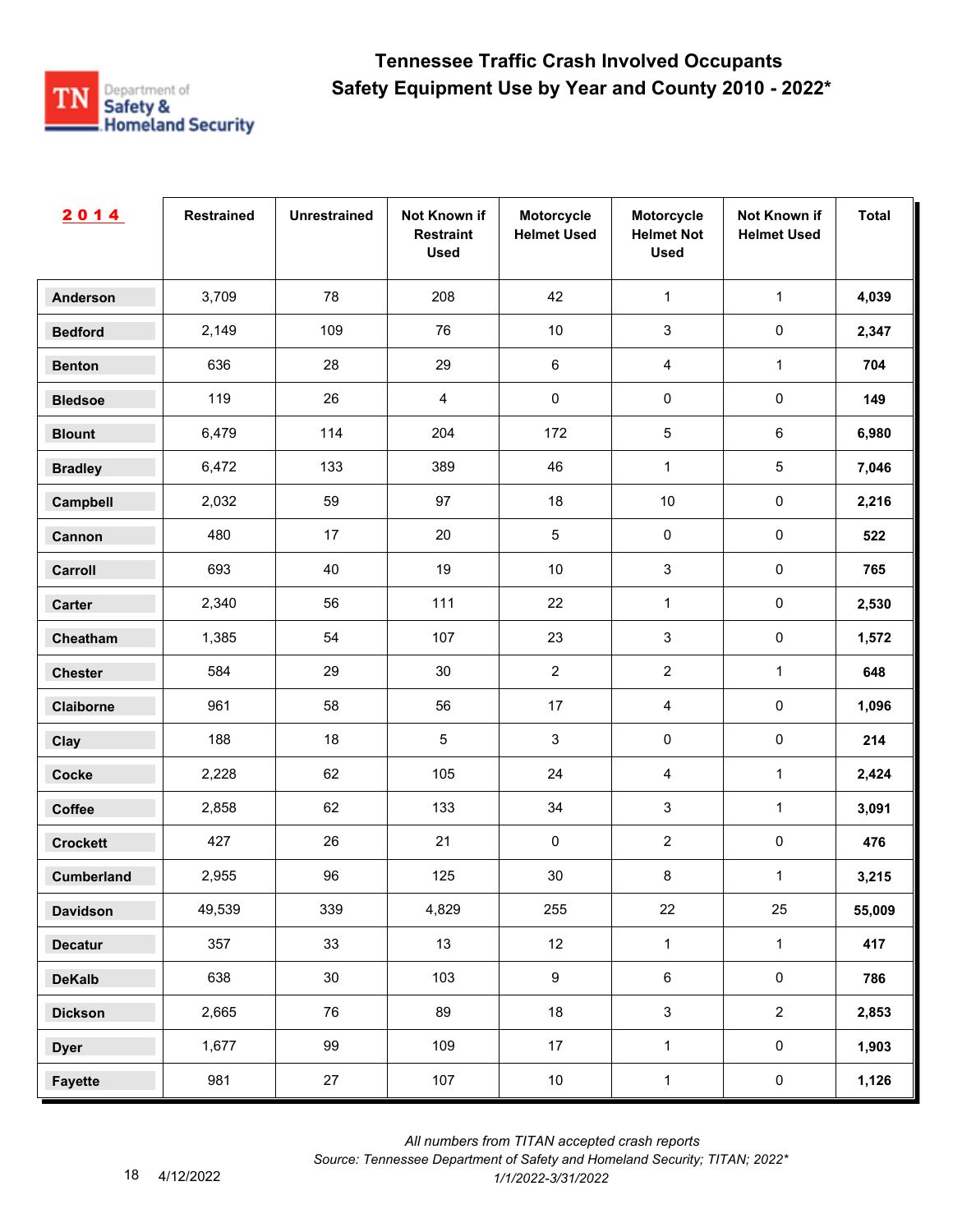

| 2014              | <b>Restrained</b> | <b>Unrestrained</b> | Not Known if<br><b>Restraint</b><br><b>Used</b> | Motorcycle<br><b>Helmet Used</b> | Motorcycle<br><b>Helmet Not</b><br><b>Used</b> | Not Known if<br><b>Helmet Used</b> | <b>Total</b> |
|-------------------|-------------------|---------------------|-------------------------------------------------|----------------------------------|------------------------------------------------|------------------------------------|--------------|
| <b>Anderson</b>   | 3,709             | 78                  | 208                                             | 42                               | $\mathbf{1}$                                   | $\mathbf 1$                        | 4,039        |
| <b>Bedford</b>    | 2,149             | 109                 | 76                                              | $10$                             | $\sqrt{3}$                                     | $\pmb{0}$                          | 2,347        |
| <b>Benton</b>     | 636               | 28                  | 29                                              | $\,6\,$                          | $\overline{4}$                                 | $\mathbf{1}$                       | 704          |
| <b>Bledsoe</b>    | 119               | 26                  | $\overline{4}$                                  | $\pmb{0}$                        | $\pmb{0}$                                      | $\pmb{0}$                          | 149          |
| <b>Blount</b>     | 6,479             | 114                 | 204                                             | 172                              | $\sqrt{5}$                                     | $\,6$                              | 6,980        |
| <b>Bradley</b>    | 6,472             | 133                 | 389                                             | 46                               | $\mathbf{1}$                                   | $\sqrt{5}$                         | 7,046        |
| Campbell          | 2,032             | 59                  | 97                                              | 18                               | $10$                                           | $\pmb{0}$                          | 2,216        |
| Cannon            | 480               | 17                  | 20                                              | $\sqrt{5}$                       | $\pmb{0}$                                      | $\pmb{0}$                          | 522          |
| Carroll           | 693               | 40                  | 19                                              | $10$                             | $\mathbf{3}$                                   | $\pmb{0}$                          | 765          |
| Carter            | 2,340             | 56                  | 111                                             | 22                               | $\mathbf{1}$                                   | $\mathbf 0$                        | 2,530        |
| Cheatham          | 1,385             | 54                  | 107                                             | 23                               | $\mathbf{3}$                                   | $\pmb{0}$                          | 1,572        |
| <b>Chester</b>    | 584               | 29                  | 30                                              | $\overline{2}$                   | $\overline{2}$                                 | $\mathbf{1}$                       | 648          |
| Claiborne         | 961               | 58                  | 56                                              | 17                               | $\overline{4}$                                 | $\pmb{0}$                          | 1,096        |
| Clay              | 188               | 18                  | $\sqrt{5}$                                      | $\sqrt{3}$                       | $\pmb{0}$                                      | $\pmb{0}$                          | 214          |
| <b>Cocke</b>      | 2,228             | 62                  | 105                                             | 24                               | 4                                              | $\mathbf{1}$                       | 2,424        |
| Coffee            | 2,858             | 62                  | 133                                             | 34                               | 3                                              | $\mathbf{1}$                       | 3,091        |
| <b>Crockett</b>   | 427               | 26                  | 21                                              | 0                                | $\overline{2}$                                 | $\pmb{0}$                          | 476          |
| <b>Cumberland</b> | 2,955             | 96                  | 125                                             | $30\,$                           | 8                                              | $\mathbf{1}$                       | 3,215        |
| <b>Davidson</b>   | 49,539            | 339                 | 4,829                                           | 255                              | 22                                             | 25                                 | 55,009       |
| <b>Decatur</b>    | 357               | 33                  | 13                                              | 12                               | $\mathbf{1}$                                   | $\mathbf{1}$                       | 417          |
| <b>DeKalb</b>     | 638               | 30                  | 103                                             | 9                                | $\,6\,$                                        | $\pmb{0}$                          | 786          |
| <b>Dickson</b>    | 2,665             | 76                  | 89                                              | 18                               | $\sqrt{3}$                                     | $\overline{2}$                     | 2,853        |
| <b>Dyer</b>       | 1,677             | 99                  | 109                                             | 17                               | $\mathbf{1}$                                   | $\mathbf 0$                        | 1,903        |
| <b>Fayette</b>    | 981               | 27                  | 107                                             | $10\,$                           | $\mathbf{1}$                                   | $\pmb{0}$                          | 1,126        |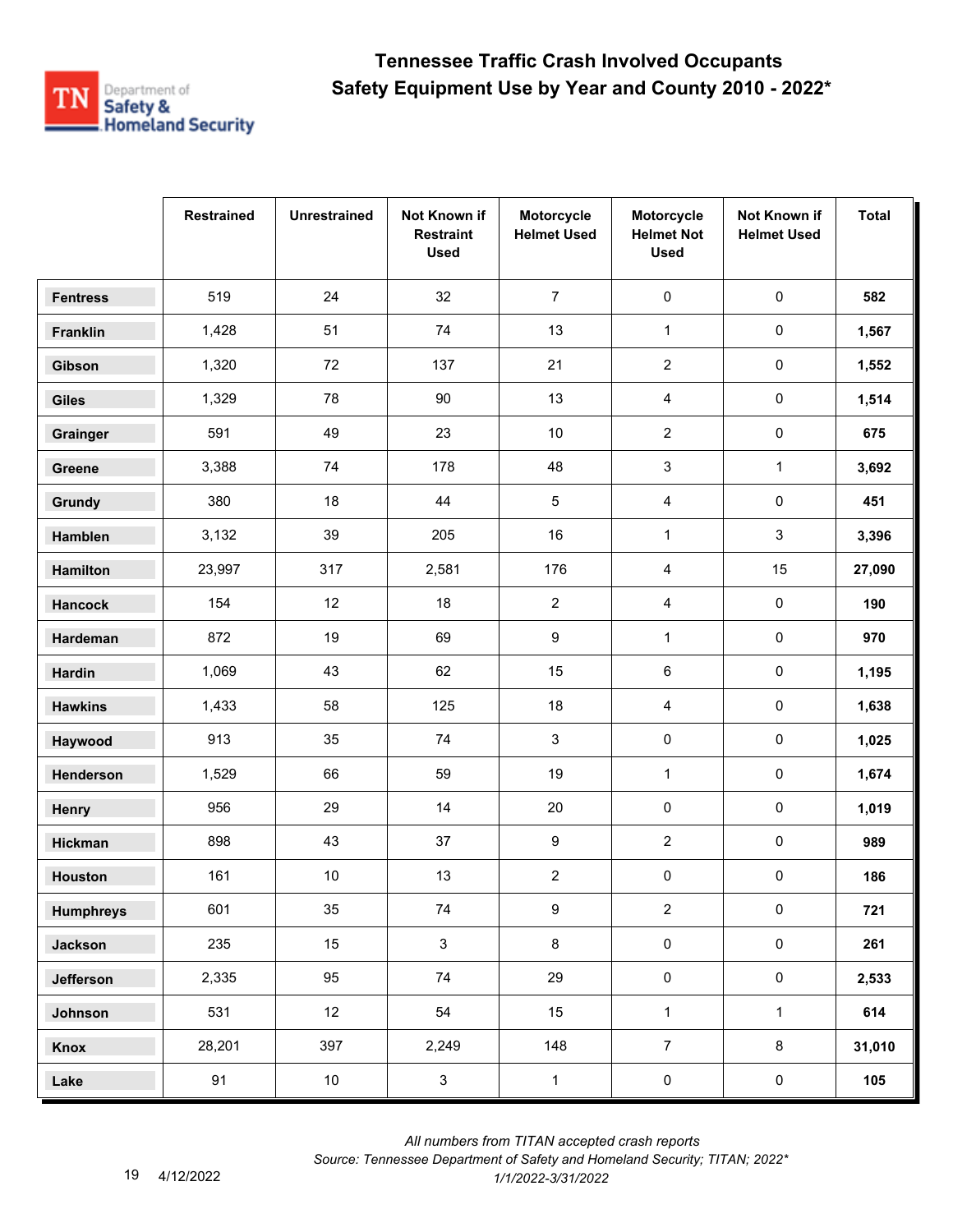

|                  | <b>Restrained</b> | <b>Unrestrained</b> | Not Known if<br><b>Restraint</b><br><b>Used</b> | Motorcycle<br><b>Helmet Used</b> | Motorcycle<br><b>Helmet Not</b><br><b>Used</b> | Not Known if<br><b>Helmet Used</b> | <b>Total</b> |
|------------------|-------------------|---------------------|-------------------------------------------------|----------------------------------|------------------------------------------------|------------------------------------|--------------|
| <b>Fentress</b>  | 519               | 24                  | 32                                              | $\overline{7}$                   | $\pmb{0}$                                      | $\pmb{0}$                          | 582          |
| Franklin         | 1,428             | 51                  | 74                                              | 13                               | $\mathbf{1}$                                   | $\pmb{0}$                          | 1,567        |
| Gibson           | 1,320             | 72                  | 137                                             | 21                               | $\overline{2}$                                 | 0                                  | 1,552        |
| <b>Giles</b>     | 1,329             | 78                  | 90                                              | 13                               | 4                                              | 0                                  | 1,514        |
| Grainger         | 591               | 49                  | 23                                              | $10\,$                           | $\overline{2}$                                 | 0                                  | 675          |
| Greene           | 3,388             | 74                  | 178                                             | 48                               | 3                                              | $\mathbf{1}$                       | 3,692        |
| Grundy           | 380               | 18                  | 44                                              | 5                                | 4                                              | 0                                  | 451          |
| Hamblen          | 3,132             | 39                  | 205                                             | 16                               | $\mathbf{1}$                                   | 3                                  | 3,396        |
| Hamilton         | 23,997            | 317                 | 2,581                                           | 176                              | 4                                              | 15                                 | 27,090       |
| <b>Hancock</b>   | 154               | 12                  | 18                                              | $\overline{a}$                   | 4                                              | $\pmb{0}$                          | 190          |
| Hardeman         | 872               | 19                  | 69                                              | 9                                | $\mathbf{1}$                                   | 0                                  | 970          |
| Hardin           | 1,069             | 43                  | 62                                              | 15                               | 6                                              | $\pmb{0}$                          | 1,195        |
| <b>Hawkins</b>   | 1,433             | 58                  | 125                                             | 18                               | 4                                              | $\pmb{0}$                          | 1,638        |
| Haywood          | 913               | 35                  | 74                                              | $\mathbf{3}$                     | 0                                              | 0                                  | 1,025        |
| Henderson        | 1,529             | 66                  | 59                                              | 19                               | $\mathbf{1}$                                   | 0                                  | 1,674        |
| Henry            | 956               | 29                  | 14                                              | 20                               | 0                                              | $\pmb{0}$                          | 1,019        |
| Hickman          | 898               | 43                  | 37                                              | 9                                | $\overline{2}$                                 | 0                                  | 989          |
| <b>Houston</b>   | 161               | $10\,$              | 13                                              | $\overline{2}$                   | 0                                              | 0                                  | 186          |
| <b>Humphreys</b> | 601               | 35                  | 74                                              | $\boldsymbol{9}$                 | $\overline{2}$                                 | $\mathsf{O}\xspace$                | 721          |
| <b>Jackson</b>   | 235               | 15                  | $\mathbf{3}$                                    | $\bf 8$                          | $\pmb{0}$                                      | $\mathbf 0$                        | 261          |
| Jefferson        | 2,335             | 95                  | 74                                              | 29                               | $\mathsf 0$                                    | $\mathsf{O}\xspace$                | 2,533        |
| Johnson          | 531               | 12 <sup>°</sup>     | 54                                              | 15                               | $\mathbf{1}$                                   | $\mathbf{1}$                       | 614          |
| Knox             | 28,201            | 397                 | 2,249                                           | 148                              | $\overline{7}$                                 | $\bf 8$                            | 31,010       |
| Lake             | 91                | 10                  | $\mathbf{3}$                                    | $\mathbf{1}$                     | $\pmb{0}$                                      | $\mathbf 0$                        | 105          |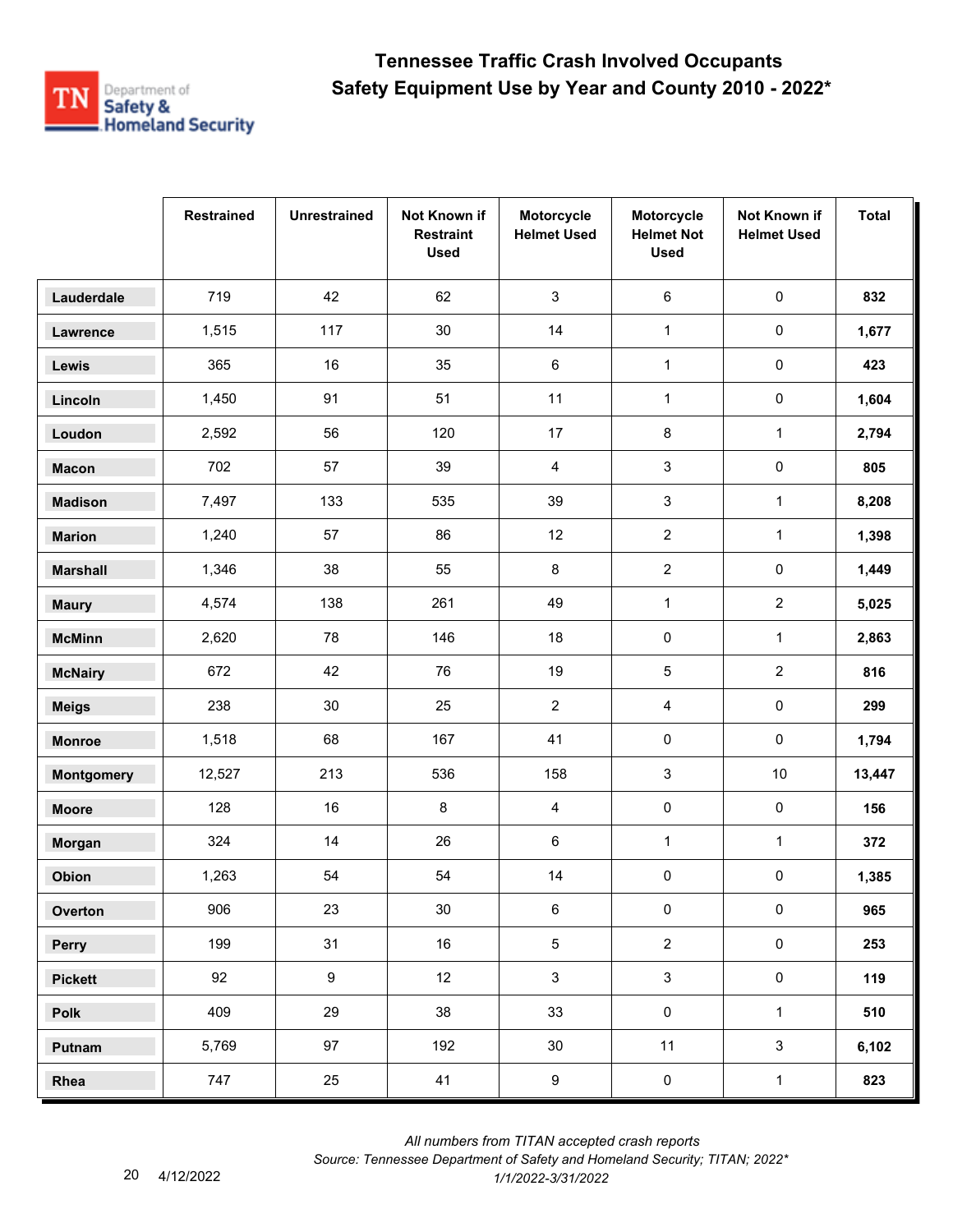

|                   | <b>Restrained</b> | <b>Unrestrained</b> | Not Known if<br><b>Restraint</b><br><b>Used</b> | Motorcycle<br><b>Helmet Used</b> | Motorcycle<br><b>Helmet Not</b><br><b>Used</b> | Not Known if<br><b>Helmet Used</b> | <b>Total</b> |
|-------------------|-------------------|---------------------|-------------------------------------------------|----------------------------------|------------------------------------------------|------------------------------------|--------------|
| Lauderdale        | 719               | 42                  | 62                                              | $\mathbf{3}$                     | $\,6\,$                                        | $\pmb{0}$                          | 832          |
| Lawrence          | 1,515             | 117                 | $30\,$                                          | 14                               | $\mathbf{1}$                                   | $\mathsf{O}\xspace$                | 1,677        |
| Lewis             | 365               | 16                  | 35                                              | 6                                | $\mathbf{1}$                                   | 0                                  | 423          |
| Lincoln           | 1,450             | 91                  | 51                                              | 11                               | $\mathbf{1}$                                   | 0                                  | 1,604        |
| Loudon            | 2,592             | 56                  | 120                                             | 17                               | 8                                              | $\mathbf{1}$                       | 2,794        |
| <b>Macon</b>      | 702               | 57                  | 39                                              | 4                                | 3                                              | 0                                  | 805          |
| <b>Madison</b>    | 7,497             | 133                 | 535                                             | 39                               | 3                                              | $\mathbf{1}$                       | 8,208        |
| <b>Marion</b>     | 1,240             | 57                  | 86                                              | 12                               | $\overline{2}$                                 | $\mathbf{1}$                       | 1,398        |
| <b>Marshall</b>   | 1,346             | 38                  | 55                                              | 8                                | $\overline{a}$                                 | 0                                  | 1,449        |
| <b>Maury</b>      | 4,574             | 138                 | 261                                             | 49                               | $\mathbf{1}$                                   | $\overline{a}$                     | 5,025        |
| <b>McMinn</b>     | 2,620             | 78                  | 146                                             | 18                               | $\pmb{0}$                                      | $\mathbf{1}$                       | 2,863        |
| <b>McNairy</b>    | 672               | 42                  | 76                                              | 19                               | 5                                              | $\overline{a}$                     | 816          |
| <b>Meigs</b>      | 238               | 30                  | 25                                              | $\overline{2}$                   | 4                                              | $\pmb{0}$                          | 299          |
| <b>Monroe</b>     | 1,518             | 68                  | 167                                             | 41                               | $\pmb{0}$                                      | 0                                  | 1,794        |
| <b>Montgomery</b> | 12,527            | 213                 | 536                                             | 158                              | 3                                              | 10                                 | 13,447       |
| <b>Moore</b>      | 128               | 16                  | 8                                               | 4                                | $\pmb{0}$                                      | $\pmb{0}$                          | 156          |
| Morgan            | 324               | 14                  | 26                                              | 6                                | $\mathbf{1}$                                   | $\mathbf{1}$                       | 372          |
| Obion             | 1,263             | 54                  | 54                                              | 14                               | 0                                              | 0                                  | 1,385        |
| Overton           | 906               | 23                  | $30\,$                                          | 6                                | $\pmb{0}$                                      | $\pmb{0}$                          | 965          |
| Perry             | 199               | 31                  | 16                                              | $\overline{5}$                   | $\overline{2}$                                 | $\mathsf{O}\xspace$                | 253          |
| <b>Pickett</b>    | 92                | 9                   | 12                                              | $\mathbf{3}$                     | $\mathfrak{S}$                                 | $\mathsf{O}\xspace$                | 119          |
| Polk              | 409               | 29                  | 38                                              | 33                               | $\mathsf{O}\xspace$                            | $\mathbf{1}$                       | 510          |
| Putnam            | 5,769             | 97                  | 192                                             | 30                               | 11                                             | $\mathbf{3}$                       | 6,102        |
| Rhea              | 747               | 25                  | 41                                              | $\boldsymbol{9}$                 | $\pmb{0}$                                      | $\mathbf 1$                        | 823          |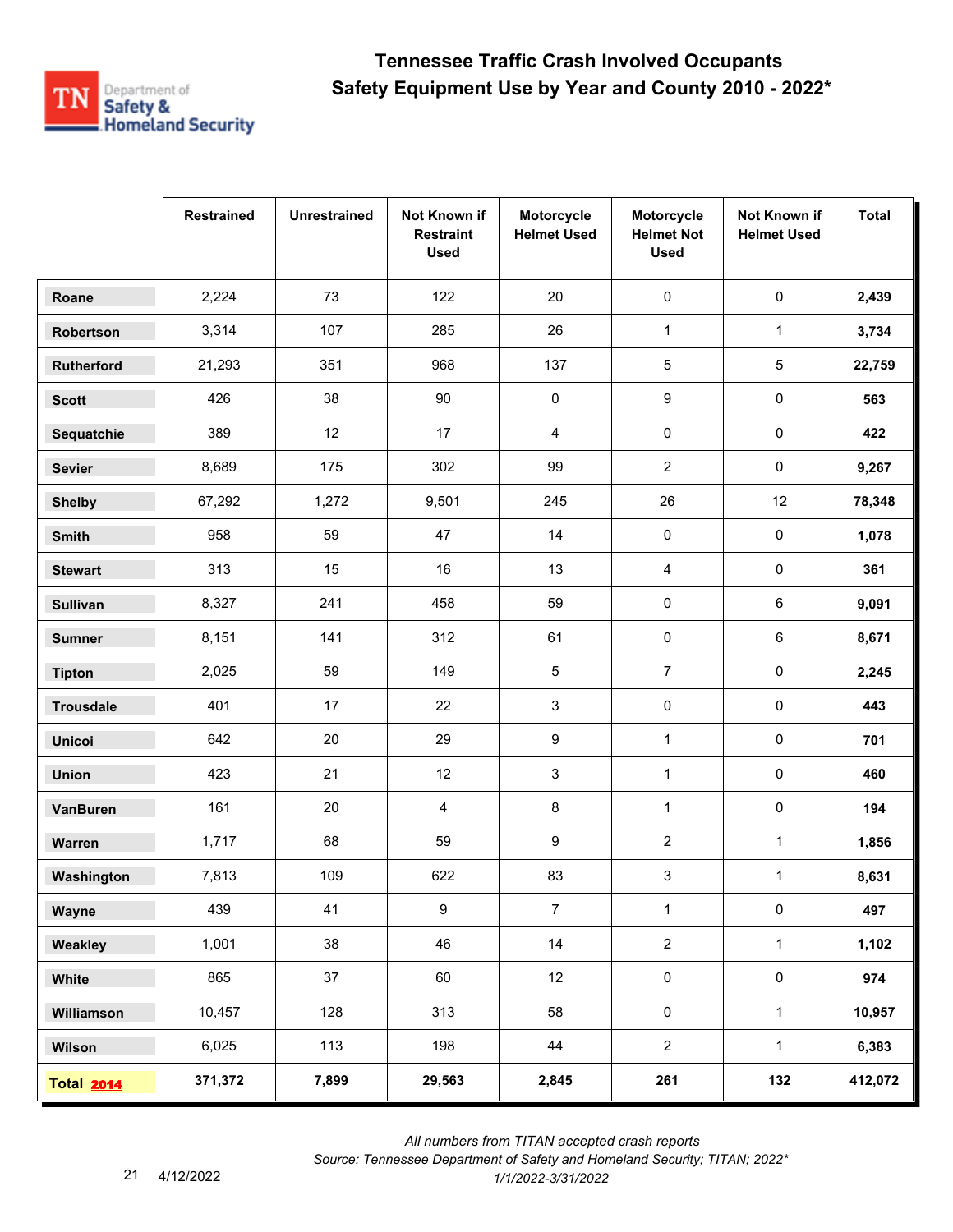

|                   | <b>Restrained</b> | <b>Unrestrained</b> | Not Known if<br><b>Restraint</b><br><b>Used</b> | Motorcycle<br><b>Helmet Used</b> | Motorcycle<br><b>Helmet Not</b><br><b>Used</b> | Not Known if<br><b>Helmet Used</b> | <b>Total</b> |
|-------------------|-------------------|---------------------|-------------------------------------------------|----------------------------------|------------------------------------------------|------------------------------------|--------------|
| Roane             | 2,224             | 73                  | 122                                             | 20                               | $\pmb{0}$                                      | $\pmb{0}$                          | 2,439        |
| Robertson         | 3,314             | 107                 | 285                                             | 26                               | $\mathbf{1}$                                   | $\mathbf{1}$                       | 3,734        |
| Rutherford        | 21,293            | 351                 | 968                                             | 137                              | 5                                              | 5                                  | 22,759       |
| <b>Scott</b>      | 426               | 38                  | 90                                              | 0                                | 9                                              | 0                                  | 563          |
| Sequatchie        | 389               | 12                  | 17                                              | 4                                | 0                                              | 0                                  | 422          |
| <b>Sevier</b>     | 8,689             | 175                 | 302                                             | 99                               | $\overline{2}$                                 | $\pmb{0}$                          | 9,267        |
| <b>Shelby</b>     | 67,292            | 1,272               | 9,501                                           | 245                              | 26                                             | 12                                 | 78,348       |
| Smith             | 958               | 59                  | 47                                              | 14                               | $\pmb{0}$                                      | 0                                  | 1,078        |
| <b>Stewart</b>    | 313               | 15                  | 16                                              | 13                               | 4                                              | 0                                  | 361          |
| <b>Sullivan</b>   | 8,327             | 241                 | 458                                             | 59                               | 0                                              | 6                                  | 9,091        |
| <b>Sumner</b>     | 8,151             | 141                 | 312                                             | 61                               | $\pmb{0}$                                      | 6                                  | 8,671        |
| <b>Tipton</b>     | 2,025             | 59                  | 149                                             | 5                                | $\overline{7}$                                 | 0                                  | 2,245        |
| <b>Trousdale</b>  | 401               | 17                  | 22                                              | 3                                | $\pmb{0}$                                      | $\pmb{0}$                          | 443          |
| <b>Unicoi</b>     | 642               | 20                  | 29                                              | 9                                | $\mathbf{1}$                                   | 0                                  | 701          |
| <b>Union</b>      | 423               | 21                  | 12                                              | 3                                | $\mathbf{1}$                                   | 0                                  | 460          |
| VanBuren          | 161               | 20                  | $\overline{4}$                                  | 8                                | $\mathbf{1}$                                   | $\pmb{0}$                          | 194          |
| Warren            | 1,717             | 68                  | 59                                              | 9                                | $\mathbf{2}$                                   | $\mathbf{1}$                       | 1,856        |
| Washington        | 7,813             | 109                 | 622                                             | 83                               | 3                                              | $\mathbf{1}$                       | 8,631        |
| Wayne             | 439               | 41                  | $\boldsymbol{9}$                                | $\overline{7}$                   | $\mathbf{1}$                                   | $\mathsf{O}\xspace$                | 497          |
| Weakley           | 1,001             | 38                  | 46                                              | 14                               | $\overline{2}$                                 | $\mathbf{1}$                       | 1,102        |
| White             | 865               | 37                  | 60                                              | 12                               | $\pmb{0}$                                      | $\mathsf{O}\xspace$                | 974          |
| Williamson        | 10,457            | 128                 | 313                                             | 58                               | $\pmb{0}$                                      | $\mathbf{1}$                       | 10,957       |
| Wilson            | 6,025             | 113                 | 198                                             | 44                               | $\overline{2}$                                 | $\mathbf{1}$                       | 6,383        |
| <b>Total 2014</b> | 371,372           | 7,899               | 29,563                                          | 2,845                            | 261                                            | 132                                | 412,072      |

*Source: Tennessee Department of Safety and Homeland Security; TITAN; 2022\**  4/12/2022 *1/1/2022-3/31/2022*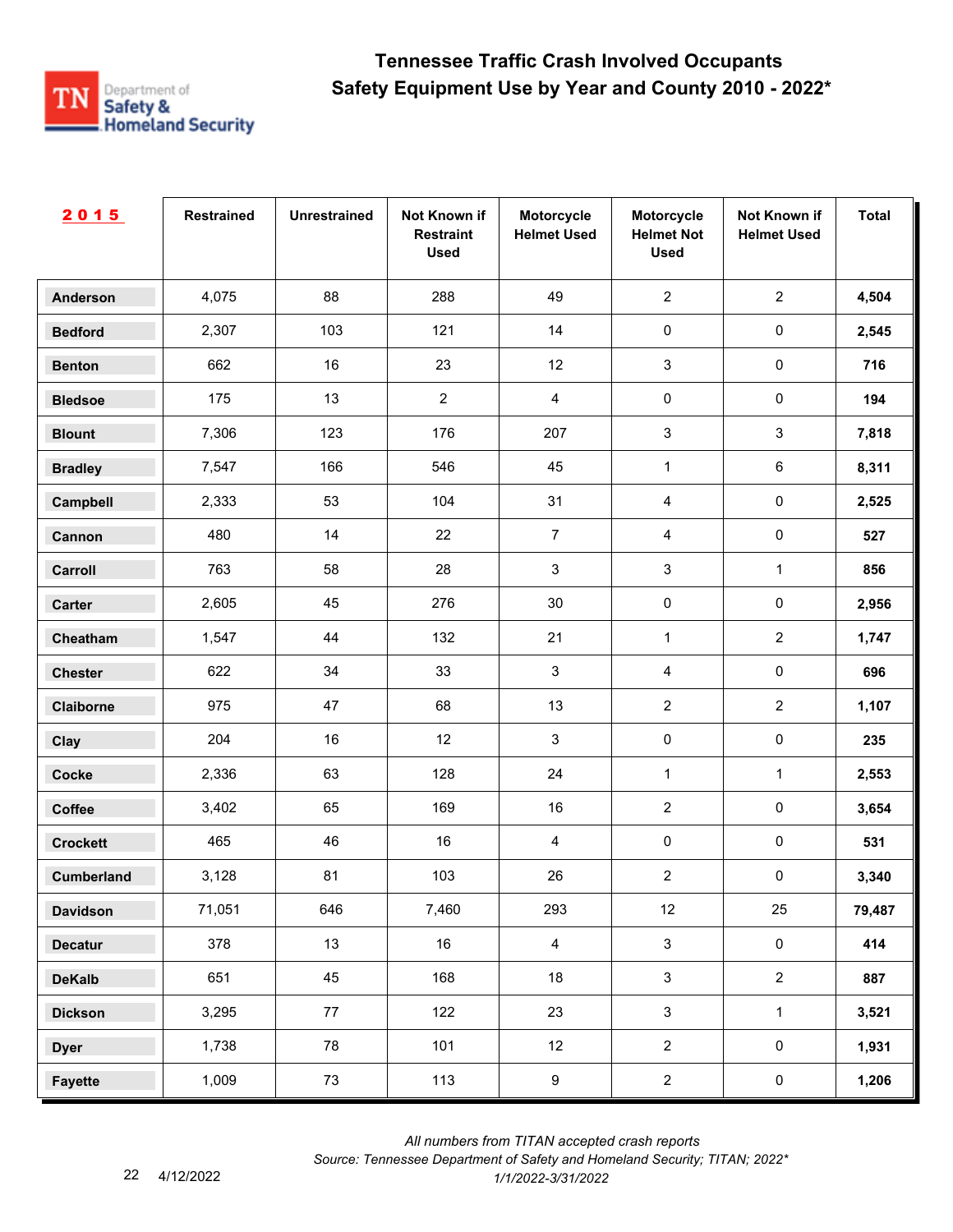

| 2015              | <b>Restrained</b> | <b>Unrestrained</b> | Not Known if<br><b>Restraint</b><br><b>Used</b> | Motorcycle<br><b>Helmet Used</b> | Motorcycle<br><b>Helmet Not</b><br><b>Used</b> | Not Known if<br><b>Helmet Used</b> | <b>Total</b> |
|-------------------|-------------------|---------------------|-------------------------------------------------|----------------------------------|------------------------------------------------|------------------------------------|--------------|
| <b>Anderson</b>   | 4,075             | 88                  | 288                                             | 49                               | $\overline{2}$                                 | $\overline{2}$                     | 4,504        |
| <b>Bedford</b>    | 2,307             | 103                 | 121                                             | 14                               | $\pmb{0}$                                      | $\pmb{0}$                          | 2,545        |
| <b>Benton</b>     | 662               | 16                  | 23                                              | 12                               | $\mathbf{3}$                                   | $\pmb{0}$                          | 716          |
| <b>Bledsoe</b>    | 175               | 13                  | $\overline{2}$                                  | $\overline{4}$                   | $\pmb{0}$                                      | $\pmb{0}$                          | 194          |
| <b>Blount</b>     | 7,306             | 123                 | 176                                             | 207                              | $\mathbf{3}$                                   | $\mathfrak{S}$                     | 7,818        |
| <b>Bradley</b>    | 7,547             | 166                 | 546                                             | 45                               | $\mathbf{1}$                                   | 6                                  | 8,311        |
| Campbell          | 2,333             | 53                  | 104                                             | 31                               | $\overline{4}$                                 | $\pmb{0}$                          | 2,525        |
| Cannon            | 480               | 14                  | 22                                              | $\overline{7}$                   | $\overline{4}$                                 | $\pmb{0}$                          | 527          |
| Carroll           | 763               | 58                  | 28                                              | 3                                | $\mathbf{3}$                                   | $\mathbf{1}$                       | 856          |
| Carter            | 2,605             | 45                  | 276                                             | 30                               | $\pmb{0}$                                      | $\pmb{0}$                          | 2,956        |
| Cheatham          | 1,547             | 44                  | 132                                             | 21                               | $\mathbf{1}$                                   | $\overline{2}$                     | 1,747        |
| <b>Chester</b>    | 622               | 34                  | 33                                              | 3                                | $\overline{4}$                                 | $\pmb{0}$                          | 696          |
| Claiborne         | 975               | 47                  | 68                                              | 13                               | $\overline{2}$                                 | $\overline{2}$                     | 1,107        |
| Clay              | 204               | 16                  | 12                                              | $\sqrt{3}$                       | $\pmb{0}$                                      | $\pmb{0}$                          | 235          |
| <b>Cocke</b>      | 2,336             | 63                  | 128                                             | 24                               | $\mathbf{1}$                                   | $\mathbf{1}$                       | 2,553        |
| Coffee            | 3,402             | 65                  | 169                                             | 16                               | $\overline{2}$                                 | $\pmb{0}$                          | 3,654        |
| <b>Crockett</b>   | 465               | 46                  | 16                                              | $\overline{4}$                   | $\pmb{0}$                                      | $\pmb{0}$                          | 531          |
| <b>Cumberland</b> | 3,128             | 81                  | 103                                             | 26                               | $\sqrt{2}$                                     | $\pmb{0}$                          | 3,340        |
| <b>Davidson</b>   | 71,051            | 646                 | 7,460                                           | 293                              | 12                                             | 25                                 | 79,487       |
| <b>Decatur</b>    | 378               | 13                  | 16                                              | $\overline{4}$                   | $\mathbf{3}$                                   | $\mathbf 0$                        | 414          |
| <b>DeKalb</b>     | 651               | 45                  | 168                                             | 18                               | $\mathbf{3}$                                   | $\overline{2}$                     | 887          |
| <b>Dickson</b>    | 3,295             | 77                  | 122                                             | 23                               | $\mathbf{3}$                                   | $\mathbf{1}$                       | 3,521        |
| <b>Dyer</b>       | 1,738             | 78                  | 101                                             | 12                               | $\overline{2}$                                 | $\mathbf 0$                        | 1,931        |
| <b>Fayette</b>    | 1,009             | 73                  | 113                                             | $\boldsymbol{9}$                 | $\overline{2}$                                 | $\mathbf 0$                        | 1,206        |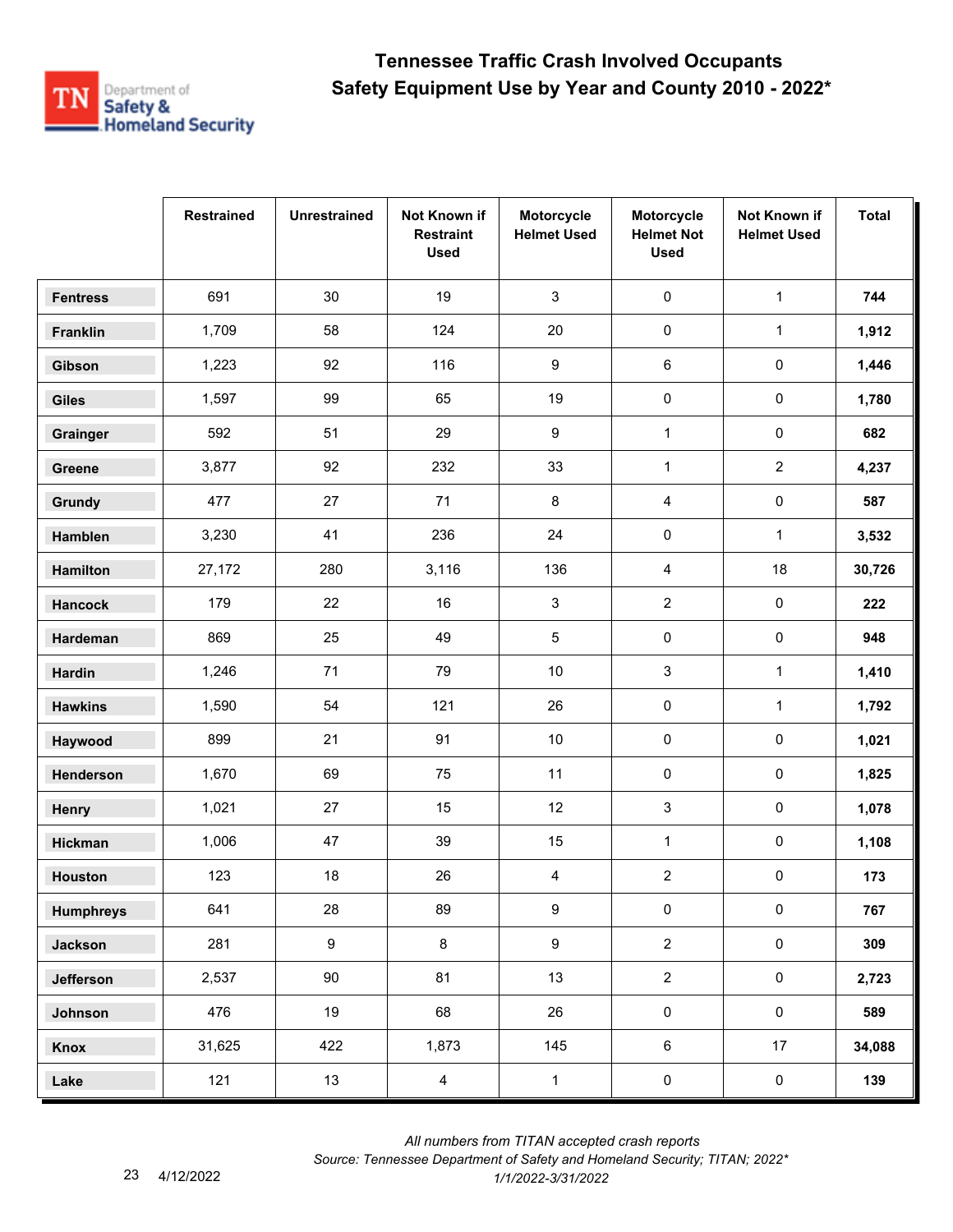

|                  | <b>Restrained</b> | <b>Unrestrained</b> | Not Known if<br><b>Restraint</b><br><b>Used</b> | Motorcycle<br><b>Helmet Used</b> | Motorcycle<br><b>Helmet Not</b><br><b>Used</b> | Not Known if<br><b>Helmet Used</b> | <b>Total</b> |
|------------------|-------------------|---------------------|-------------------------------------------------|----------------------------------|------------------------------------------------|------------------------------------|--------------|
| <b>Fentress</b>  | 691               | 30                  | 19                                              | $\mathbf{3}$                     | 0                                              | $\mathbf{1}$                       | 744          |
| Franklin         | 1,709             | 58                  | 124                                             | 20                               | $\pmb{0}$                                      | $\mathbf{1}$                       | 1,912        |
| Gibson           | 1,223             | 92                  | 116                                             | 9                                | 6                                              | 0                                  | 1,446        |
| <b>Giles</b>     | 1,597             | 99                  | 65                                              | 19                               | $\pmb{0}$                                      | 0                                  | 1,780        |
| Grainger         | 592               | 51                  | 29                                              | 9                                | $\mathbf{1}$                                   | $\pmb{0}$                          | 682          |
| Greene           | 3,877             | 92                  | 232                                             | 33                               | $\mathbf{1}$                                   | $\overline{a}$                     | 4,237        |
| Grundy           | 477               | 27                  | 71                                              | 8                                | 4                                              | 0                                  | 587          |
| Hamblen          | 3,230             | 41                  | 236                                             | 24                               | 0                                              | $\mathbf{1}$                       | 3,532        |
| Hamilton         | 27,172            | 280                 | 3,116                                           | 136                              | 4                                              | 18                                 | 30,726       |
| <b>Hancock</b>   | 179               | 22                  | 16                                              | 3                                | $\overline{2}$                                 | 0                                  | 222          |
| Hardeman         | 869               | 25                  | 49                                              | $\sqrt{5}$                       | $\pmb{0}$                                      | 0                                  | 948          |
| <b>Hardin</b>    | 1,246             | 71                  | 79                                              | 10                               | 3                                              | $\mathbf 1$                        | 1,410        |
| <b>Hawkins</b>   | 1,590             | 54                  | 121                                             | 26                               | $\pmb{0}$                                      | $\mathbf{1}$                       | 1,792        |
| Haywood          | 899               | 21                  | 91                                              | $10$                             | $\pmb{0}$                                      | 0                                  | 1,021        |
| Henderson        | 1,670             | 69                  | 75                                              | 11                               | 0                                              | 0                                  | 1,825        |
| Henry            | 1,021             | 27                  | 15                                              | 12                               | 3                                              | $\pmb{0}$                          | 1,078        |
| Hickman          | 1,006             | 47                  | 39                                              | 15                               | $\mathbf{1}$                                   | 0                                  | 1,108        |
| <b>Houston</b>   | 123               | 18                  | 26                                              | 4                                | $\overline{\mathbf{c}}$                        | 0                                  | 173          |
| <b>Humphreys</b> | 641               | 28                  | 89                                              | $\boldsymbol{9}$                 | $\pmb{0}$                                      | $\pmb{0}$                          | 767          |
| <b>Jackson</b>   | 281               | $9\,$               | 8                                               | $\boldsymbol{9}$                 | $\overline{2}$                                 | $\pmb{0}$                          | 309          |
| Jefferson        | 2,537             | 90                  | 81                                              | 13                               | $\overline{2}$                                 | $\mathsf{O}\xspace$                | 2,723        |
| Johnson          | 476               | 19                  | 68                                              | 26                               | $\pmb{0}$                                      | $\mathsf{O}\xspace$                | 589          |
| Knox             | 31,625            | 422                 | 1,873                                           | 145                              | $\,6\,$                                        | 17                                 | 34,088       |
| Lake             | 121               | 13                  | $\overline{4}$                                  | $\mathbf{1}$                     | $\pmb{0}$                                      | $\pmb{0}$                          | 139          |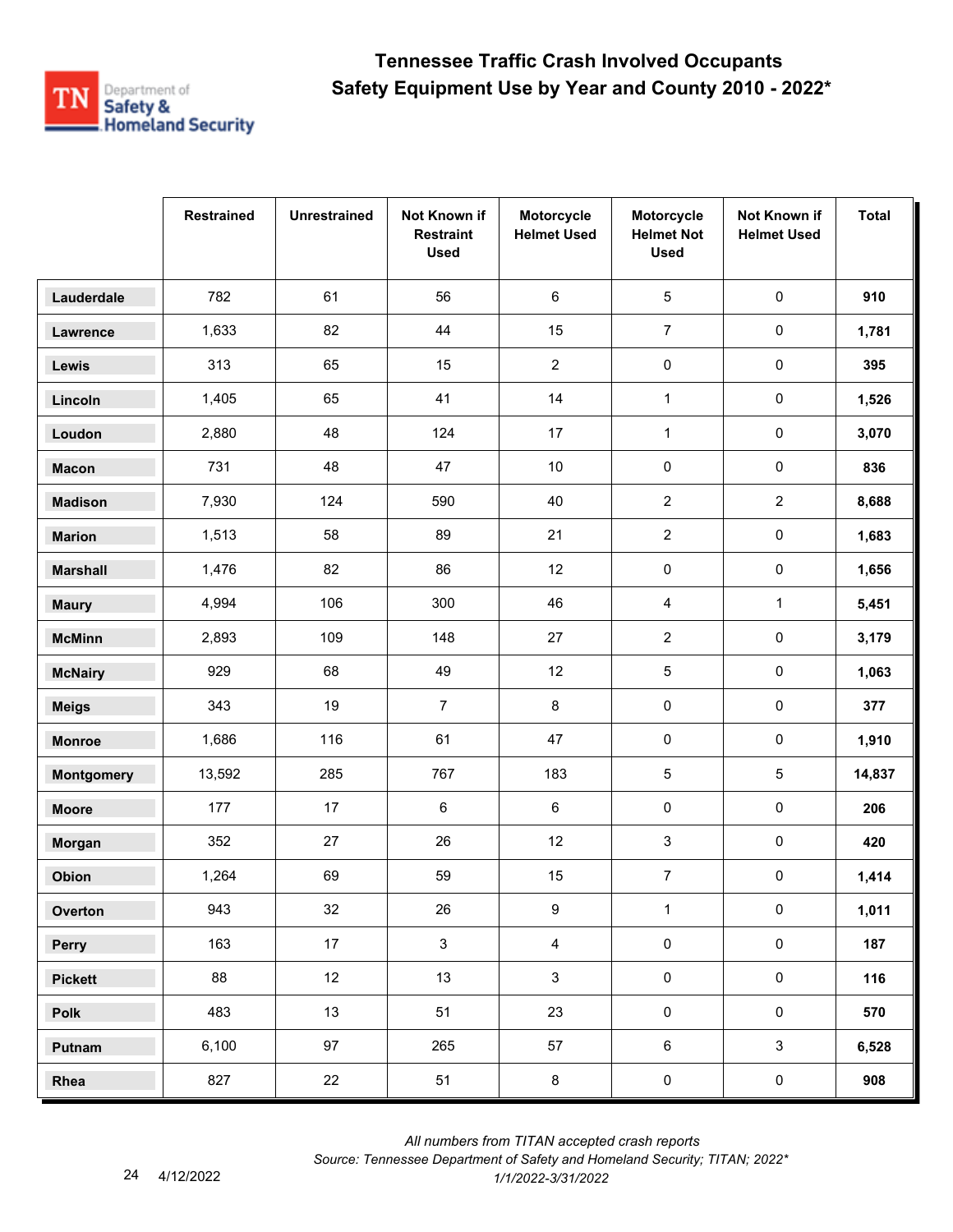

|                   | <b>Restrained</b> | <b>Unrestrained</b> | Not Known if<br><b>Restraint</b><br><b>Used</b> | Motorcycle<br><b>Helmet Used</b> | Motorcycle<br><b>Helmet Not</b><br><b>Used</b> | Not Known if<br><b>Helmet Used</b> | <b>Total</b> |
|-------------------|-------------------|---------------------|-------------------------------------------------|----------------------------------|------------------------------------------------|------------------------------------|--------------|
| Lauderdale        | 782               | 61                  | 56                                              | 6                                | $\overline{5}$                                 | $\pmb{0}$                          | 910          |
| Lawrence          | 1,633             | 82                  | 44                                              | 15                               | $\overline{7}$                                 | $\pmb{0}$                          | 1,781        |
| Lewis             | 313               | 65                  | 15                                              | $\overline{2}$                   | $\pmb{0}$                                      | 0                                  | 395          |
| Lincoln           | 1,405             | 65                  | 41                                              | 14                               | $\mathbf{1}$                                   | 0                                  | 1,526        |
| Loudon            | 2,880             | 48                  | 124                                             | 17                               | $\mathbf{1}$                                   | $\pmb{0}$                          | 3,070        |
| <b>Macon</b>      | 731               | 48                  | 47                                              | 10                               | $\pmb{0}$                                      | $\pmb{0}$                          | 836          |
| <b>Madison</b>    | 7,930             | 124                 | 590                                             | 40                               | $\boldsymbol{2}$                               | $\overline{2}$                     | 8,688        |
| <b>Marion</b>     | 1,513             | 58                  | 89                                              | 21                               | $\overline{2}$                                 | 0                                  | 1,683        |
| <b>Marshall</b>   | 1,476             | 82                  | 86                                              | 12                               | 0                                              | 0                                  | 1,656        |
| <b>Maury</b>      | 4,994             | 106                 | 300                                             | 46                               | 4                                              | $\mathbf 1$                        | 5,451        |
| <b>McMinn</b>     | 2,893             | 109                 | 148                                             | 27                               | $\overline{2}$                                 | 0                                  | 3,179        |
| <b>McNairy</b>    | 929               | 68                  | 49                                              | 12                               | 5                                              | 0                                  | 1,063        |
| <b>Meigs</b>      | 343               | 19                  | $\overline{7}$                                  | $\bf 8$                          | $\pmb{0}$                                      | $\mathsf{O}\xspace$                | 377          |
| <b>Monroe</b>     | 1,686             | 116                 | 61                                              | 47                               | 0                                              | 0                                  | 1,910        |
| <b>Montgomery</b> | 13,592            | 285                 | 767                                             | 183                              | 5                                              | 5                                  | 14,837       |
| <b>Moore</b>      | 177               | 17                  | $\,6\,$                                         | 6                                | 0                                              | $\pmb{0}$                          | 206          |
| Morgan            | 352               | 27                  | 26                                              | 12                               | 3                                              | 0                                  | 420          |
| Obion             | 1,264             | 69                  | 59                                              | 15                               | $\overline{7}$                                 | 0                                  | 1,414        |
| Overton           | 943               | 32                  | 26                                              | $\boldsymbol{9}$                 | $\mathbf{1}$                                   | $\pmb{0}$                          | 1,011        |
| Perry             | 163               | 17 <sub>1</sub>     | $\mathbf{3}$                                    | $\overline{4}$                   | $\pmb{0}$                                      | $\mathbf 0$                        | 187          |
| <b>Pickett</b>    | 88                | 12 <sup>°</sup>     | 13                                              | $\mathbf{3}$                     | $\mathbf 0$                                    | $\mathbf 0$                        | 116          |
| Polk              | 483               | 13                  | 51                                              | 23                               | $\pmb{0}$                                      | $\mathsf{O}\xspace$                | 570          |
| Putnam            | 6,100             | 97                  | 265                                             | 57                               | $\,6\,$                                        | $\mathbf{3}$                       | 6,528        |
| Rhea              | 827               | 22                  | 51                                              | $\bf 8$                          | $\pmb{0}$                                      | $\mathbf 0$                        | 908          |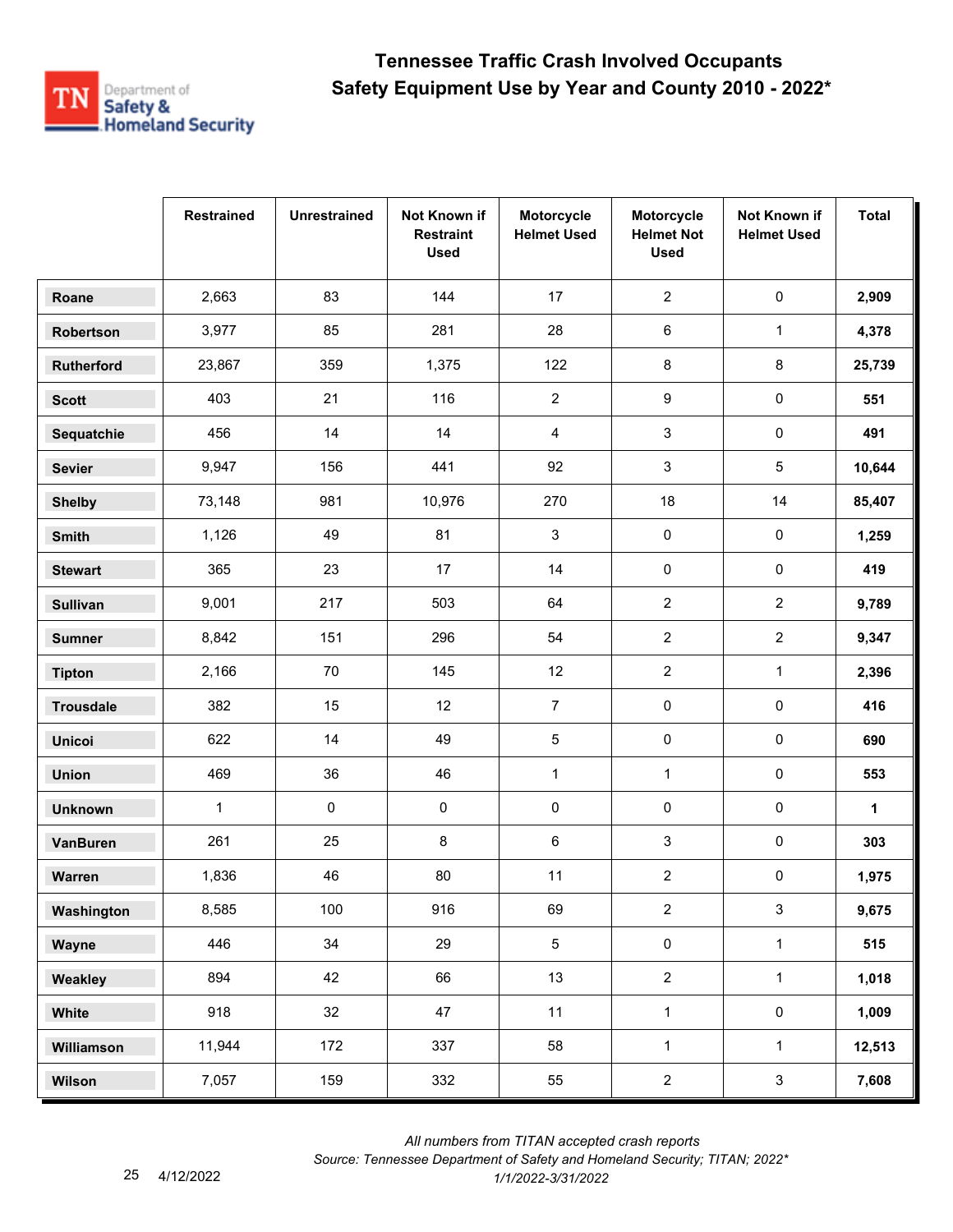

|                  | <b>Restrained</b> | <b>Unrestrained</b> | Not Known if<br><b>Restraint</b><br><b>Used</b> | Motorcycle<br><b>Helmet Used</b> | Motorcycle<br><b>Helmet Not</b><br><b>Used</b> | Not Known if<br><b>Helmet Used</b> | <b>Total</b> |
|------------------|-------------------|---------------------|-------------------------------------------------|----------------------------------|------------------------------------------------|------------------------------------|--------------|
| Roane            | 2,663             | 83                  | 144                                             | 17                               | $\overline{2}$                                 | $\pmb{0}$                          | 2,909        |
| Robertson        | 3,977             | 85                  | 281                                             | 28                               | 6                                              | $\mathbf{1}$                       | 4,378        |
| Rutherford       | 23,867            | 359                 | 1,375                                           | 122                              | 8                                              | 8                                  | 25,739       |
| <b>Scott</b>     | 403               | 21                  | 116                                             | $\overline{2}$                   | 9                                              | 0                                  | 551          |
| Sequatchie       | 456               | 14                  | 14                                              | $\overline{4}$                   | 3                                              | 0                                  | 491          |
| <b>Sevier</b>    | 9,947             | 156                 | 441                                             | 92                               | 3                                              | 5                                  | 10,644       |
| <b>Shelby</b>    | 73,148            | 981                 | 10,976                                          | 270                              | 18                                             | 14                                 | 85,407       |
| <b>Smith</b>     | 1,126             | 49                  | 81                                              | 3                                | $\pmb{0}$                                      | $\pmb{0}$                          | 1,259        |
| <b>Stewart</b>   | 365               | 23                  | 17                                              | 14                               | $\pmb{0}$                                      | 0                                  | 419          |
| <b>Sullivan</b>  | 9,001             | 217                 | 503                                             | 64                               | $\mathbf{2}$                                   | $\overline{c}$                     | 9,789        |
| <b>Sumner</b>    | 8,842             | 151                 | 296                                             | 54                               | $\overline{2}$                                 | $\overline{a}$                     | 9,347        |
| <b>Tipton</b>    | 2,166             | 70                  | 145                                             | 12                               | $\overline{2}$                                 | $\mathbf{1}$                       | 2,396        |
| <b>Trousdale</b> | 382               | 15                  | 12                                              | $\overline{7}$                   | $\pmb{0}$                                      | $\pmb{0}$                          | 416          |
| <b>Unicoi</b>    | 622               | 14                  | 49                                              | $\sqrt{5}$                       | $\pmb{0}$                                      | 0                                  | 690          |
| <b>Union</b>     | 469               | 36                  | 46                                              | $\mathbf{1}$                     | $\mathbf{1}$                                   | 0                                  | 553          |
| <b>Unknown</b>   | $\mathbf{1}$      | $\pmb{0}$           | $\pmb{0}$                                       | 0                                | 0                                              | 0                                  | 1            |
| VanBuren         | 261               | 25                  | 8                                               | 6                                | 3                                              | 0                                  | 303          |
| Warren           | 1,836             | 46                  | 80                                              | 11                               | $\overline{\mathbf{c}}$                        | 0                                  | 1,975        |
| Washington       | 8,585             | 100                 | 916                                             | 69                               | $\overline{2}$                                 | $\mathbf{3}$                       | 9,675        |
| Wayne            | 446               | 34                  | 29                                              | $\overline{5}$                   | $\pmb{0}$                                      | $\mathbf{1}$                       | 515          |
| Weakley          | 894               | 42                  | 66                                              | 13                               | $\overline{2}$                                 | $\mathbf{1}$                       | 1,018        |
| White            | 918               | 32                  | 47                                              | 11                               | $\mathbf{1}$                                   | $\mathbf 0$                        | 1,009        |
| Williamson       | 11,944            | 172                 | 337                                             | 58                               | $\mathbf{1}$                                   | $\mathbf{1}$                       | 12,513       |
| Wilson           | 7,057             | 159                 | 332                                             | 55                               | $\overline{2}$                                 | $\mathbf{3}$                       | 7,608        |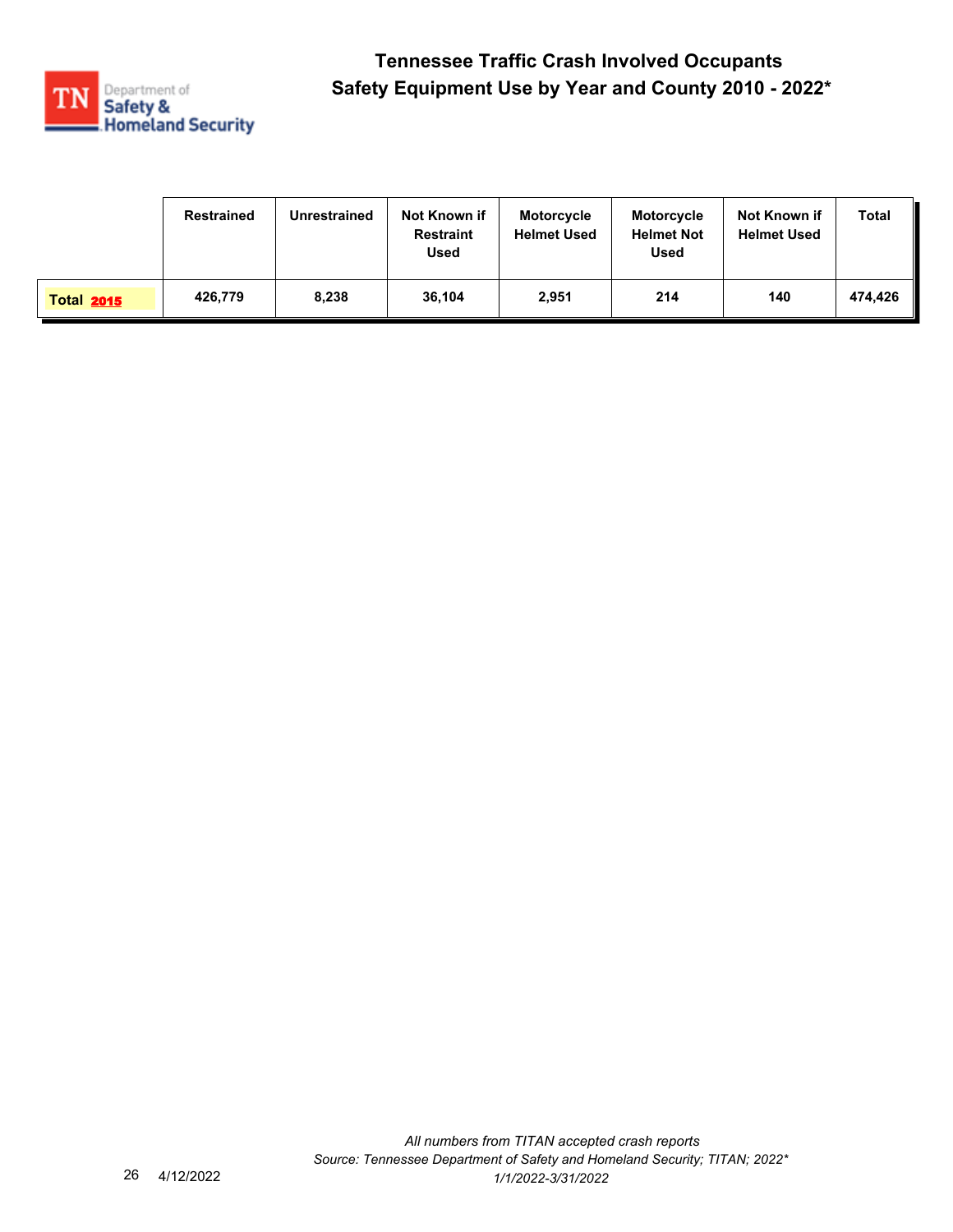

|                   | <b>Restrained</b> | Unrestrained | Not Known if<br><b>Restraint</b><br><b>Used</b> | <b>Motorcycle</b><br><b>Helmet Used</b> | <b>Motorcycle</b><br><b>Helmet Not</b><br><b>Used</b> | Not Known if<br><b>Helmet Used</b> | Total   |
|-------------------|-------------------|--------------|-------------------------------------------------|-----------------------------------------|-------------------------------------------------------|------------------------------------|---------|
| <b>Total 2015</b> | 426,779           | 8,238        | 36,104                                          | 2,951                                   | 214                                                   | 140                                | 474.426 |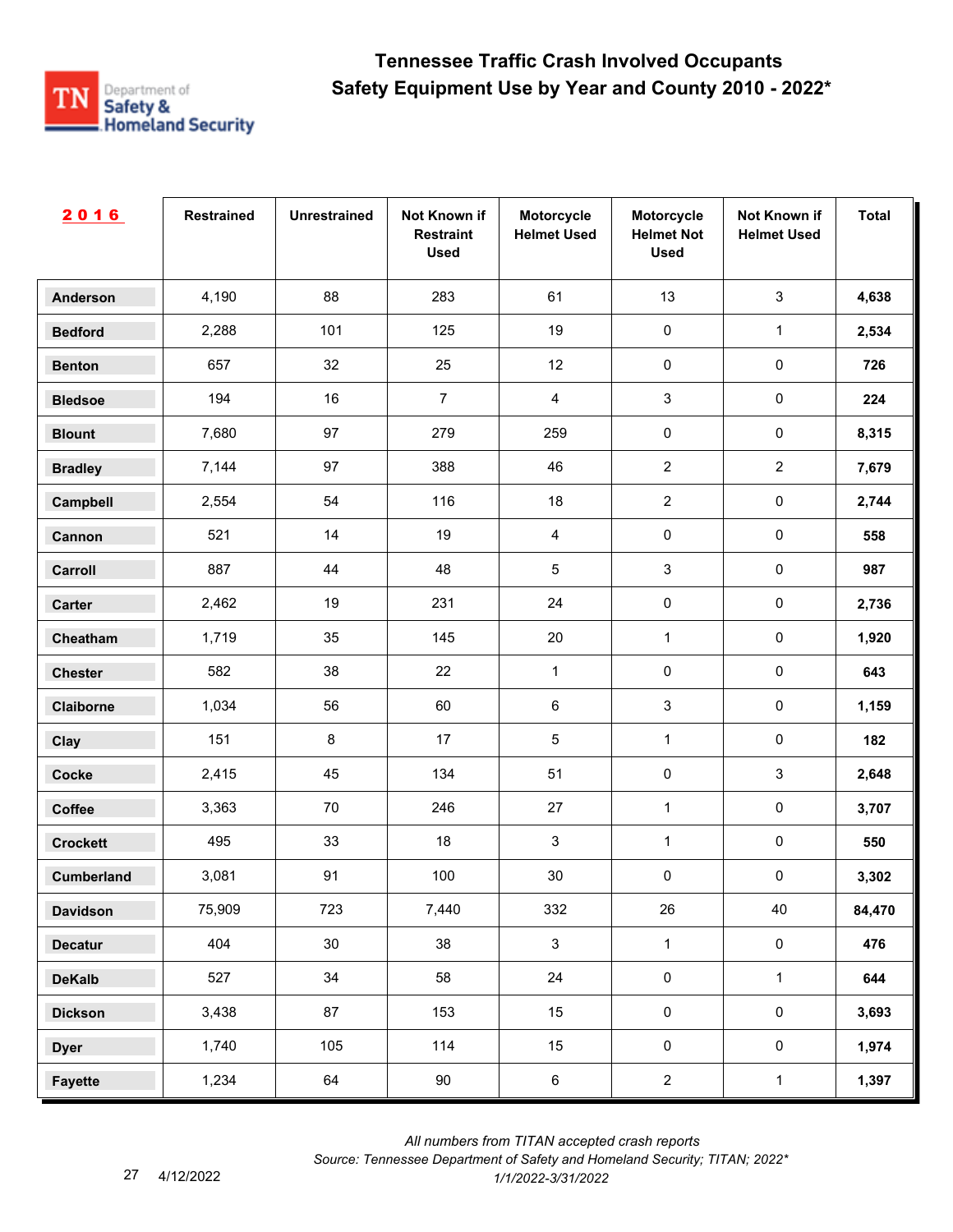

| 2016              | <b>Restrained</b> | <b>Unrestrained</b> | Not Known if<br><b>Restraint</b><br><b>Used</b> | Motorcycle<br><b>Helmet Used</b> | Motorcycle<br><b>Helmet Not</b><br><b>Used</b> | Not Known if<br><b>Helmet Used</b> | <b>Total</b> |
|-------------------|-------------------|---------------------|-------------------------------------------------|----------------------------------|------------------------------------------------|------------------------------------|--------------|
| <b>Anderson</b>   | 4,190             | 88                  | 283                                             | 61                               | 13                                             | $\mathbf{3}$                       | 4,638        |
| <b>Bedford</b>    | 2,288             | 101                 | 125                                             | 19                               | $\pmb{0}$                                      | $\mathbf{1}$                       | 2,534        |
| <b>Benton</b>     | 657               | 32                  | 25                                              | 12                               | $\pmb{0}$                                      | $\pmb{0}$                          | 726          |
| <b>Bledsoe</b>    | 194               | 16                  | $\boldsymbol{7}$                                | $\overline{4}$                   | $\sqrt{3}$                                     | $\pmb{0}$                          | 224          |
| <b>Blount</b>     | 7,680             | 97                  | 279                                             | 259                              | $\pmb{0}$                                      | $\pmb{0}$                          | 8,315        |
| <b>Bradley</b>    | 7,144             | 97                  | 388                                             | 46                               | $\overline{2}$                                 | $\overline{2}$                     | 7,679        |
| Campbell          | 2,554             | 54                  | 116                                             | 18                               | $\overline{2}$                                 | $\pmb{0}$                          | 2,744        |
| Cannon            | 521               | 14                  | 19                                              | $\overline{4}$                   | $\pmb{0}$                                      | $\pmb{0}$                          | 558          |
| Carroll           | 887               | 44                  | 48                                              | $\sqrt{5}$                       | $\mathbf{3}$                                   | $\pmb{0}$                          | 987          |
| Carter            | 2,462             | 19                  | 231                                             | 24                               | $\pmb{0}$                                      | $\mathsf{O}\xspace$                | 2,736        |
| Cheatham          | 1,719             | 35                  | 145                                             | $20\,$                           | $\mathbf{1}$                                   | $\pmb{0}$                          | 1,920        |
| <b>Chester</b>    | 582               | 38                  | 22                                              | $\mathbf{1}$                     | $\pmb{0}$                                      | $\pmb{0}$                          | 643          |
| Claiborne         | 1,034             | 56                  | 60                                              | $\,6\,$                          | $\sqrt{3}$                                     | $\pmb{0}$                          | 1,159        |
| Clay              | 151               | 8                   | 17                                              | $\sqrt{5}$                       | $\mathbf{1}$                                   | $\pmb{0}$                          | 182          |
| <b>Cocke</b>      | 2,415             | 45                  | 134                                             | 51                               | $\pmb{0}$                                      | $\mathbf{3}$                       | 2,648        |
| Coffee            | 3,363             | 70                  | 246                                             | 27                               | $\mathbf{1}$                                   | $\pmb{0}$                          | 3,707        |
| <b>Crockett</b>   | 495               | 33                  | 18                                              | $\sqrt{3}$                       | $\mathbf{1}$                                   | $\pmb{0}$                          | 550          |
| <b>Cumberland</b> | 3,081             | 91                  | 100                                             | $30\,$                           | $\pmb{0}$                                      | $\pmb{0}$                          | 3,302        |
| <b>Davidson</b>   | 75,909            | 723                 | 7,440                                           | 332                              | 26                                             | 40                                 | 84,470       |
| <b>Decatur</b>    | 404               | 30                  | 38                                              | $\mathbf{3}$                     | $\mathbf{1}$                                   | $\mathbf 0$                        | 476          |
| <b>DeKalb</b>     | 527               | 34                  | 58                                              | 24                               | $\mathsf{O}\xspace$                            | $\mathbf 1$                        | 644          |
| <b>Dickson</b>    | 3,438             | 87                  | 153                                             | 15                               | $\pmb{0}$                                      | $\mathsf{O}\xspace$                | 3,693        |
| <b>Dyer</b>       | 1,740             | 105                 | 114                                             | 15                               | $\mathsf{O}\xspace$                            | $\mathbf 0$                        | 1,974        |
| <b>Fayette</b>    | 1,234             | 64                  | 90                                              | $\,6\,$                          | $\overline{2}$                                 | $\mathbf{1}$                       | 1,397        |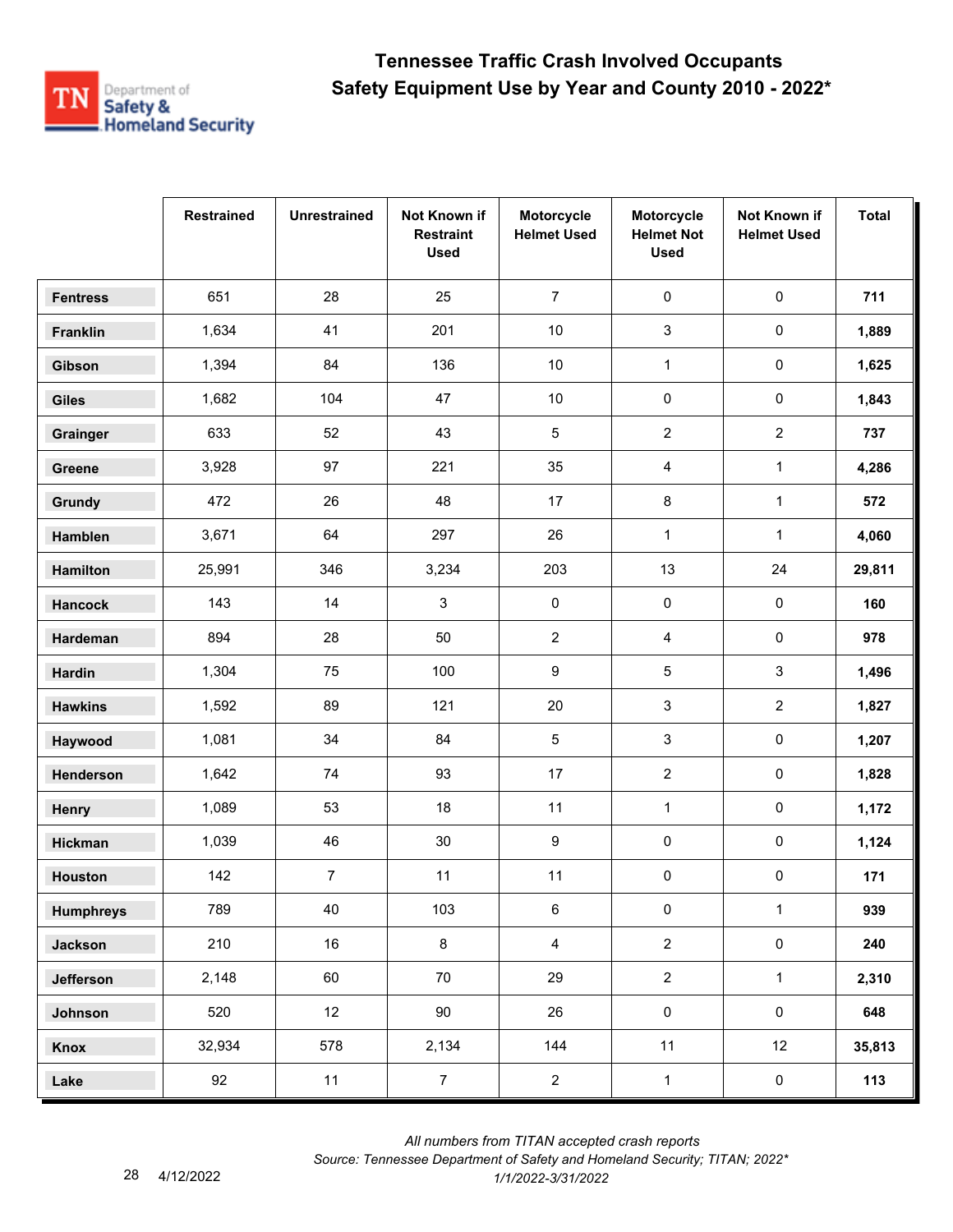

|                  | <b>Restrained</b> | <b>Unrestrained</b> | Not Known if<br><b>Restraint</b><br><b>Used</b> | Motorcycle<br><b>Helmet Used</b> | Motorcycle<br><b>Helmet Not</b><br><b>Used</b> | Not Known if<br><b>Helmet Used</b> | <b>Total</b> |
|------------------|-------------------|---------------------|-------------------------------------------------|----------------------------------|------------------------------------------------|------------------------------------|--------------|
| <b>Fentress</b>  | 651               | 28                  | 25                                              | $\overline{7}$                   | 0                                              | $\pmb{0}$                          | 711          |
| Franklin         | 1,634             | 41                  | 201                                             | $10$                             | 3                                              | $\mathsf{O}\xspace$                | 1,889        |
| Gibson           | 1,394             | 84                  | 136                                             | 10                               | $\mathbf{1}$                                   | 0                                  | 1,625        |
| <b>Giles</b>     | 1,682             | 104                 | 47                                              | $10\,$                           | 0                                              | 0                                  | 1,843        |
| Grainger         | 633               | 52                  | 43                                              | $\overline{5}$                   | $\overline{2}$                                 | $\overline{2}$                     | 737          |
| Greene           | 3,928             | 97                  | 221                                             | 35                               | 4                                              | $\mathbf{1}$                       | 4,286        |
| Grundy           | 472               | 26                  | 48                                              | 17                               | 8                                              | $\mathbf{1}$                       | 572          |
| Hamblen          | 3,671             | 64                  | 297                                             | 26                               | $\mathbf{1}$                                   | $\mathbf{1}$                       | 4,060        |
| <b>Hamilton</b>  | 25,991            | 346                 | 3,234                                           | 203                              | 13                                             | 24                                 | 29,811       |
| <b>Hancock</b>   | 143               | 14                  | $\mathbf{3}$                                    | 0                                | 0                                              | 0                                  | 160          |
| Hardeman         | 894               | 28                  | 50                                              | $\overline{2}$                   | 4                                              | 0                                  | 978          |
| <b>Hardin</b>    | 1,304             | 75                  | 100                                             | 9                                | 5                                              | 3                                  | 1,496        |
| <b>Hawkins</b>   | 1,592             | 89                  | 121                                             | 20                               | 3                                              | $\overline{2}$                     | 1,827        |
| Haywood          | 1,081             | 34                  | 84                                              | $\sqrt{5}$                       | 3                                              | 0                                  | 1,207        |
| Henderson        | 1,642             | 74                  | 93                                              | 17                               | $\overline{c}$                                 | 0                                  | 1,828        |
| Henry            | 1,089             | 53                  | 18                                              | 11                               | $\mathbf{1}$                                   | $\pmb{0}$                          | 1,172        |
| Hickman          | 1,039             | 46                  | $30\,$                                          | 9                                | $\pmb{0}$                                      | 0                                  | 1,124        |
| <b>Houston</b>   | 142               | $\overline{7}$      | 11                                              | 11                               | 0                                              | 0                                  | 171          |
| <b>Humphreys</b> | 789               | 40                  | 103                                             | 6                                | $\pmb{0}$                                      | $\mathbf{1}$                       | 939          |
| <b>Jackson</b>   | 210               | 16                  | 8                                               | $\overline{4}$                   | $\overline{2}$                                 | $\pmb{0}$                          | 240          |
| Jefferson        | 2,148             | 60                  | 70                                              | 29                               | $\overline{2}$                                 | $\mathbf{1}$                       | 2,310        |
| Johnson          | 520               | 12 <sup>°</sup>     | 90                                              | 26                               | $\pmb{0}$                                      | $\mathbf 0$                        | 648          |
| Knox             | 32,934            | 578                 | 2,134                                           | 144                              | 11                                             | 12                                 | 35,813       |
| Lake             | 92                | 11                  | $\overline{7}$                                  | $\overline{2}$                   | $\mathbf 1$                                    | $\pmb{0}$                          | $113$        |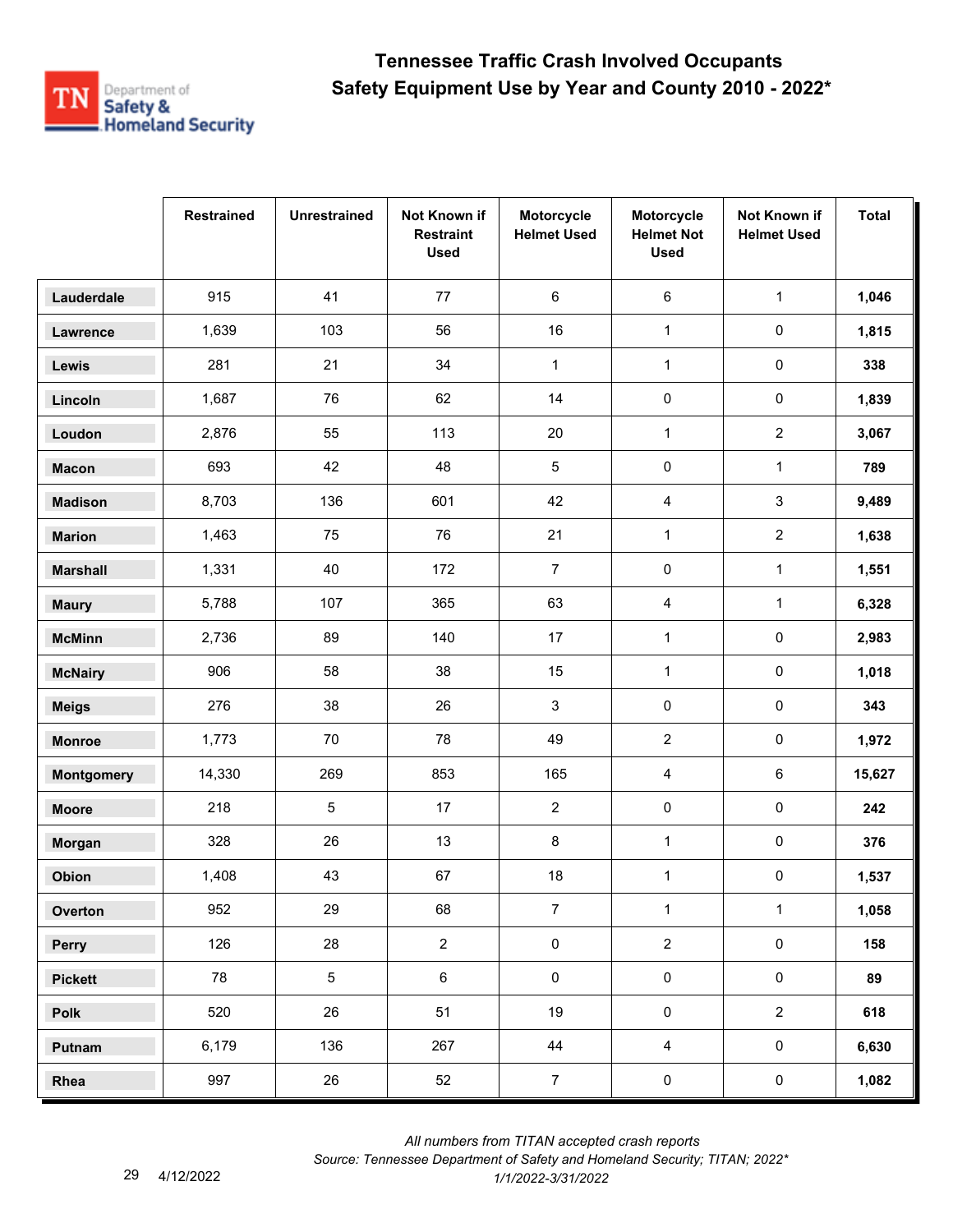

|                   | <b>Restrained</b> | <b>Unrestrained</b> | Not Known if<br><b>Restraint</b><br><b>Used</b> | Motorcycle<br><b>Helmet Used</b> | Motorcycle<br><b>Helmet Not</b><br><b>Used</b> | Not Known if<br><b>Helmet Used</b> | <b>Total</b> |
|-------------------|-------------------|---------------------|-------------------------------------------------|----------------------------------|------------------------------------------------|------------------------------------|--------------|
| Lauderdale        | 915               | 41                  | 77                                              | 6                                | 6                                              | $\mathbf{1}$                       | 1,046        |
| Lawrence          | 1,639             | 103                 | 56                                              | 16                               | $\mathbf{1}$                                   | 0                                  | 1,815        |
| Lewis             | 281               | 21                  | 34                                              | $\mathbf{1}$                     | $\mathbf{1}$                                   | 0                                  | 338          |
| Lincoln           | 1,687             | 76                  | 62                                              | 14                               | 0                                              | 0                                  | 1,839        |
| Loudon            | 2,876             | 55                  | 113                                             | 20                               | $\mathbf{1}$                                   | $\overline{2}$                     | 3,067        |
| <b>Macon</b>      | 693               | 42                  | 48                                              | $\overline{5}$                   | $\pmb{0}$                                      | $\mathbf 1$                        | 789          |
| <b>Madison</b>    | 8,703             | 136                 | 601                                             | 42                               | 4                                              | 3                                  | 9,489        |
| <b>Marion</b>     | 1,463             | 75                  | 76                                              | 21                               | $\mathbf{1}$                                   | $\overline{2}$                     | 1,638        |
| <b>Marshall</b>   | 1,331             | 40                  | 172                                             | $\overline{7}$                   | 0                                              | $\mathbf 1$                        | 1,551        |
| <b>Maury</b>      | 5,788             | 107                 | 365                                             | 63                               | 4                                              | $\mathbf{1}$                       | 6,328        |
| <b>McMinn</b>     | 2,736             | 89                  | 140                                             | 17                               | $\mathbf{1}$                                   | 0                                  | 2,983        |
| <b>McNairy</b>    | 906               | 58                  | 38                                              | 15                               | $\mathbf{1}$                                   | 0                                  | 1,018        |
| <b>Meigs</b>      | 276               | 38                  | 26                                              | 3                                | $\pmb{0}$                                      | $\mathsf{O}\xspace$                | 343          |
| <b>Monroe</b>     | 1,773             | 70                  | 78                                              | 49                               | $\overline{2}$                                 | 0                                  | 1,972        |
| <b>Montgomery</b> | 14,330            | 269                 | 853                                             | 165                              | 4                                              | 6                                  | 15,627       |
| <b>Moore</b>      | 218               | 5                   | 17                                              | $\overline{2}$                   | 0                                              | 0                                  | 242          |
| Morgan            | 328               | 26                  | 13                                              | 8                                | $\mathbf{1}$                                   | 0                                  | 376          |
| Obion             | 1,408             | 43                  | 67                                              | 18                               | $\mathbf{1}$                                   | 0                                  | 1,537        |
| Overton           | 952               | 29                  | 68                                              | $\overline{7}$                   | $\mathbf{1}$                                   | $\mathbf{1}$                       | 1,058        |
| Perry             | 126               | 28                  | $\overline{2}$                                  | $\pmb{0}$                        | $\overline{2}$                                 | $\mathbf 0$                        | 158          |
| <b>Pickett</b>    | 78                | 5                   | $\,6\,$                                         | $\pmb{0}$                        | $\pmb{0}$                                      | $\mathbf 0$                        | 89           |
| Polk              | 520               | 26                  | 51                                              | 19                               | $\pmb{0}$                                      | $\overline{2}$                     | 618          |
| Putnam            | 6,179             | 136                 | 267                                             | 44                               | $\overline{4}$                                 | $\mathbf 0$                        | 6,630        |
| Rhea              | 997               | 26                  | 52                                              | $\overline{7}$                   | $\pmb{0}$                                      | $\mathbf 0$                        | 1,082        |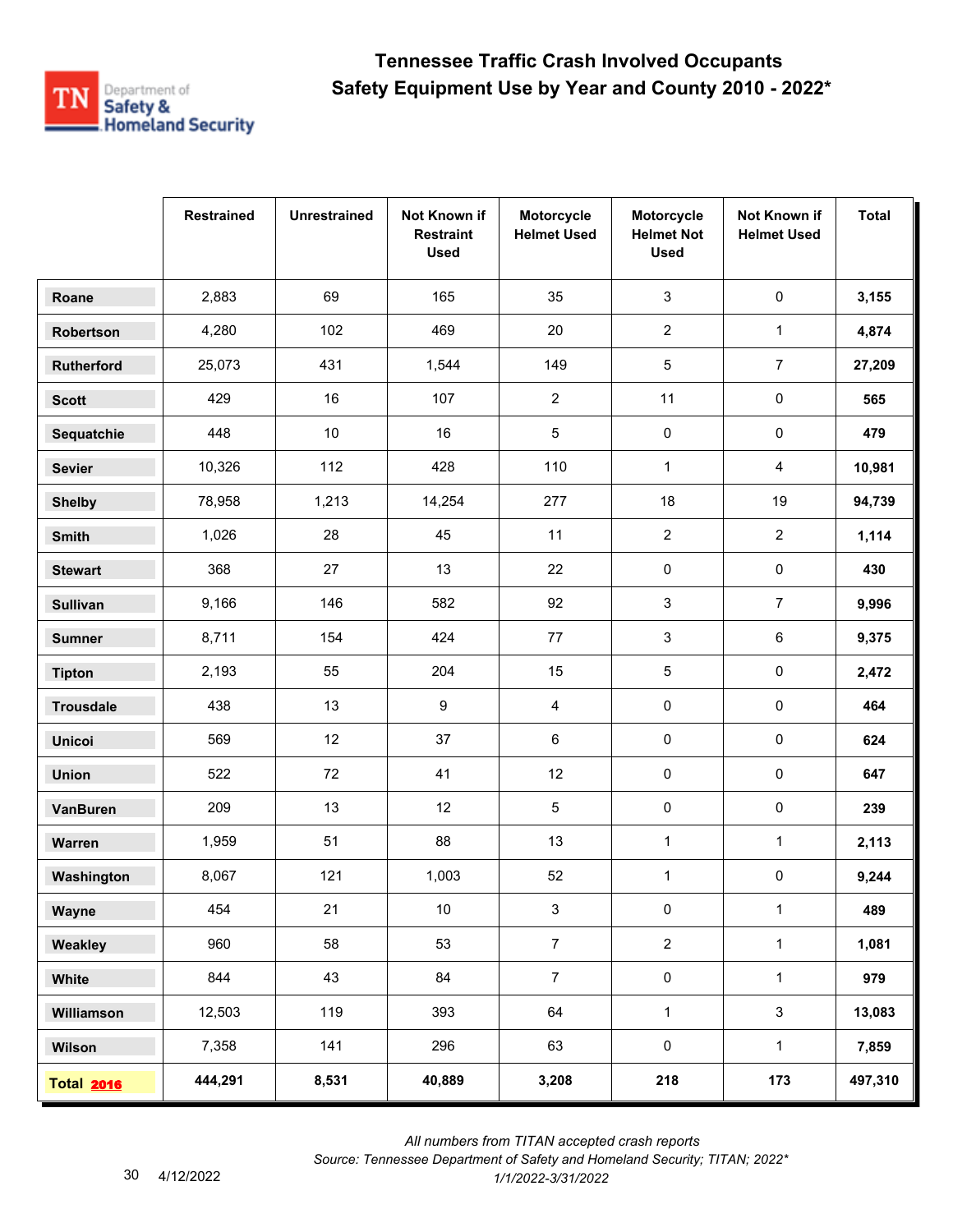

|                   | <b>Restrained</b> | <b>Unrestrained</b> | Not Known if<br><b>Restraint</b><br><b>Used</b> | Motorcycle<br><b>Helmet Used</b> | Motorcycle<br><b>Helmet Not</b><br><b>Used</b> | Not Known if<br><b>Helmet Used</b> | <b>Total</b> |
|-------------------|-------------------|---------------------|-------------------------------------------------|----------------------------------|------------------------------------------------|------------------------------------|--------------|
| Roane             | 2,883             | 69                  | 165                                             | 35                               | 3                                              | $\pmb{0}$                          | 3,155        |
| Robertson         | 4,280             | 102                 | 469                                             | 20                               | $\overline{2}$                                 | $\mathbf 1$                        | 4,874        |
| Rutherford        | 25,073            | 431                 | 1,544                                           | 149                              | 5                                              | $\overline{7}$                     | 27,209       |
| <b>Scott</b>      | 429               | 16                  | 107                                             | $\overline{2}$                   | 11                                             | 0                                  | 565          |
| Sequatchie        | 448               | $10\,$              | 16                                              | $\sqrt{5}$                       | $\pmb{0}$                                      | 0                                  | 479          |
| <b>Sevier</b>     | 10,326            | 112                 | 428                                             | 110                              | $\mathbf{1}$                                   | 4                                  | 10,981       |
| <b>Shelby</b>     | 78,958            | 1,213               | 14,254                                          | 277                              | 18                                             | 19                                 | 94,739       |
| Smith             | 1,026             | 28                  | 45                                              | 11                               | $\overline{2}$                                 | $\overline{a}$                     | 1,114        |
| <b>Stewart</b>    | 368               | 27                  | 13                                              | 22                               | 0                                              | 0                                  | 430          |
| <b>Sullivan</b>   | 9,166             | 146                 | 582                                             | 92                               | 3                                              | $\overline{7}$                     | 9,996        |
| <b>Sumner</b>     | 8,711             | 154                 | 424                                             | $77\,$                           | 3                                              | 6                                  | 9,375        |
| <b>Tipton</b>     | 2,193             | 55                  | 204                                             | 15                               | 5                                              | 0                                  | 2,472        |
| <b>Trousdale</b>  | 438               | 13                  | 9                                               | 4                                | 0                                              | $\pmb{0}$                          | 464          |
| <b>Unicoi</b>     | 569               | 12                  | 37                                              | 6                                | $\pmb{0}$                                      | 0                                  | 624          |
| <b>Union</b>      | 522               | 72                  | 41                                              | 12                               | 0                                              | 0                                  | 647          |
| <b>VanBuren</b>   | 209               | 13                  | 12                                              | $\overline{5}$                   | 0                                              | 0                                  | 239          |
| Warren            | 1,959             | 51                  | 88                                              | 13                               | $\mathbf{1}$                                   | 1                                  | 2,113        |
| Washington        | 8,067             | 121                 | 1,003                                           | 52                               | $\mathbf{1}$                                   | 0                                  | 9,244        |
| Wayne             | 454               | 21                  | 10                                              | $\mathsf 3$                      | $\pmb{0}$                                      | $\mathbf{1}$                       | 489          |
| Weakley           | 960               | 58                  | 53                                              | $\overline{7}$                   | $\overline{2}$                                 | $\mathbf{1}$                       | 1,081        |
| White             | 844               | 43                  | 84                                              | $\overline{7}$                   | $\pmb{0}$                                      | $\mathbf{1}$                       | 979          |
| Williamson        | 12,503            | 119                 | 393                                             | 64                               | $\mathbf{1}$                                   | 3                                  | 13,083       |
| Wilson            | 7,358             | 141                 | 296                                             | 63                               | $\pmb{0}$                                      | $\mathbf{1}$                       | 7,859        |
| <b>Total 2016</b> | 444,291           | 8,531               | 40,889                                          | 3,208                            | 218                                            | 173                                | 497,310      |

 *All numbers from TITAN accepted crash reports*

*Source: Tennessee Department of Safety and Homeland Security; TITAN; 2022\**  4/12/2022 *1/1/2022-3/31/2022*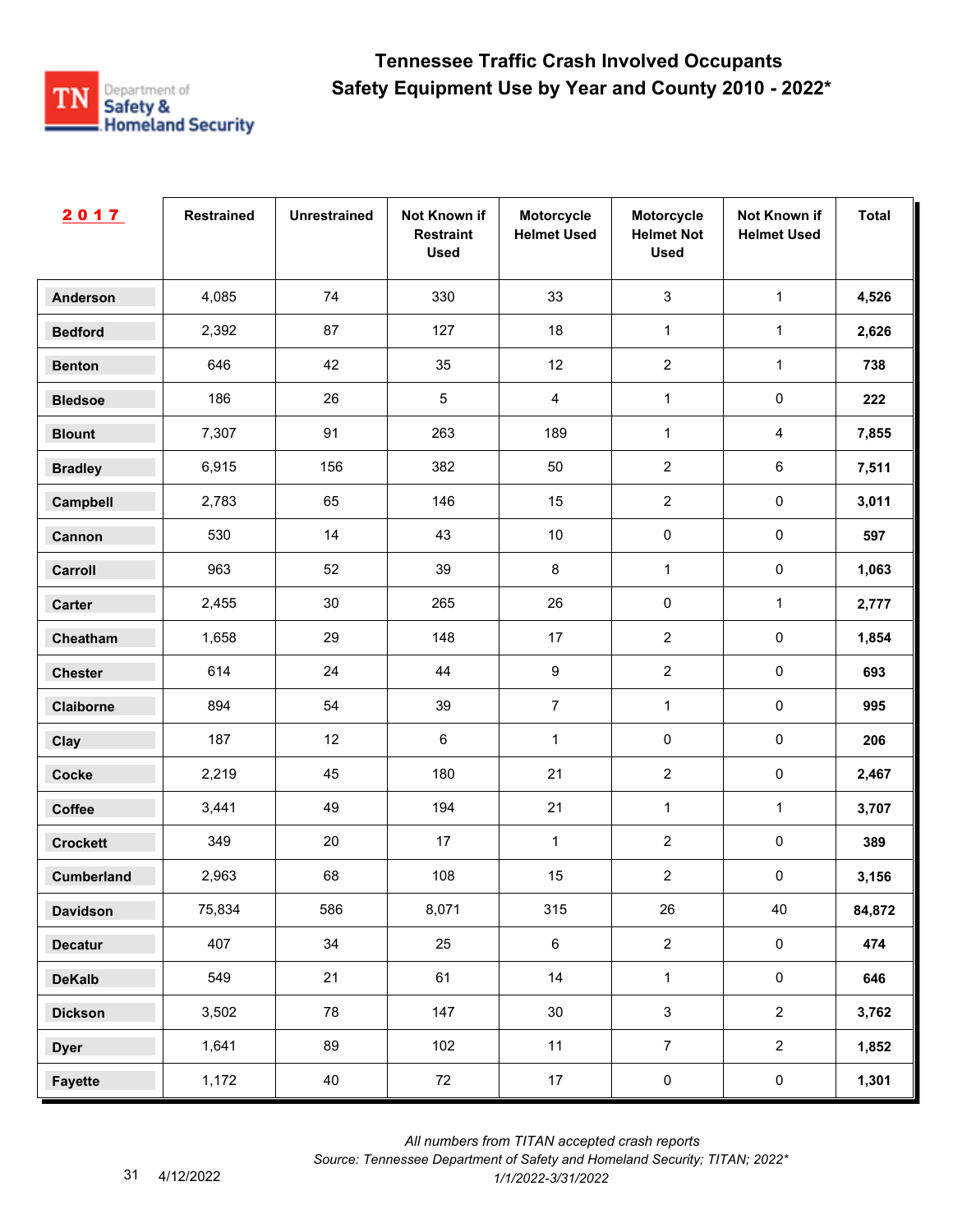

| 2017              | <b>Restrained</b> | <b>Unrestrained</b> | Not Known if<br><b>Restraint</b><br><b>Used</b> | Motorcycle<br><b>Helmet Used</b> | Motorcycle<br><b>Helmet Not</b><br><b>Used</b> | Not Known if<br><b>Helmet Used</b> | <b>Total</b> |
|-------------------|-------------------|---------------------|-------------------------------------------------|----------------------------------|------------------------------------------------|------------------------------------|--------------|
| <b>Anderson</b>   | 4,085             | 74                  | 330                                             | 33                               | $\mathbf{3}$                                   | $\mathbf 1$                        | 4,526        |
| <b>Bedford</b>    | 2,392             | 87                  | 127                                             | 18                               | $\mathbf{1}$                                   | $\mathbf{1}$                       | 2,626        |
| <b>Benton</b>     | 646               | 42                  | 35                                              | 12                               | $\overline{2}$                                 | $\mathbf{1}$                       | 738          |
| <b>Bledsoe</b>    | 186               | 26                  | $\sqrt{5}$                                      | $\overline{4}$                   | $\mathbf{1}$                                   | $\pmb{0}$                          | 222          |
| <b>Blount</b>     | 7,307             | 91                  | 263                                             | 189                              | $\mathbf{1}$                                   | $\overline{4}$                     | 7,855        |
| <b>Bradley</b>    | 6,915             | 156                 | 382                                             | 50                               | $\overline{2}$                                 | 6                                  | 7,511        |
| Campbell          | 2,783             | 65                  | 146                                             | 15                               | $\overline{2}$                                 | $\pmb{0}$                          | 3,011        |
| Cannon            | 530               | 14                  | 43                                              | $10$                             | $\pmb{0}$                                      | $\pmb{0}$                          | 597          |
| Carroll           | 963               | 52                  | 39                                              | $\bf 8$                          | 1                                              | $\pmb{0}$                          | 1,063        |
| Carter            | 2,455             | 30                  | 265                                             | $26\,$                           | $\pmb{0}$                                      | $\mathbf{1}$                       | 2,777        |
| Cheatham          | 1,658             | 29                  | 148                                             | 17                               | $\overline{2}$                                 | $\pmb{0}$                          | 1,854        |
| <b>Chester</b>    | 614               | 24                  | 44                                              | 9                                | $\overline{2}$                                 | $\pmb{0}$                          | 693          |
| Claiborne         | 894               | 54                  | 39                                              | $\overline{7}$                   | $\mathbf{1}$                                   | $\pmb{0}$                          | 995          |
| Clay              | 187               | 12                  | $\,6\,$                                         | $\mathbf{1}$                     | $\pmb{0}$                                      | $\pmb{0}$                          | 206          |
| <b>Cocke</b>      | 2,219             | 45                  | 180                                             | 21                               | $\overline{2}$                                 | $\pmb{0}$                          | 2,467        |
| Coffee            | 3,441             | 49                  | 194                                             | 21                               | $\mathbf{1}$                                   | $\mathbf{1}$                       | 3,707        |
| <b>Crockett</b>   | 349               | 20                  | 17                                              | $\mathbf{1}$                     | $\overline{2}$                                 | $\pmb{0}$                          | 389          |
| <b>Cumberland</b> | 2,963             | 68                  | 108                                             | 15                               | $\sqrt{2}$                                     | $\pmb{0}$                          | 3,156        |
| <b>Davidson</b>   | 75,834            | 586                 | 8,071                                           | 315                              | 26                                             | 40                                 | 84,872       |
| <b>Decatur</b>    | 407               | 34                  | 25                                              | $\,6\,$                          | $\overline{2}$                                 | $\mathbf 0$                        | 474          |
| <b>DeKalb</b>     | 549               | 21                  | 61                                              | 14                               | $\mathbf{1}$                                   | $\mathsf{O}\xspace$                | 646          |
| <b>Dickson</b>    | 3,502             | 78                  | 147                                             | 30 <sup>°</sup>                  | $\mathbf{3}$                                   | $\overline{2}$                     | 3,762        |
| <b>Dyer</b>       | 1,641             | 89                  | 102                                             | 11                               | $\overline{7}$                                 | $\overline{2}$                     | 1,852        |
| <b>Fayette</b>    | 1,172             | 40                  | 72                                              | 17                               | $\pmb{0}$                                      | $\mathbf 0$                        | 1,301        |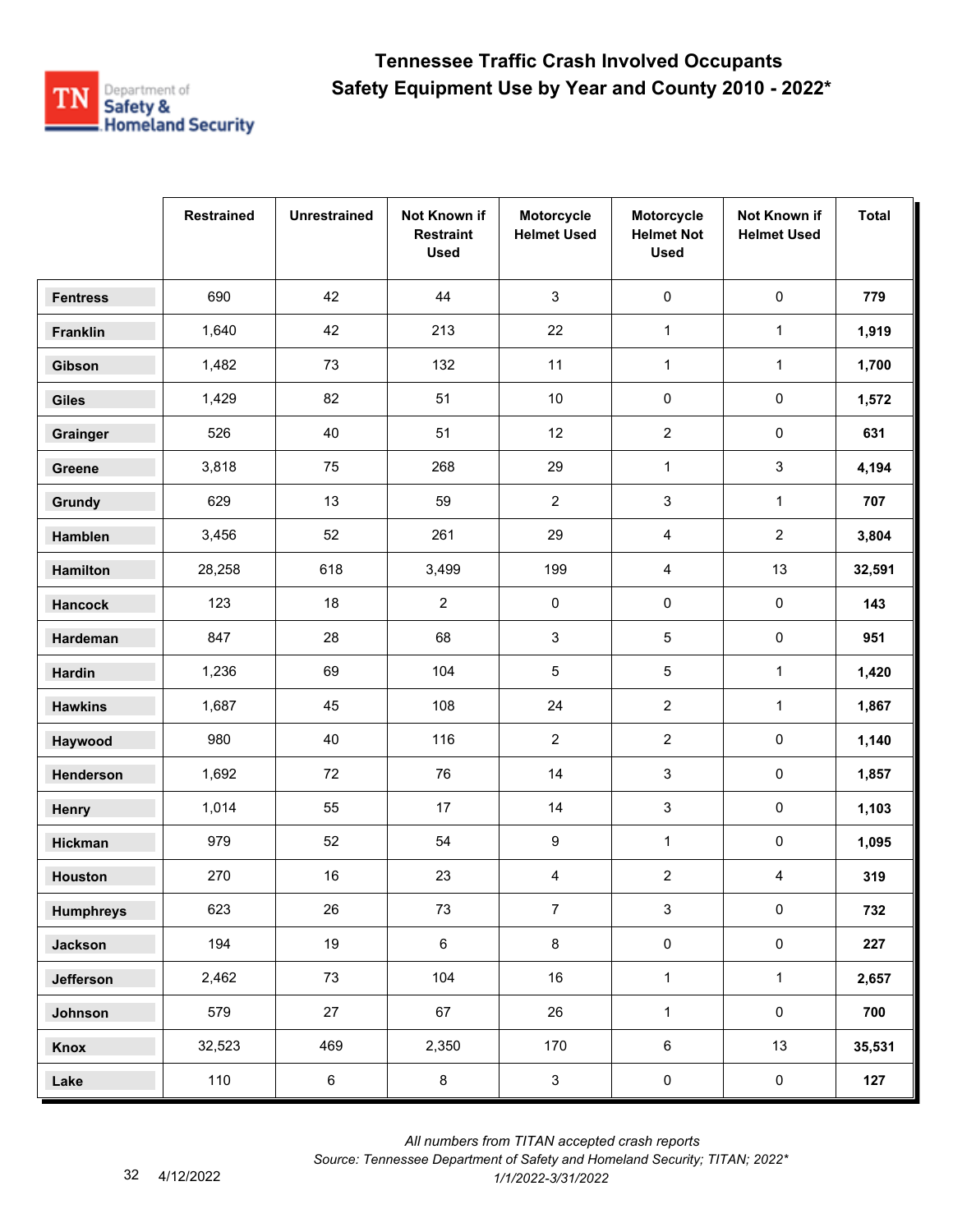

|                  | <b>Restrained</b> | <b>Unrestrained</b> | Not Known if<br><b>Restraint</b><br><b>Used</b> | Motorcycle<br><b>Helmet Used</b> | Motorcycle<br><b>Helmet Not</b><br><b>Used</b> | Not Known if<br><b>Helmet Used</b> | <b>Total</b> |
|------------------|-------------------|---------------------|-------------------------------------------------|----------------------------------|------------------------------------------------|------------------------------------|--------------|
| <b>Fentress</b>  | 690               | 42                  | 44                                              | $\mathbf{3}$                     | $\pmb{0}$                                      | $\pmb{0}$                          | 779          |
| Franklin         | 1,640             | 42                  | 213                                             | 22                               | $\mathbf{1}$                                   | $\mathbf{1}$                       | 1,919        |
| Gibson           | 1,482             | 73                  | 132                                             | 11                               | $\mathbf{1}$                                   | $\mathbf{1}$                       | 1,700        |
| <b>Giles</b>     | 1,429             | 82                  | 51                                              | 10                               | 0                                              | 0                                  | 1,572        |
| Grainger         | 526               | 40                  | 51                                              | 12                               | $\overline{2}$                                 | 0                                  | 631          |
| Greene           | 3,818             | 75                  | 268                                             | 29                               | $\mathbf 1$                                    | 3                                  | 4,194        |
| Grundy           | 629               | 13                  | 59                                              | $\mathbf{2}$                     | 3                                              | $\mathbf{1}$                       | 707          |
| Hamblen          | 3,456             | 52                  | 261                                             | 29                               | 4                                              | $\overline{2}$                     | 3,804        |
| Hamilton         | 28,258            | 618                 | 3,499                                           | 199                              | 4                                              | 13                                 | 32,591       |
| <b>Hancock</b>   | 123               | 18                  | $\overline{2}$                                  | 0                                | 0                                              | $\pmb{0}$                          | 143          |
| Hardeman         | 847               | 28                  | 68                                              | 3                                | 5                                              | 0                                  | 951          |
| Hardin           | 1,236             | 69                  | 104                                             | 5                                | 5                                              | $\mathbf{1}$                       | 1,420        |
| <b>Hawkins</b>   | 1,687             | 45                  | 108                                             | 24                               | $\overline{2}$                                 | $\mathbf{1}$                       | 1,867        |
| Haywood          | 980               | 40                  | 116                                             | $\mathbf{2}$                     | $\boldsymbol{2}$                               | 0                                  | 1,140        |
| Henderson        | 1,692             | 72                  | 76                                              | 14                               | 3                                              | 0                                  | 1,857        |
| Henry            | 1,014             | 55                  | 17                                              | 14                               | 3                                              | $\pmb{0}$                          | 1,103        |
| Hickman          | 979               | 52                  | 54                                              | 9                                | $\mathbf{1}$                                   | 0                                  | 1,095        |
| Houston          | 270               | 16                  | 23                                              | 4                                | $\overline{2}$                                 | 4                                  | 319          |
| <b>Humphreys</b> | 623               | 26                  | 73                                              | $\overline{7}$                   | $\mathbf{3}$                                   | $\mathsf{O}\xspace$                | 732          |
| <b>Jackson</b>   | 194               | 19                  | $\,6\,$                                         | 8                                | $\pmb{0}$                                      | $\mathbf 0$                        | 227          |
| Jefferson        | 2,462             | 73                  | 104                                             | 16                               | $\mathbf{1}$                                   | $\mathbf{1}$                       | 2,657        |
| Johnson          | 579               | 27                  | 67                                              | 26                               | $\mathbf{1}$                                   | $\mathsf{O}\xspace$                | 700          |
| Knox             | 32,523            | 469                 | 2,350                                           | 170                              | $\,6\,$                                        | 13                                 | 35,531       |
| Lake             | 110               | $\bf 6$             | $\bf 8$                                         | $\mathbf{3}$                     | $\pmb{0}$                                      | $\pmb{0}$                          | 127          |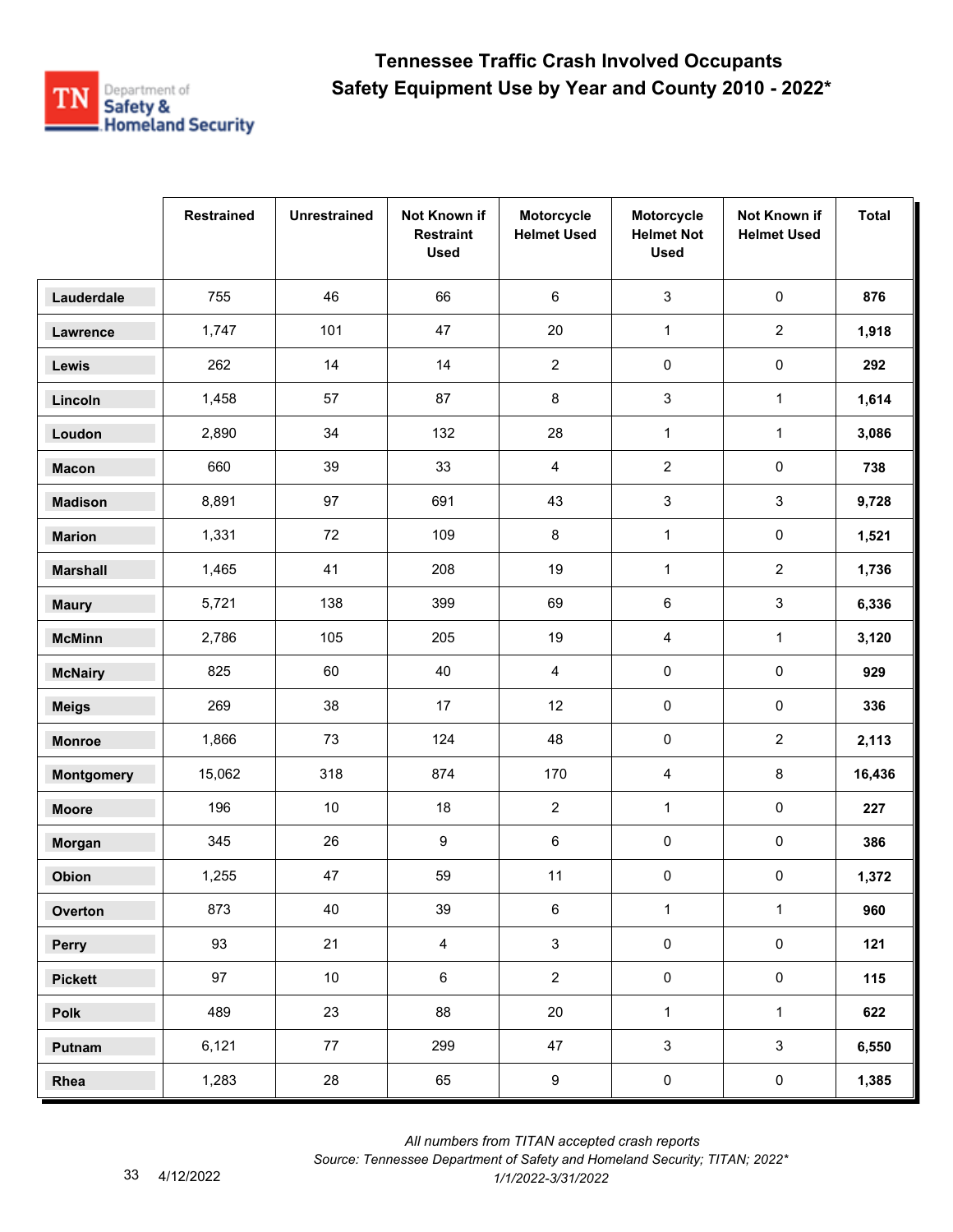

|                   | <b>Restrained</b> | <b>Unrestrained</b> | Not Known if<br><b>Restraint</b><br><b>Used</b> | Motorcycle<br><b>Helmet Used</b> | Motorcycle<br><b>Helmet Not</b><br><b>Used</b> | Not Known if<br><b>Helmet Used</b> | <b>Total</b> |
|-------------------|-------------------|---------------------|-------------------------------------------------|----------------------------------|------------------------------------------------|------------------------------------|--------------|
| Lauderdale        | 755               | 46                  | 66                                              | 6                                | $\mathfrak{S}$                                 | 0                                  | 876          |
| Lawrence          | 1,747             | 101                 | 47                                              | 20                               | $\mathbf{1}$                                   | $\overline{2}$                     | 1,918        |
| Lewis             | 262               | 14                  | 14                                              | $\overline{c}$                   | $\pmb{0}$                                      | 0                                  | 292          |
| Lincoln           | 1,458             | 57                  | 87                                              | 8                                | 3                                              | $\mathbf{1}$                       | 1,614        |
| Loudon            | 2,890             | 34                  | 132                                             | 28                               | $\mathbf 1$                                    | $\mathbf{1}$                       | 3,086        |
| <b>Macon</b>      | 660               | 39                  | 33                                              | 4                                | $\overline{2}$                                 | 0                                  | 738          |
| <b>Madison</b>    | 8,891             | 97                  | 691                                             | 43                               | 3                                              | 3                                  | 9,728        |
| <b>Marion</b>     | 1,331             | 72                  | 109                                             | 8                                | $\mathbf{1}$                                   | $\pmb{0}$                          | 1,521        |
| <b>Marshall</b>   | 1,465             | 41                  | 208                                             | 19                               | $\mathbf{1}$                                   | $\overline{2}$                     | 1,736        |
| <b>Maury</b>      | 5,721             | 138                 | 399                                             | 69                               | 6                                              | 3                                  | 6,336        |
| <b>McMinn</b>     | 2,786             | 105                 | 205                                             | 19                               | 4                                              | $\mathbf{1}$                       | 3,120        |
| <b>McNairy</b>    | 825               | 60                  | 40                                              | 4                                | 0                                              | $\pmb{0}$                          | 929          |
| <b>Meigs</b>      | 269               | 38                  | 17                                              | 12                               | $\pmb{0}$                                      | $\pmb{0}$                          | 336          |
| <b>Monroe</b>     | 1,866             | 73                  | 124                                             | 48                               | $\pmb{0}$                                      | $\overline{2}$                     | 2,113        |
| <b>Montgomery</b> | 15,062            | 318                 | 874                                             | 170                              | 4                                              | 8                                  | 16,436       |
| <b>Moore</b>      | 196               | 10                  | 18                                              | $\overline{2}$                   | $\mathbf 1$                                    | $\pmb{0}$                          | 227          |
| Morgan            | 345               | 26                  | 9                                               | 6                                | $\pmb{0}$                                      | 0                                  | 386          |
| Obion             | 1,255             | 47                  | 59                                              | 11                               | 0                                              | 0                                  | 1,372        |
| Overton           | 873               | 40                  | 39                                              | 6                                | $\mathbf{1}$                                   | $\mathbf{1}$                       | 960          |
| Perry             | 93                | 21                  | $\overline{4}$                                  | $\mathfrak{S}$                   | $\pmb{0}$                                      | $\mathsf{O}\xspace$                | 121          |
| <b>Pickett</b>    | 97                | 10 <sup>1</sup>     | 6                                               | $\overline{2}$                   | $\pmb{0}$                                      | $\mathsf{O}\xspace$                | 115          |
| Polk              | 489               | 23                  | 88                                              | 20                               | $\mathbf{1}$                                   | $\mathbf{1}$                       | 622          |
| Putnam            | 6,121             | 77                  | 299                                             | 47                               | $\mathsf 3$                                    | $\mathbf{3}$                       | 6,550        |
| Rhea              | 1,283             | 28                  | 65                                              | $\boldsymbol{9}$                 | $\pmb{0}$                                      | $\pmb{0}$                          | 1,385        |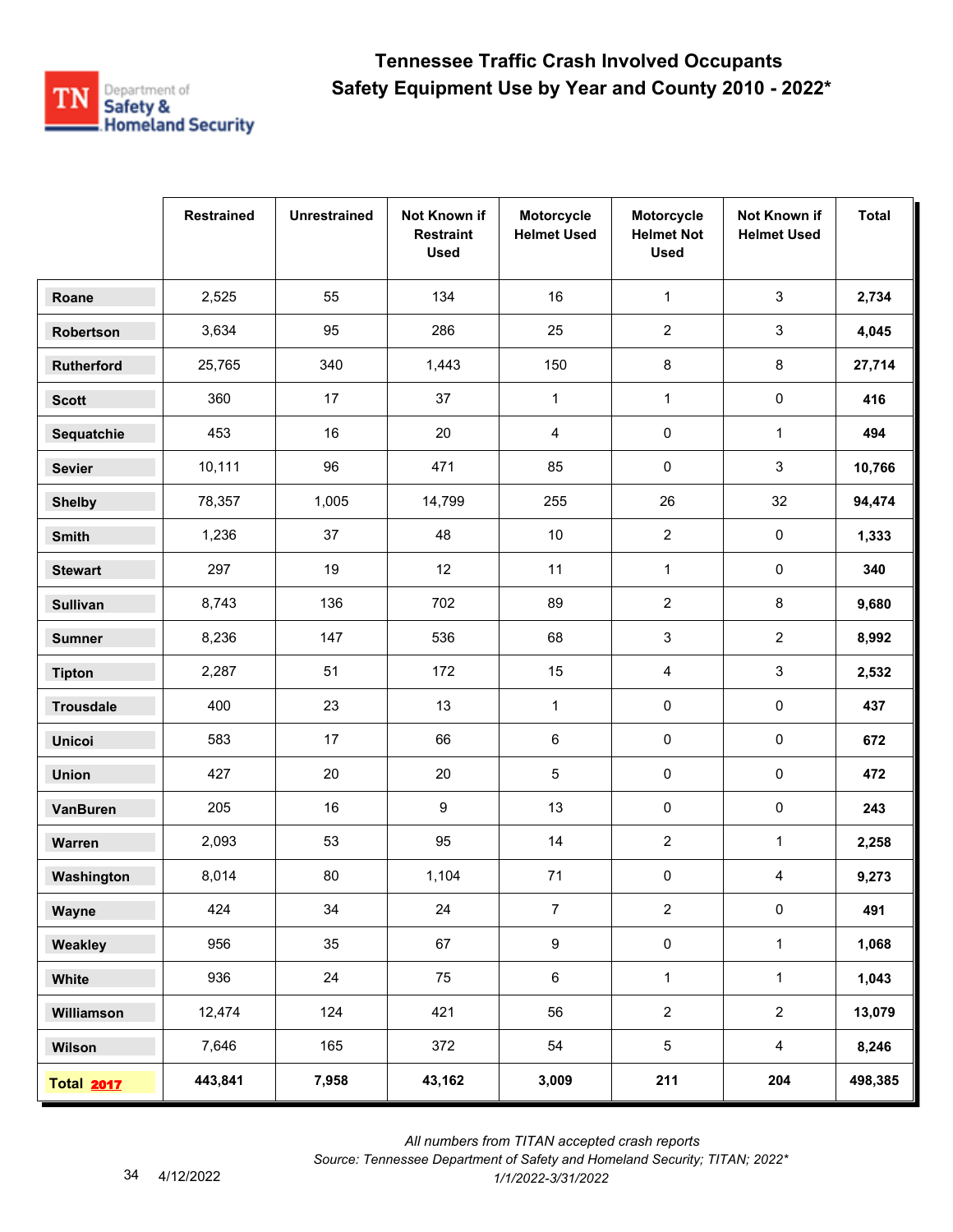

|                   | <b>Restrained</b> | <b>Unrestrained</b> | Not Known if<br><b>Restraint</b><br><b>Used</b> | Motorcycle<br><b>Helmet Used</b> | Motorcycle<br><b>Helmet Not</b><br><b>Used</b> | Not Known if<br><b>Helmet Used</b> | <b>Total</b> |
|-------------------|-------------------|---------------------|-------------------------------------------------|----------------------------------|------------------------------------------------|------------------------------------|--------------|
| Roane             | 2,525             | 55                  | 134                                             | 16                               | $\mathbf 1$                                    | $\mathsf 3$                        | 2,734        |
| Robertson         | 3,634             | 95                  | 286                                             | 25                               | $\overline{2}$                                 | 3                                  | 4,045        |
| <b>Rutherford</b> | 25,765            | 340                 | 1,443                                           | 150                              | 8                                              | 8                                  | 27,714       |
| <b>Scott</b>      | 360               | 17                  | 37                                              | $\mathbf{1}$                     | $\mathbf{1}$                                   | 0                                  | 416          |
| Sequatchie        | 453               | 16                  | 20                                              | 4                                | 0                                              | $\mathbf{1}$                       | 494          |
| <b>Sevier</b>     | 10,111            | 96                  | 471                                             | 85                               | 0                                              | 3                                  | 10,766       |
| <b>Shelby</b>     | 78,357            | 1,005               | 14,799                                          | 255                              | 26                                             | 32                                 | 94,474       |
| <b>Smith</b>      | 1,236             | 37                  | 48                                              | $10\,$                           | $\overline{2}$                                 | 0                                  | 1,333        |
| <b>Stewart</b>    | 297               | 19                  | 12                                              | 11                               | $\mathbf{1}$                                   | 0                                  | 340          |
| <b>Sullivan</b>   | 8,743             | 136                 | 702                                             | 89                               | $\boldsymbol{2}$                               | 8                                  | 9,680        |
| <b>Sumner</b>     | 8,236             | 147                 | 536                                             | 68                               | 3                                              | $\overline{2}$                     | 8,992        |
| <b>Tipton</b>     | 2,287             | 51                  | 172                                             | 15                               | 4                                              | 3                                  | 2,532        |
| <b>Trousdale</b>  | 400               | 23                  | 13                                              | $\mathbf{1}$                     | $\pmb{0}$                                      | $\pmb{0}$                          | 437          |
| <b>Unicoi</b>     | 583               | 17                  | 66                                              | 6                                | 0                                              | 0                                  | 672          |
| <b>Union</b>      | 427               | 20                  | 20                                              | $\mathbf 5$                      | 0                                              | 0                                  | 472          |
| <b>VanBuren</b>   | 205               | 16                  | 9                                               | 13                               | 0                                              | $\pmb{0}$                          | 243          |
| Warren            | 2,093             | 53                  | 95                                              | 14                               | $\mathbf{2}$                                   | $\mathbf{1}$                       | 2,258        |
| Washington        | 8,014             | 80                  | 1,104                                           | $71$                             | 0                                              | 4                                  | 9,273        |
| Wayne             | 424               | 34                  | 24                                              | $\overline{7}$                   | $\overline{2}$                                 | 0                                  | 491          |
| Weakley           | 956               | 35                  | 67                                              | 9                                | $\pmb{0}$                                      | $\mathbf{1}$                       | 1,068        |
| White             | 936               | 24                  | 75                                              | 6                                | $\mathbf 1$                                    | $\mathbf{1}$                       | 1,043        |
| Williamson        | 12,474            | 124                 | 421                                             | 56                               | $\overline{2}$                                 | $\overline{2}$                     | 13,079       |
| Wilson            | 7,646             | 165                 | 372                                             | 54                               | 5                                              | $\overline{4}$                     | 8,246        |
| <b>Total 2017</b> | 443,841           | 7,958               | 43,162                                          | 3,009                            | 211                                            | 204                                | 498,385      |

*Source: Tennessee Department of Safety and Homeland Security; TITAN; 2022\**  4/12/2022 *1/1/2022-3/31/2022*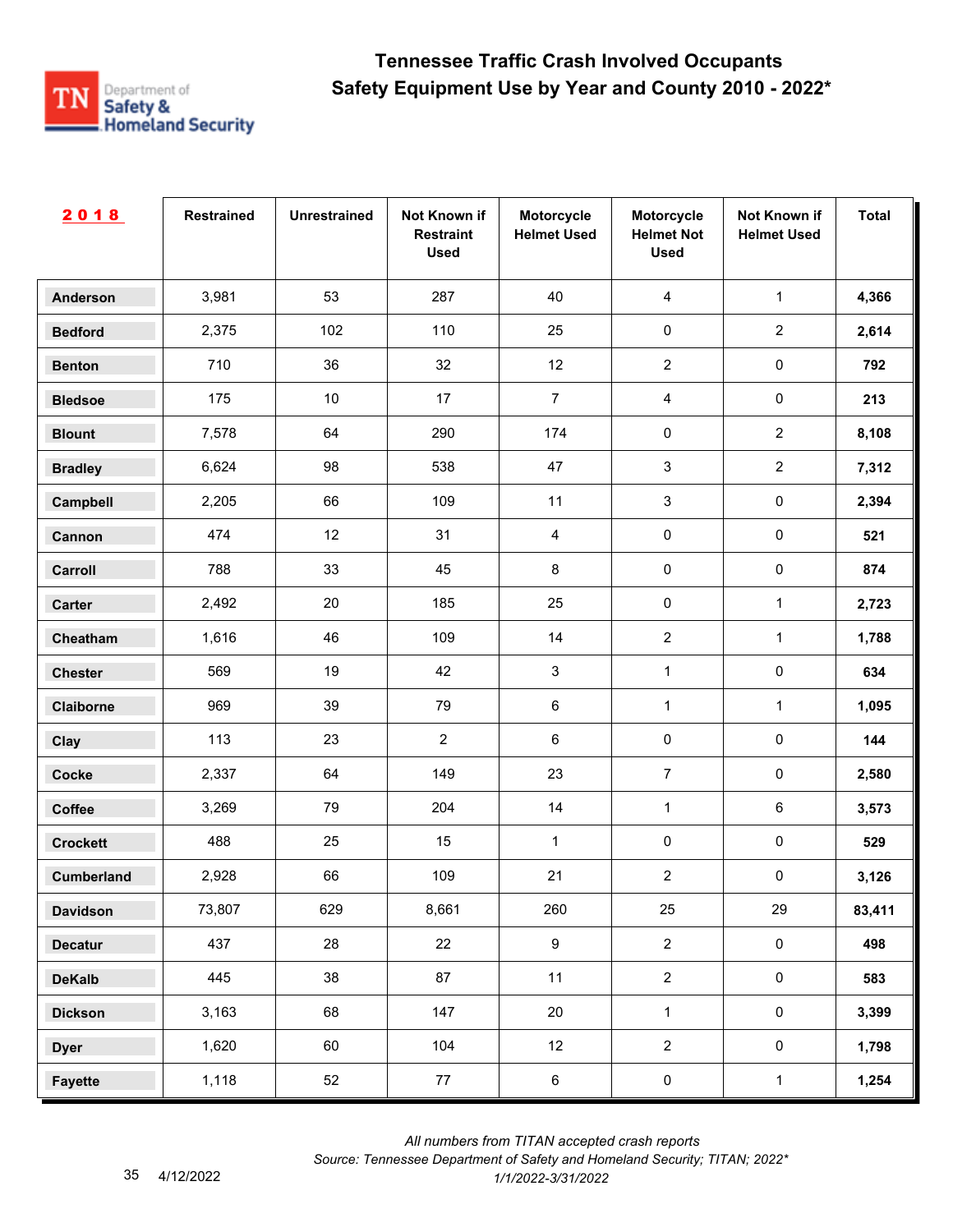

| 2018              | <b>Restrained</b> | <b>Unrestrained</b> | Not Known if<br><b>Restraint</b><br><b>Used</b> | Motorcycle<br><b>Helmet Used</b> | Motorcycle<br><b>Helmet Not</b><br><b>Used</b> | Not Known if<br><b>Helmet Used</b> | <b>Total</b> |
|-------------------|-------------------|---------------------|-------------------------------------------------|----------------------------------|------------------------------------------------|------------------------------------|--------------|
| <b>Anderson</b>   | 3,981             | 53                  | 287                                             | 40                               | $\overline{4}$                                 | $\mathbf{1}$                       | 4,366        |
| <b>Bedford</b>    | 2,375             | 102                 | 110                                             | 25                               | $\pmb{0}$                                      | $\overline{2}$                     | 2,614        |
| <b>Benton</b>     | 710               | 36                  | 32                                              | 12                               | $\overline{2}$                                 | $\pmb{0}$                          | 792          |
| <b>Bledsoe</b>    | 175               | $10$                | 17                                              | $\overline{7}$                   | $\overline{4}$                                 | $\pmb{0}$                          | 213          |
| <b>Blount</b>     | 7,578             | 64                  | 290                                             | 174                              | $\pmb{0}$                                      | $\overline{2}$                     | 8,108        |
| <b>Bradley</b>    | 6,624             | 98                  | 538                                             | 47                               | $\mathbf{3}$                                   | $\overline{2}$                     | 7,312        |
| Campbell          | 2,205             | 66                  | 109                                             | 11                               | $\sqrt{3}$                                     | $\pmb{0}$                          | 2,394        |
| Cannon            | 474               | 12                  | 31                                              | $\overline{4}$                   | $\pmb{0}$                                      | $\pmb{0}$                          | 521          |
| Carroll           | 788               | 33                  | 45                                              | 8                                | $\mathbf 0$                                    | $\pmb{0}$                          | 874          |
| Carter            | 2,492             | $20\,$              | 185                                             | 25                               | $\pmb{0}$                                      | $\mathbf{1}$                       | 2,723        |
| Cheatham          | 1,616             | 46                  | 109                                             | 14                               | $\overline{2}$                                 | $\mathbf{1}$                       | 1,788        |
| <b>Chester</b>    | 569               | 19                  | 42                                              | 3                                | $\mathbf{1}$                                   | $\pmb{0}$                          | 634          |
| Claiborne         | 969               | 39                  | 79                                              | $\,6\,$                          | $\mathbf{1}$                                   | $\mathbf{1}$                       | 1,095        |
| Clay              | 113               | 23                  | $\overline{2}$                                  | 6                                | $\pmb{0}$                                      | $\pmb{0}$                          | 144          |
| <b>Cocke</b>      | 2,337             | 64                  | 149                                             | 23                               | $\boldsymbol{7}$                               | $\pmb{0}$                          | 2,580        |
| Coffee            | 3,269             | 79                  | 204                                             | $14$                             | $\mathbf{1}$                                   | $\,6\,$                            | 3,573        |
| <b>Crockett</b>   | 488               | 25                  | 15                                              | 1                                | $\pmb{0}$                                      | $\pmb{0}$                          | 529          |
| <b>Cumberland</b> | 2,928             | 66                  | 109                                             | 21                               | $\sqrt{2}$                                     | $\pmb{0}$                          | 3,126        |
| <b>Davidson</b>   | 73,807            | 629                 | 8,661                                           | 260                              | 25                                             | 29                                 | 83,411       |
| <b>Decatur</b>    | 437               | 28                  | 22                                              | $9\,$                            | $\overline{2}$                                 | $\mathbf 0$                        | 498          |
| <b>DeKalb</b>     | 445               | 38                  | 87                                              | 11                               | $\overline{2}$                                 | $\mathsf{O}\xspace$                | 583          |
| <b>Dickson</b>    | 3,163             | 68                  | 147                                             | 20                               | $\mathbf{1}$                                   | $\mathsf{O}\xspace$                | 3,399        |
| <b>Dyer</b>       | 1,620             | 60                  | 104                                             | 12                               | $\overline{2}$                                 | $\mathsf{O}\xspace$                | 1,798        |
| <b>Fayette</b>    | 1,118             | 52                  | 77                                              | $\,6$                            | $\pmb{0}$                                      | $\mathbf{1}$                       | 1,254        |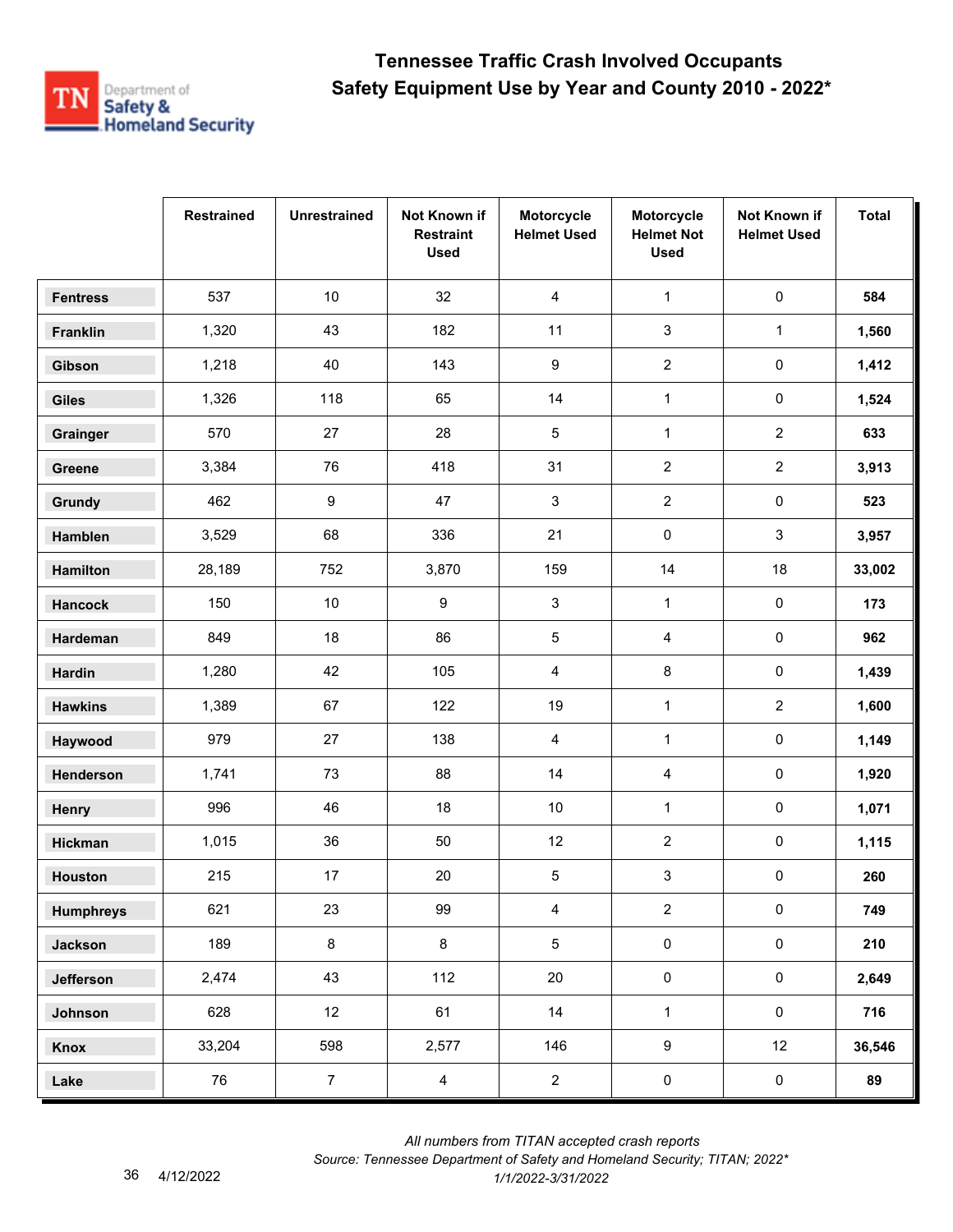

|                  | <b>Restrained</b> | <b>Unrestrained</b> | Not Known if<br><b>Restraint</b><br><b>Used</b> | Motorcycle<br><b>Helmet Used</b> | Motorcycle<br><b>Helmet Not</b><br><b>Used</b> | Not Known if<br><b>Helmet Used</b> | <b>Total</b> |
|------------------|-------------------|---------------------|-------------------------------------------------|----------------------------------|------------------------------------------------|------------------------------------|--------------|
| <b>Fentress</b>  | 537               | 10                  | 32                                              | $\overline{4}$                   | $\mathbf{1}$                                   | $\pmb{0}$                          | 584          |
| Franklin         | 1,320             | 43                  | 182                                             | 11                               | 3                                              | $\mathbf{1}$                       | 1,560        |
| Gibson           | 1,218             | 40                  | 143                                             | 9                                | $\overline{2}$                                 | 0                                  | 1,412        |
| <b>Giles</b>     | 1,326             | 118                 | 65                                              | 14                               | $\mathbf{1}$                                   | 0                                  | 1,524        |
| Grainger         | 570               | 27                  | 28                                              | 5                                | $\mathbf{1}$                                   | $\overline{2}$                     | 633          |
| Greene           | 3,384             | 76                  | 418                                             | 31                               | $\overline{2}$                                 | $\overline{a}$                     | 3,913        |
| Grundy           | 462               | $\boldsymbol{9}$    | 47                                              | 3                                | $\boldsymbol{2}$                               | $\pmb{0}$                          | 523          |
| Hamblen          | 3,529             | 68                  | 336                                             | 21                               | $\pmb{0}$                                      | 3                                  | 3,957        |
| Hamilton         | 28,189            | 752                 | 3,870                                           | 159                              | 14                                             | 18                                 | 33,002       |
| <b>Hancock</b>   | 150               | $10\,$              | 9                                               | 3                                | $\mathbf{1}$                                   | $\pmb{0}$                          | 173          |
| Hardeman         | 849               | 18                  | 86                                              | $\sqrt{5}$                       | 4                                              | 0                                  | 962          |
| <b>Hardin</b>    | 1,280             | 42                  | 105                                             | 4                                | 8                                              | 0                                  | 1,439        |
| <b>Hawkins</b>   | 1,389             | 67                  | 122                                             | 19                               | $\mathbf{1}$                                   | $\overline{2}$                     | 1,600        |
| Haywood          | 979               | 27                  | 138                                             | 4                                | $\mathbf{1}$                                   | 0                                  | 1,149        |
| Henderson        | 1,741             | 73                  | 88                                              | 14                               | 4                                              | 0                                  | 1,920        |
| Henry            | 996               | 46                  | 18                                              | $10$                             | $\mathbf{1}$                                   | $\pmb{0}$                          | 1,071        |
| Hickman          | 1,015             | 36                  | 50                                              | 12                               | $\mathbf{2}$                                   | 0                                  | 1,115        |
| Houston          | 215               | 17                  | 20                                              | 5                                | 3                                              | 0                                  | 260          |
| <b>Humphreys</b> | 621               | 23                  | 99                                              | $\overline{4}$                   | $\overline{2}$                                 | $\mathsf{O}\xspace$                | 749          |
| <b>Jackson</b>   | 189               | $\bf 8$             | 8                                               | $\overline{5}$                   | $\pmb{0}$                                      | $\mathbf 0$                        | 210          |
| Jefferson        | 2,474             | 43                  | 112                                             | 20                               | $\mathsf 0$                                    | $\mathsf{O}\xspace$                | 2,649        |
| Johnson          | 628               | 12 <sup>°</sup>     | 61                                              | 14                               | $\mathbf{1}$                                   | $\mathsf{O}\xspace$                | 716          |
| Knox             | 33,204            | 598                 | 2,577                                           | 146                              | $\boldsymbol{9}$                               | 12 <sup>°</sup>                    | 36,546       |
| Lake             | 76                | $\overline{7}$      | $\overline{4}$                                  | $\overline{2}$                   | $\pmb{0}$                                      | $\pmb{0}$                          | 89           |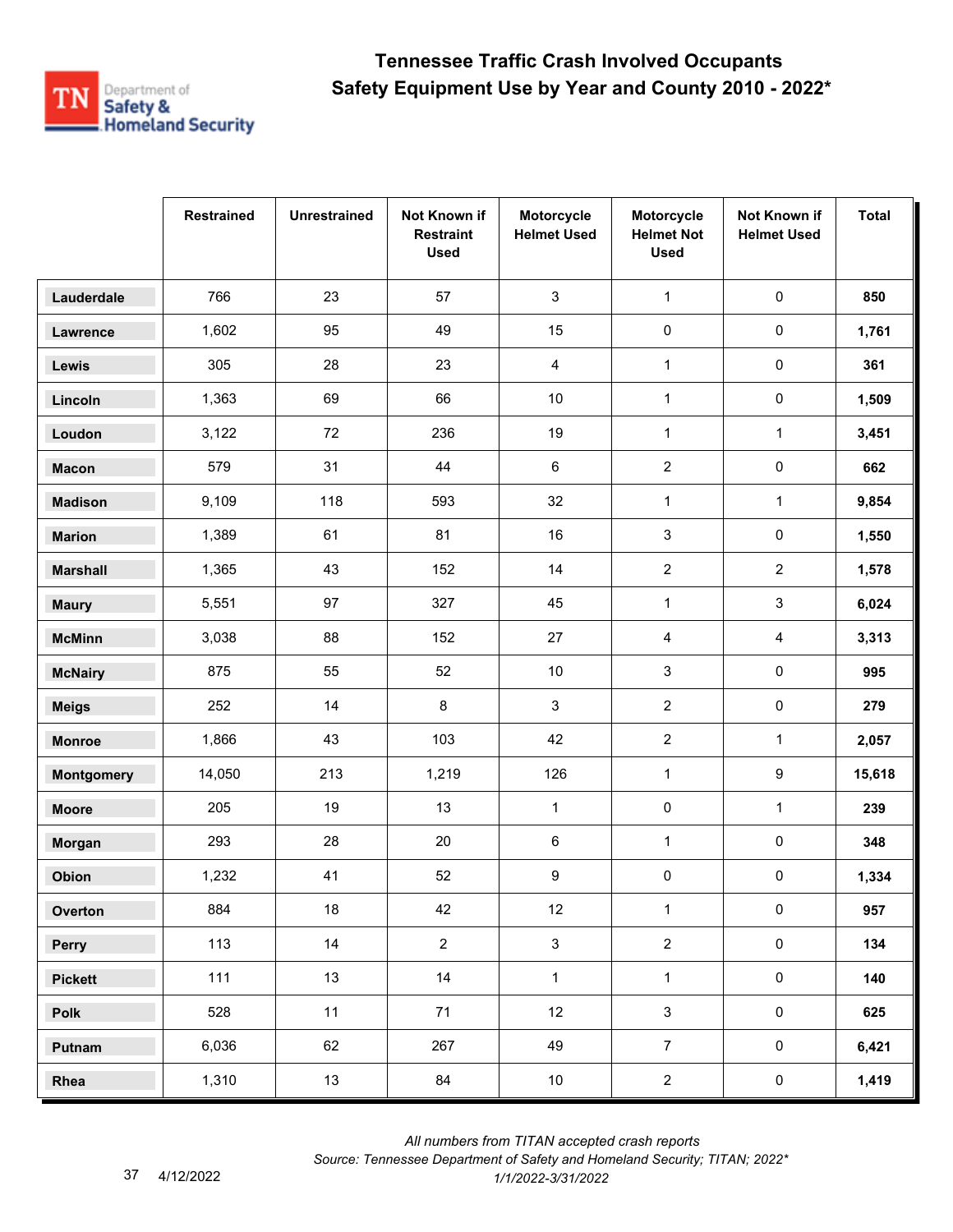

|                   | <b>Restrained</b> | <b>Unrestrained</b> | Not Known if<br><b>Restraint</b><br><b>Used</b> | Motorcycle<br><b>Helmet Used</b> | Motorcycle<br><b>Helmet Not</b><br><b>Used</b> | Not Known if<br><b>Helmet Used</b> | <b>Total</b> |
|-------------------|-------------------|---------------------|-------------------------------------------------|----------------------------------|------------------------------------------------|------------------------------------|--------------|
| Lauderdale        | 766               | 23                  | 57                                              | 3                                | $\mathbf{1}$                                   | $\pmb{0}$                          | 850          |
| Lawrence          | 1,602             | 95                  | 49                                              | 15                               | $\pmb{0}$                                      | $\mathsf{O}\xspace$                | 1,761        |
| Lewis             | 305               | 28                  | 23                                              | 4                                | $\mathbf{1}$                                   | 0                                  | 361          |
| Lincoln           | 1,363             | 69                  | 66                                              | $10$                             | $\mathbf{1}$                                   | 0                                  | 1,509        |
| Loudon            | 3,122             | 72                  | 236                                             | 19                               | $\mathbf{1}$                                   | $\mathbf 1$                        | 3,451        |
| <b>Macon</b>      | 579               | 31                  | 44                                              | 6                                | $\overline{2}$                                 | 0                                  | 662          |
| <b>Madison</b>    | 9,109             | 118                 | 593                                             | 32                               | $\mathbf{1}$                                   | $\mathbf{1}$                       | 9,854        |
| <b>Marion</b>     | 1,389             | 61                  | 81                                              | 16                               | 3                                              | $\pmb{0}$                          | 1,550        |
| <b>Marshall</b>   | 1,365             | 43                  | 152                                             | 14                               | $\overline{2}$                                 | $\overline{2}$                     | 1,578        |
| <b>Maury</b>      | 5,551             | 97                  | 327                                             | 45                               | $\mathbf{1}$                                   | 3                                  | 6,024        |
| <b>McMinn</b>     | 3,038             | 88                  | 152                                             | 27                               | 4                                              | 4                                  | 3,313        |
| <b>McNairy</b>    | 875               | 55                  | 52                                              | $10\,$                           | 3                                              | $\pmb{0}$                          | 995          |
| <b>Meigs</b>      | 252               | 14                  | 8                                               | 3                                | $\boldsymbol{2}$                               | $\pmb{0}$                          | 279          |
| <b>Monroe</b>     | 1,866             | 43                  | 103                                             | 42                               | $\overline{c}$                                 | $\mathbf{1}$                       | 2,057        |
| <b>Montgomery</b> | 14,050            | 213                 | 1,219                                           | 126                              | $\mathbf{1}$                                   | 9                                  | 15,618       |
| <b>Moore</b>      | 205               | 19                  | 13                                              | $\mathbf{1}$                     | 0                                              | $\mathbf 1$                        | 239          |
| Morgan            | 293               | 28                  | 20                                              | 6                                | $\mathbf{1}$                                   | 0                                  | 348          |
| Obion             | 1,232             | 41                  | 52                                              | 9                                | 0                                              | 0                                  | 1,334        |
| Overton           | 884               | 18                  | 42                                              | 12                               | $\mathbf{1}$                                   | $\pmb{0}$                          | 957          |
| Perry             | 113               | 14                  | $\overline{2}$                                  | $\mathbf{3}$                     | $\overline{2}$                                 | $\mathsf{O}\xspace$                | 134          |
| <b>Pickett</b>    | 111               | 13                  | 14                                              | $\mathbf{1}$                     | $\mathbf{1}$                                   | $\mathsf{O}\xspace$                | 140          |
| Polk              | 528               | 11                  | 71                                              | 12                               | $\mathbf{3}$                                   | $\mathsf{O}\xspace$                | 625          |
| Putnam            | 6,036             | 62                  | 267                                             | 49                               | $\overline{7}$                                 | $\mathsf{O}\xspace$                | 6,421        |
| Rhea              | 1,310             | 13                  | 84                                              | $10\,$                           | $\overline{2}$                                 | $\pmb{0}$                          | 1,419        |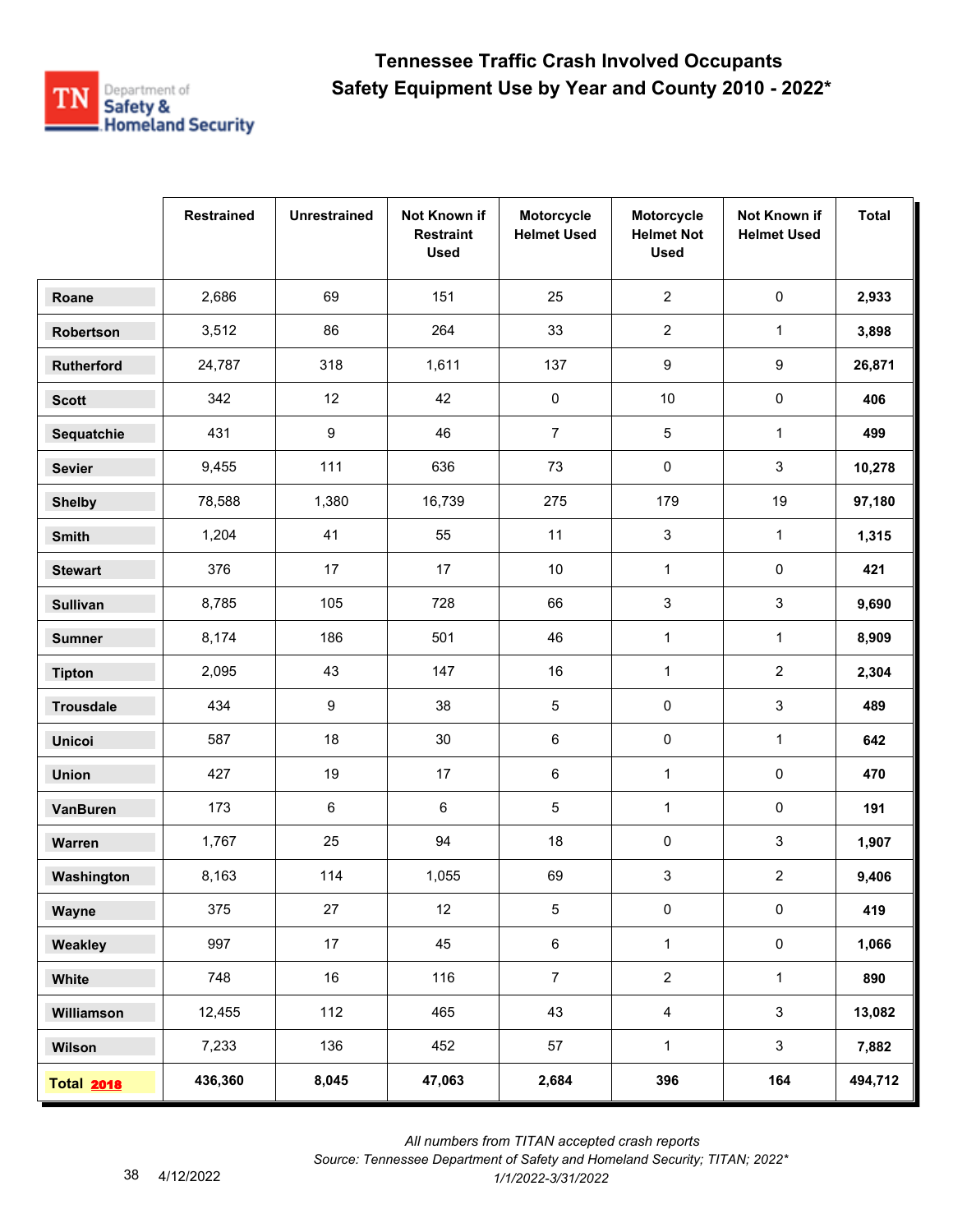

|                   | <b>Restrained</b> | <b>Unrestrained</b> | Not Known if<br><b>Restraint</b><br><b>Used</b> | Motorcycle<br><b>Helmet Used</b> | Motorcycle<br><b>Helmet Not</b><br><b>Used</b> | Not Known if<br><b>Helmet Used</b> | <b>Total</b> |
|-------------------|-------------------|---------------------|-------------------------------------------------|----------------------------------|------------------------------------------------|------------------------------------|--------------|
| Roane             | 2,686             | 69                  | 151                                             | 25                               | $\overline{2}$                                 | $\pmb{0}$                          | 2,933        |
| Robertson         | 3,512             | 86                  | 264                                             | 33                               | $\overline{2}$                                 | $\mathbf{1}$                       | 3,898        |
| Rutherford        | 24,787            | 318                 | 1,611                                           | 137                              | 9                                              | 9                                  | 26,871       |
| <b>Scott</b>      | 342               | 12                  | 42                                              | 0                                | $10$                                           | 0                                  | 406          |
| Sequatchie        | 431               | 9                   | 46                                              | $\overline{7}$                   | 5                                              | $\mathbf{1}$                       | 499          |
| <b>Sevier</b>     | 9,455             | 111                 | 636                                             | 73                               | 0                                              | 3                                  | 10,278       |
| <b>Shelby</b>     | 78,588            | 1,380               | 16,739                                          | 275                              | 179                                            | 19                                 | 97,180       |
| Smith             | 1,204             | 41                  | 55                                              | 11                               | 3                                              | $\mathbf{1}$                       | 1,315        |
| <b>Stewart</b>    | 376               | 17                  | 17                                              | 10                               | $\mathbf{1}$                                   | 0                                  | 421          |
| <b>Sullivan</b>   | 8,785             | 105                 | 728                                             | 66                               | 3                                              | 3                                  | 9,690        |
| <b>Sumner</b>     | 8,174             | 186                 | 501                                             | 46                               | $\mathbf{1}$                                   | $\mathbf{1}$                       | 8,909        |
| <b>Tipton</b>     | 2,095             | 43                  | 147                                             | 16                               | $\mathbf{1}$                                   | $\overline{a}$                     | 2,304        |
| <b>Trousdale</b>  | 434               | 9                   | 38                                              | 5                                | 0                                              | 3                                  | 489          |
| <b>Unicoi</b>     | 587               | 18                  | $30\,$                                          | 6                                | 0                                              | $\mathbf{1}$                       | 642          |
| <b>Union</b>      | 427               | 19                  | 17                                              | 6                                | $\mathbf{1}$                                   | 0                                  | 470          |
| <b>VanBuren</b>   | 173               | 6                   | 6                                               | 5                                | $\mathbf{1}$                                   | 0                                  | 191          |
| Warren            | 1,767             | 25                  | 94                                              | 18                               | 0                                              | 3                                  | 1,907        |
| Washington        | 8,163             | 114                 | 1,055                                           | 69                               | 3                                              | 2                                  | 9,406        |
| Wayne             | 375               | 27                  | 12                                              | $\sqrt{5}$                       | $\pmb{0}$                                      | $\pmb{0}$                          | 419          |
| Weakley           | 997               | 17                  | 45                                              | $\,6\,$                          | $\mathbf{1}$                                   | $\mathbf 0$                        | 1,066        |
| White             | 748               | 16                  | 116                                             | $\overline{7}$                   | $\overline{2}$                                 | $\mathbf{1}$                       | 890          |
| Williamson        | 12,455            | 112                 | 465                                             | 43                               | $\overline{4}$                                 | $\mathbf{3}$                       | 13,082       |
| Wilson            | 7,233             | 136                 | 452                                             | 57                               | $\mathbf{1}$                                   | $\mathbf{3}$                       | 7,882        |
| <b>Total 2018</b> | 436,360           | 8,045               | 47,063                                          | 2,684                            | 396                                            | 164                                | 494,712      |

 *All numbers from TITAN accepted crash reports*

*Source: Tennessee Department of Safety and Homeland Security; TITAN; 2022\**  4/12/2022 *1/1/2022-3/31/2022*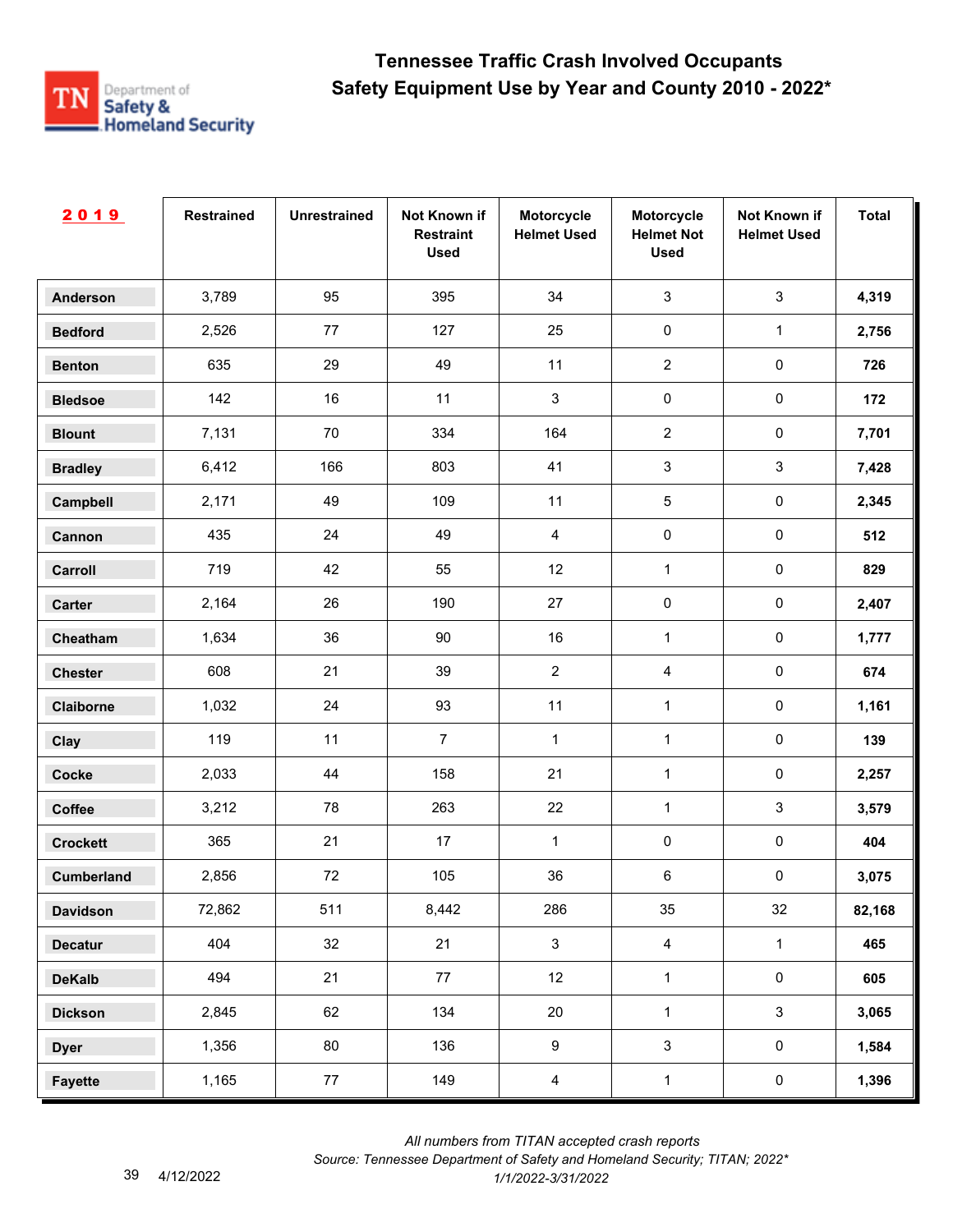

| 2019              | <b>Restrained</b> | <b>Unrestrained</b> | Not Known if<br><b>Restraint</b><br><b>Used</b> | Motorcycle<br><b>Helmet Used</b> | Motorcycle<br><b>Helmet Not</b><br><b>Used</b> | Not Known if<br><b>Helmet Used</b> | <b>Total</b> |
|-------------------|-------------------|---------------------|-------------------------------------------------|----------------------------------|------------------------------------------------|------------------------------------|--------------|
| <b>Anderson</b>   | 3,789             | 95                  | 395                                             | 34                               | $\mathbf{3}$                                   | $\mathbf{3}$                       | 4,319        |
| <b>Bedford</b>    | 2,526             | 77                  | 127                                             | 25                               | $\pmb{0}$                                      | $\mathbf{1}$                       | 2,756        |
| <b>Benton</b>     | 635               | 29                  | 49                                              | 11                               | $\overline{2}$                                 | $\pmb{0}$                          | 726          |
| <b>Bledsoe</b>    | 142               | 16                  | 11                                              | 3                                | $\pmb{0}$                                      | $\pmb{0}$                          | 172          |
| <b>Blount</b>     | 7,131             | 70                  | 334                                             | 164                              | $\overline{2}$                                 | $\pmb{0}$                          | 7,701        |
| <b>Bradley</b>    | 6,412             | 166                 | 803                                             | 41                               | $\mathbf{3}$                                   | $\mathfrak{S}$                     | 7,428        |
| Campbell          | 2,171             | 49                  | 109                                             | 11                               | $\sqrt{5}$                                     | $\pmb{0}$                          | 2,345        |
| Cannon            | 435               | 24                  | 49                                              | $\overline{4}$                   | $\pmb{0}$                                      | $\pmb{0}$                          | 512          |
| Carroll           | 719               | 42                  | 55                                              | 12                               | $\mathbf{1}$                                   | $\pmb{0}$                          | 829          |
| Carter            | 2,164             | 26                  | 190                                             | 27                               | $\pmb{0}$                                      | $\pmb{0}$                          | 2,407        |
| Cheatham          | 1,634             | 36                  | 90                                              | 16                               | $\mathbf{1}$                                   | $\pmb{0}$                          | 1,777        |
| <b>Chester</b>    | 608               | 21                  | 39                                              | $\overline{c}$                   | $\overline{4}$                                 | $\pmb{0}$                          | 674          |
| Claiborne         | 1,032             | 24                  | 93                                              | 11                               | $\mathbf{1}$                                   | $\pmb{0}$                          | 1,161        |
| Clay              | 119               | 11                  | $\overline{7}$                                  | $\mathbf{1}$                     | $\mathbf{1}$                                   | $\pmb{0}$                          | 139          |
| <b>Cocke</b>      | 2,033             | 44                  | 158                                             | 21                               | $\mathbf{1}$                                   | $\pmb{0}$                          | 2,257        |
| Coffee            | 3,212             | 78                  | 263                                             | 22                               | $\mathbf{1}$                                   | $\mathbf{3}$                       | 3,579        |
| <b>Crockett</b>   | 365               | 21                  | 17                                              | 1                                | $\pmb{0}$                                      | $\pmb{0}$                          | 404          |
| <b>Cumberland</b> | 2,856             | 72                  | 105                                             | 36                               | 6                                              | $\pmb{0}$                          | 3,075        |
| <b>Davidson</b>   | 72,862            | 511                 | 8,442                                           | 286                              | 35                                             | 32                                 | 82,168       |
| <b>Decatur</b>    | 404               | 32                  | 21                                              | $\mathbf{3}$                     | $\overline{4}$                                 | $\mathbf 1$                        | 465          |
| <b>DeKalb</b>     | 494               | 21                  | 77                                              | 12                               | $\mathbf{1}$                                   | $\mathsf{O}\xspace$                | 605          |
| <b>Dickson</b>    | 2,845             | 62                  | 134                                             | 20                               | $\mathbf{1}$                                   | $\mathbf{3}$                       | 3,065        |
| <b>Dyer</b>       | 1,356             | 80                  | 136                                             | $\boldsymbol{9}$                 | $\mathbf{3}$                                   | $\mathsf{O}\xspace$                | 1,584        |
| <b>Fayette</b>    | 1,165             | 77                  | 149                                             | $\overline{4}$                   | $\mathbf{1}$                                   | $\pmb{0}$                          | 1,396        |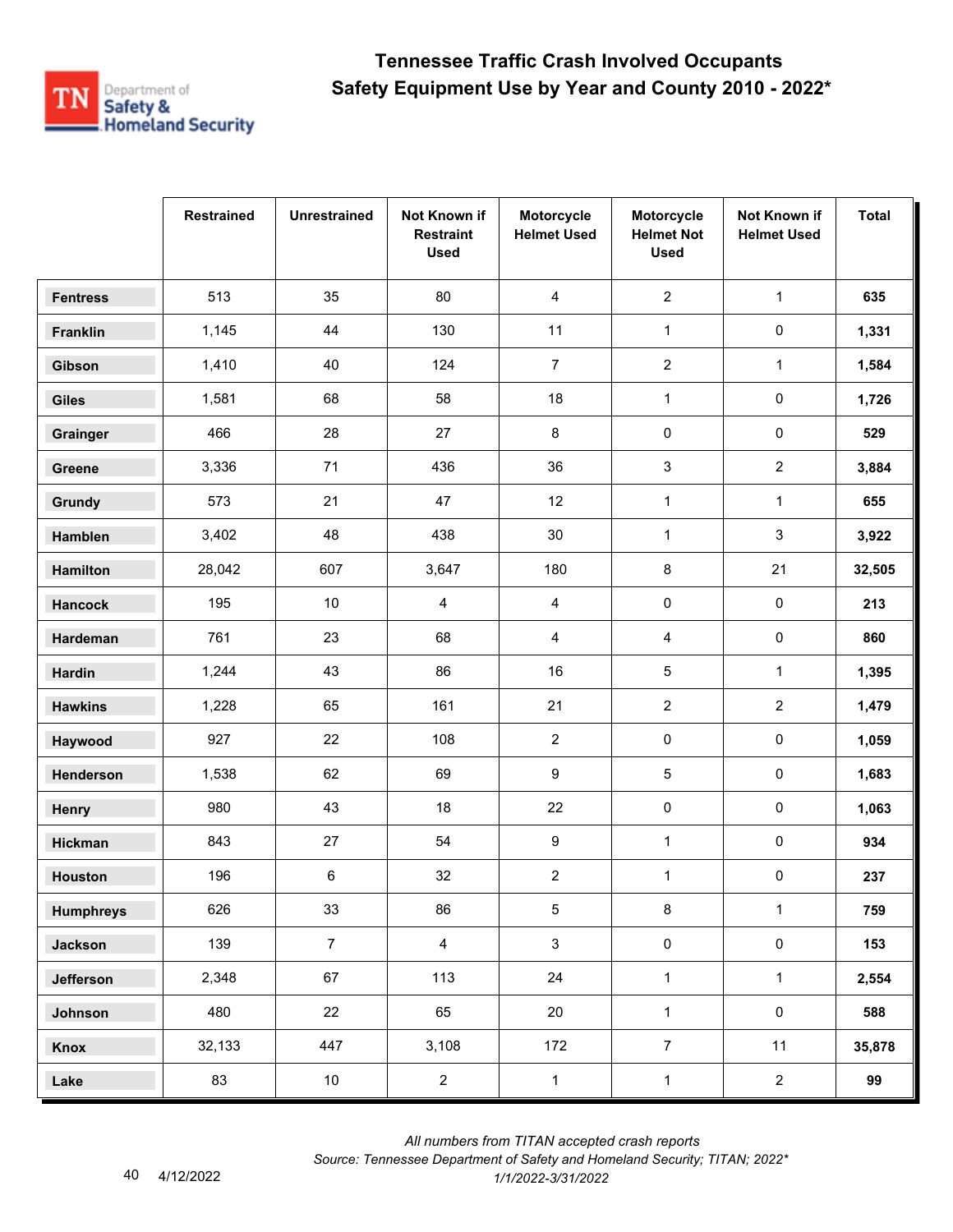

|                  | <b>Restrained</b> | <b>Unrestrained</b> | Not Known if<br><b>Restraint</b><br><b>Used</b> | Motorcycle<br><b>Helmet Used</b> | Motorcycle<br><b>Helmet Not</b><br><b>Used</b> | Not Known if<br><b>Helmet Used</b> | <b>Total</b> |
|------------------|-------------------|---------------------|-------------------------------------------------|----------------------------------|------------------------------------------------|------------------------------------|--------------|
| <b>Fentress</b>  | 513               | 35                  | 80                                              | 4                                | $\overline{2}$                                 | $\mathbf{1}$                       | 635          |
| Franklin         | 1,145             | 44                  | 130                                             | 11                               | $\mathbf{1}$                                   | $\pmb{0}$                          | 1,331        |
| Gibson           | 1,410             | 40                  | 124                                             | $\overline{7}$                   | $\overline{c}$                                 | 1                                  | 1,584        |
| <b>Giles</b>     | 1,581             | 68                  | 58                                              | 18                               | $\mathbf{1}$                                   | 0                                  | 1,726        |
| Grainger         | 466               | 28                  | 27                                              | 8                                | $\pmb{0}$                                      | $\pmb{0}$                          | 529          |
| Greene           | 3,336             | 71                  | 436                                             | 36                               | 3                                              | $\overline{a}$                     | 3,884        |
| Grundy           | 573               | 21                  | 47                                              | 12                               | $\mathbf{1}$                                   | $\mathbf{1}$                       | 655          |
| Hamblen          | 3,402             | 48                  | 438                                             | $30\,$                           | $\mathbf{1}$                                   | 3                                  | 3,922        |
| Hamilton         | 28,042            | 607                 | 3,647                                           | 180                              | 8                                              | 21                                 | 32,505       |
| <b>Hancock</b>   | 195               | $10\,$              | 4                                               | 4                                | 0                                              | 0                                  | 213          |
| Hardeman         | 761               | 23                  | 68                                              | 4                                | 4                                              | 0                                  | 860          |
| <b>Hardin</b>    | 1,244             | 43                  | 86                                              | 16                               | 5                                              | $\mathbf{1}$                       | 1,395        |
| <b>Hawkins</b>   | 1,228             | 65                  | 161                                             | 21                               | $\overline{c}$                                 | $\overline{2}$                     | 1,479        |
| Haywood          | 927               | 22                  | 108                                             | $\overline{2}$                   | 0                                              | 0                                  | 1,059        |
| Henderson        | 1,538             | 62                  | 69                                              | 9                                | 5                                              | 0                                  | 1,683        |
| Henry            | 980               | 43                  | 18                                              | 22                               | $\pmb{0}$                                      | $\pmb{0}$                          | 1,063        |
| Hickman          | 843               | 27                  | 54                                              | 9                                | $\mathbf{1}$                                   | 0                                  | 934          |
| Houston          | 196               | 6                   | 32                                              | $\overline{c}$                   | $\mathbf 1$                                    | 0                                  | 237          |
| <b>Humphreys</b> | 626               | 33                  | 86                                              | $\sqrt{5}$                       | 8                                              | $\mathbf{1}$                       | 759          |
| <b>Jackson</b>   | 139               | $\overline{7}$      | $\overline{4}$                                  | $\mathbf{3}$                     | $\pmb{0}$                                      | $\mathsf{O}\xspace$                | 153          |
| Jefferson        | 2,348             | 67                  | 113                                             | 24                               | $\mathbf{1}$                                   | $\mathbf{1}$                       | 2,554        |
| Johnson          | 480               | 22                  | 65                                              | 20                               | $\mathbf{1}$                                   | $\mathbf 0$                        | 588          |
| Knox             | 32,133            | 447                 | 3,108                                           | 172                              | $\overline{7}$                                 | 11                                 | 35,878       |
| Lake             | 83                | 10                  | $\overline{c}$                                  | $\mathbf{1}$                     | $\mathbf 1$                                    | $\overline{2}$                     | 99           |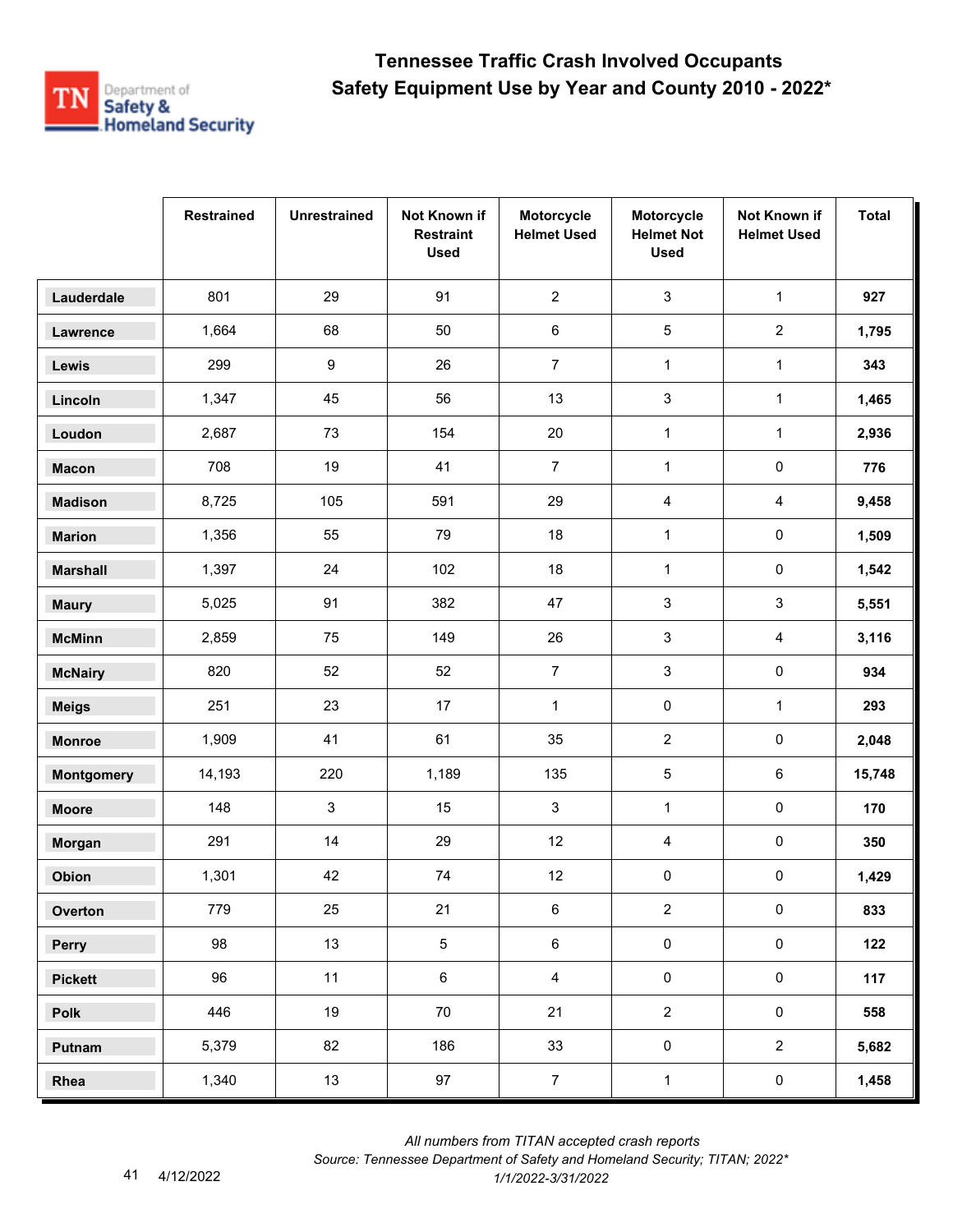

|                   | <b>Restrained</b> | <b>Unrestrained</b> | Not Known if<br><b>Restraint</b><br><b>Used</b> | Motorcycle<br><b>Helmet Used</b> | Motorcycle<br><b>Helmet Not</b><br><b>Used</b> | Not Known if<br><b>Helmet Used</b> | <b>Total</b> |
|-------------------|-------------------|---------------------|-------------------------------------------------|----------------------------------|------------------------------------------------|------------------------------------|--------------|
| Lauderdale        | 801               | 29                  | 91                                              | $\overline{2}$                   | $\mathsf 3$                                    | $\mathbf{1}$                       | 927          |
| Lawrence          | 1,664             | 68                  | 50                                              | 6                                | 5                                              | $\overline{2}$                     | 1,795        |
| Lewis             | 299               | $\boldsymbol{9}$    | 26                                              | $\overline{7}$                   | $\mathbf{1}$                                   | $\mathbf{1}$                       | 343          |
| Lincoln           | 1,347             | 45                  | 56                                              | 13                               | 3                                              | $\mathbf 1$                        | 1,465        |
| Loudon            | 2,687             | 73                  | 154                                             | 20                               | $\mathbf{1}$                                   | $\mathbf{1}$                       | 2,936        |
| <b>Macon</b>      | 708               | 19                  | 41                                              | $\overline{7}$                   | $\mathbf{1}$                                   | 0                                  | 776          |
| <b>Madison</b>    | 8,725             | 105                 | 591                                             | 29                               | 4                                              | $\overline{4}$                     | 9,458        |
| <b>Marion</b>     | 1,356             | 55                  | 79                                              | 18                               | $\mathbf{1}$                                   | $\pmb{0}$                          | 1,509        |
| <b>Marshall</b>   | 1,397             | 24                  | 102                                             | 18                               | $\mathbf{1}$                                   | 0                                  | 1,542        |
| <b>Maury</b>      | 5,025             | 91                  | 382                                             | 47                               | 3                                              | 3                                  | 5,551        |
| <b>McMinn</b>     | 2,859             | 75                  | 149                                             | 26                               | 3                                              | 4                                  | 3,116        |
| <b>McNairy</b>    | 820               | 52                  | 52                                              | $\overline{7}$                   | 3                                              | $\pmb{0}$                          | 934          |
| <b>Meigs</b>      | 251               | 23                  | 17                                              | $\mathbf{1}$                     | $\pmb{0}$                                      | $\mathbf{1}$                       | 293          |
| <b>Monroe</b>     | 1,909             | 41                  | 61                                              | 35                               | $\overline{2}$                                 | 0                                  | 2,048        |
| <b>Montgomery</b> | 14,193            | 220                 | 1,189                                           | 135                              | 5                                              | 6                                  | 15,748       |
| <b>Moore</b>      | 148               | $\mathbf{3}$        | 15                                              | $\mathsf 3$                      | $\mathbf{1}$                                   | $\pmb{0}$                          | 170          |
| Morgan            | 291               | 14                  | 29                                              | 12                               | 4                                              | 0                                  | 350          |
| Obion             | 1,301             | 42                  | 74                                              | 12                               | 0                                              | 0                                  | 1,429        |
| Overton           | 779               | 25                  | 21                                              | 6                                | $\overline{2}$                                 | $\pmb{0}$                          | 833          |
| Perry             | 98                | 13                  | $5\phantom{.0}$                                 | $\,6$                            | $\pmb{0}$                                      | $\mathsf{O}\xspace$                | 122          |
| <b>Pickett</b>    | 96                | 11                  | $\,6\,$                                         | $\overline{4}$                   | $\mathsf 0$                                    | $\mathsf{O}\xspace$                | 117          |
| Polk              | 446               | 19                  | 70                                              | 21                               | $\overline{2}$                                 | $\mathbf 0$                        | 558          |
| Putnam            | 5,379             | 82                  | 186                                             | 33                               | $\pmb{0}$                                      | $\overline{2}$                     | 5,682        |
| Rhea              | 1,340             | 13                  | 97                                              | $\overline{7}$                   | $\mathbf 1$                                    | $\pmb{0}$                          | 1,458        |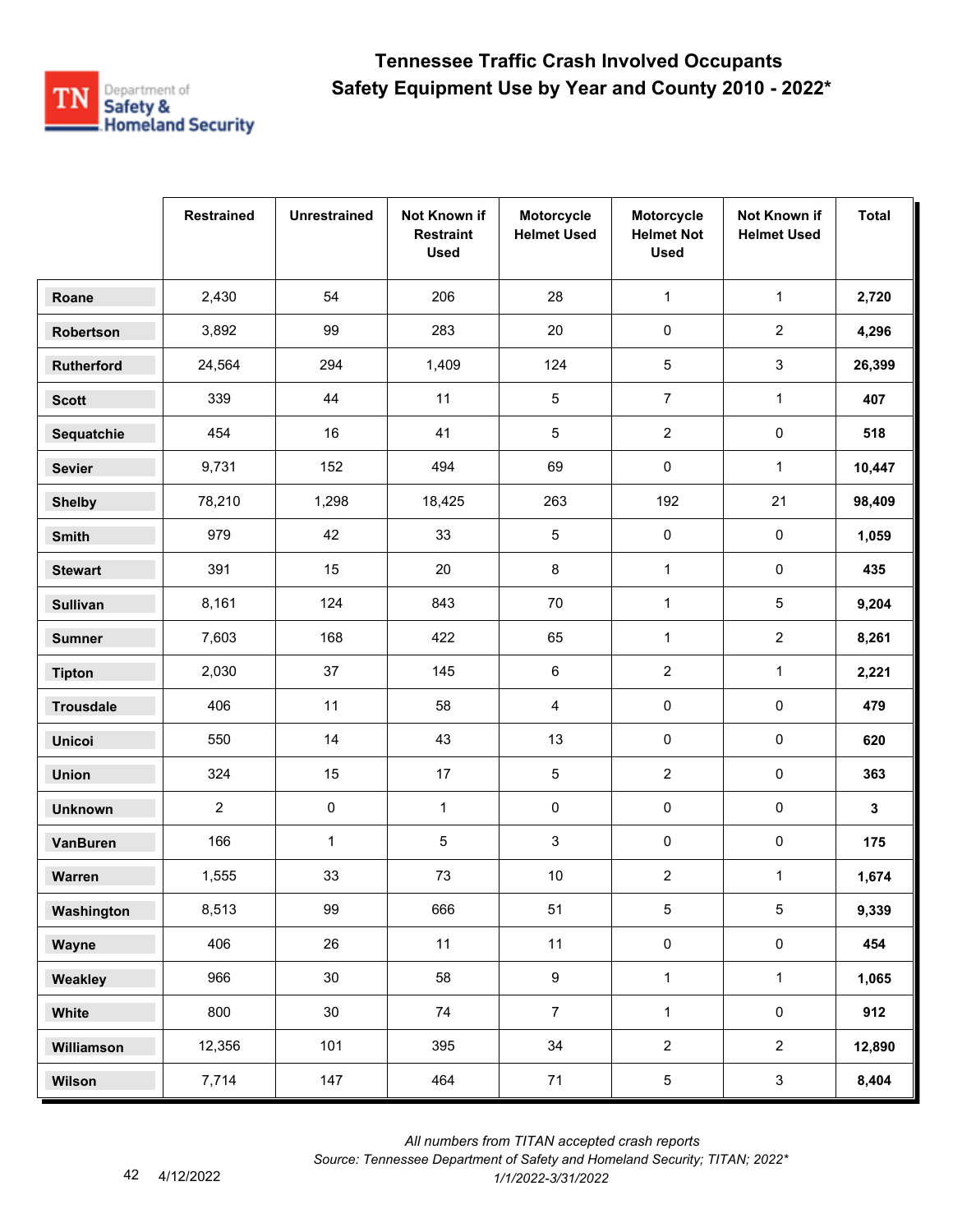

|                  | <b>Restrained</b> | <b>Unrestrained</b> | Not Known if<br><b>Restraint</b><br><b>Used</b> | Motorcycle<br><b>Helmet Used</b> | Motorcycle<br><b>Helmet Not</b><br><b>Used</b> | Not Known if<br><b>Helmet Used</b> | <b>Total</b> |
|------------------|-------------------|---------------------|-------------------------------------------------|----------------------------------|------------------------------------------------|------------------------------------|--------------|
| Roane            | 2,430             | 54                  | 206                                             | 28                               | $\mathbf{1}$                                   | $\mathbf{1}$                       | 2,720        |
| Robertson        | 3,892             | 99                  | 283                                             | 20                               | 0                                              | $\overline{2}$                     | 4,296        |
| Rutherford       | 24,564            | 294                 | 1,409                                           | 124                              | 5                                              | 3                                  | 26,399       |
| <b>Scott</b>     | 339               | 44                  | 11                                              | 5                                | $\overline{7}$                                 | $\mathbf{1}$                       | 407          |
| Sequatchie       | 454               | 16                  | 41                                              | 5                                | $\overline{2}$                                 | $\pmb{0}$                          | 518          |
| <b>Sevier</b>    | 9,731             | 152                 | 494                                             | 69                               | 0                                              | $\mathbf{1}$                       | 10,447       |
| <b>Shelby</b>    | 78,210            | 1,298               | 18,425                                          | 263                              | 192                                            | 21                                 | 98,409       |
| Smith            | 979               | 42                  | 33                                              | 5                                | $\pmb{0}$                                      | $\pmb{0}$                          | 1,059        |
| <b>Stewart</b>   | 391               | 15                  | 20                                              | 8                                | $\mathbf{1}$                                   | $\mathsf 0$                        | 435          |
| <b>Sullivan</b>  | 8,161             | 124                 | 843                                             | $70\,$                           | $\mathbf{1}$                                   | 5                                  | 9,204        |
| <b>Sumner</b>    | 7,603             | 168                 | 422                                             | 65                               | $\mathbf{1}$                                   | $\overline{2}$                     | 8,261        |
| <b>Tipton</b>    | 2,030             | 37                  | 145                                             | 6                                | $\sqrt{2}$                                     | $\mathbf{1}$                       | 2,221        |
| <b>Trousdale</b> | 406               | 11                  | 58                                              | 4                                | 0                                              | $\pmb{0}$                          | 479          |
| <b>Unicoi</b>    | 550               | 14                  | 43                                              | 13                               | 0                                              | $\pmb{0}$                          | 620          |
| <b>Union</b>     | 324               | 15                  | 17                                              | 5                                | $\boldsymbol{2}$                               | $\pmb{0}$                          | 363          |
| <b>Unknown</b>   | $\overline{2}$    | $\pmb{0}$           | $\mathbf{1}$                                    | 0                                | 0                                              | $\pmb{0}$                          | 3            |
| <b>VanBuren</b>  | 166               | $\mathbf 1$         | $\mathbf 5$                                     | 3                                | 0                                              | $\pmb{0}$                          | 175          |
| Warren           | 1,555             | 33                  | 73                                              | $10$                             | $\sqrt{2}$                                     | $\mathbf{1}$                       | 1,674        |
| Washington       | 8,513             | 99                  | 666                                             | 51                               | 5                                              | $\,$ 5 $\,$                        | 9,339        |
| Wayne            | 406               | 26                  | 11                                              | 11                               | $\pmb{0}$                                      | $\pmb{0}$                          | 454          |
| Weakley          | 966               | 30                  | 58                                              | $\boldsymbol{9}$                 | $\mathbf{1}$                                   | $\mathbf{1}$                       | 1,065        |
| White            | 800               | 30                  | 74                                              | $\overline{7}$                   | $\mathbf{1}$                                   | $\mathbf 0$                        | 912          |
| Williamson       | 12,356            | 101                 | 395                                             | 34                               | $\overline{2}$                                 | $\overline{2}$                     | 12,890       |
| Wilson           | 7,714             | 147                 | 464                                             | 71                               | $\sqrt{5}$                                     | $\mathbf{3}$                       | 8,404        |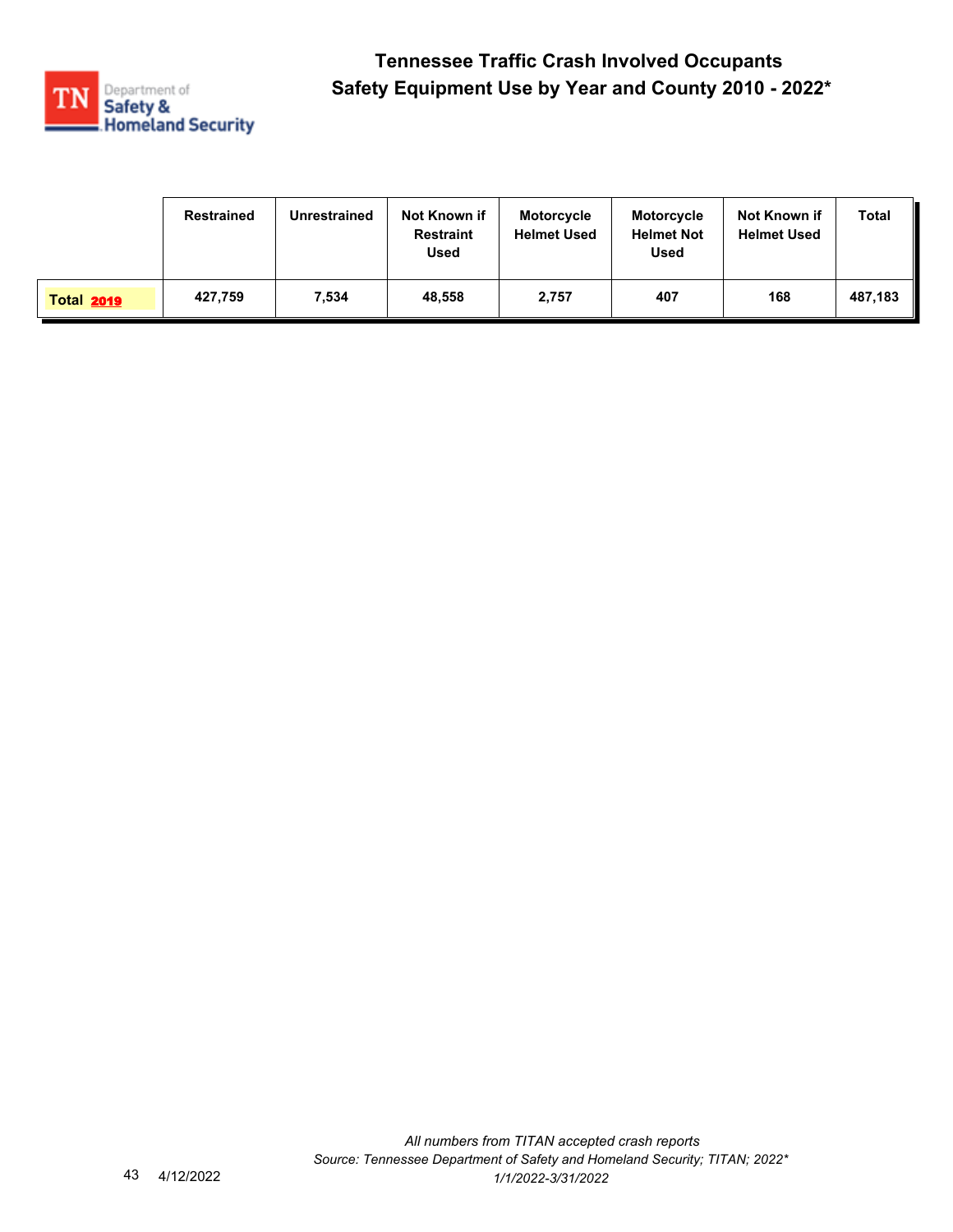

|                   | Restrained | Unrestrained | Not Known if<br><b>Restraint</b><br><b>Used</b> | <b>Motorcycle</b><br><b>Helmet Used</b> | <b>Motorcycle</b><br><b>Helmet Not</b><br><b>Used</b> | Not Known if<br><b>Helmet Used</b> | Total   |
|-------------------|------------|--------------|-------------------------------------------------|-----------------------------------------|-------------------------------------------------------|------------------------------------|---------|
| <b>Total 2019</b> | 427,759    | 7,534        | 48.558                                          | 2,757                                   | 407                                                   | 168                                | 487,183 |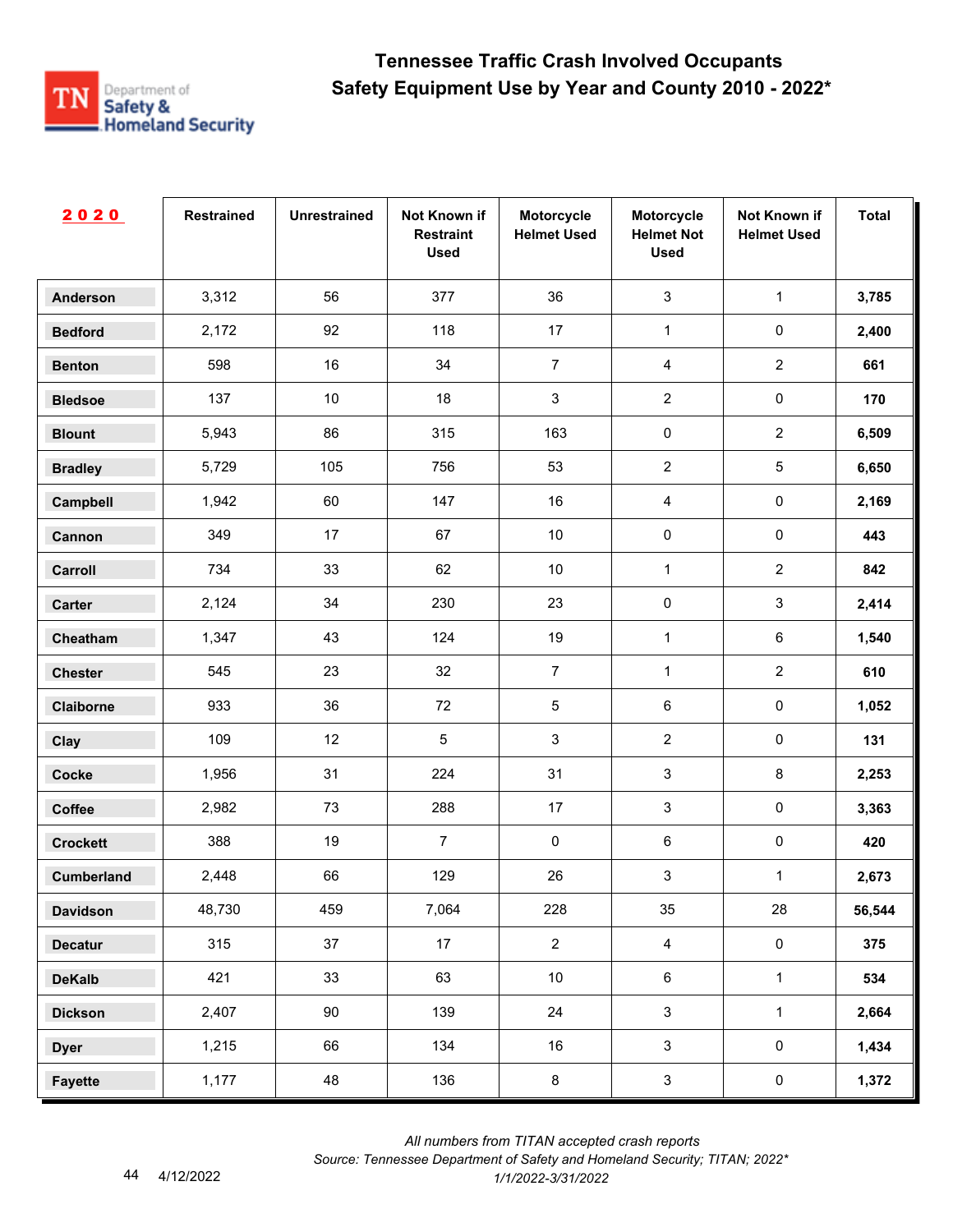

| 2020              | <b>Restrained</b> | <b>Unrestrained</b> | Not Known if<br><b>Restraint</b><br><b>Used</b> | Motorcycle<br><b>Helmet Used</b> | Motorcycle<br><b>Helmet Not</b><br><b>Used</b> | Not Known if<br><b>Helmet Used</b> | <b>Total</b> |
|-------------------|-------------------|---------------------|-------------------------------------------------|----------------------------------|------------------------------------------------|------------------------------------|--------------|
| <b>Anderson</b>   | 3,312             | 56                  | 377                                             | 36                               | $\mathbf{3}$                                   | $\mathbf 1$                        | 3,785        |
| <b>Bedford</b>    | 2,172             | 92                  | 118                                             | 17                               | $\mathbf{1}$                                   | $\pmb{0}$                          | 2,400        |
| <b>Benton</b>     | 598               | 16                  | 34                                              | $\overline{7}$                   | $\overline{4}$                                 | $\overline{2}$                     | 661          |
| <b>Bledsoe</b>    | 137               | $10$                | 18                                              | $\mathsf 3$                      | $\overline{2}$                                 | $\pmb{0}$                          | 170          |
| <b>Blount</b>     | 5,943             | 86                  | 315                                             | 163                              | $\pmb{0}$                                      | $\overline{2}$                     | 6,509        |
| <b>Bradley</b>    | 5,729             | 105                 | 756                                             | 53                               | $\overline{2}$                                 | $\sqrt{5}$                         | 6,650        |
| Campbell          | 1,942             | 60                  | 147                                             | 16                               | $\overline{4}$                                 | $\pmb{0}$                          | 2,169        |
| Cannon            | 349               | 17                  | 67                                              | $10$                             | $\pmb{0}$                                      | $\pmb{0}$                          | 443          |
| Carroll           | 734               | 33                  | 62                                              | $10$                             | 1                                              | $\overline{2}$                     | 842          |
| Carter            | 2,124             | 34                  | 230                                             | 23                               | $\pmb{0}$                                      | $\mathfrak{S}$                     | 2,414        |
| Cheatham          | 1,347             | 43                  | 124                                             | 19                               | $\mathbf{1}$                                   | $\,6\,$                            | 1,540        |
| <b>Chester</b>    | 545               | 23                  | 32                                              | $\overline{7}$                   | $\mathbf{1}$                                   | $\overline{2}$                     | 610          |
| Claiborne         | 933               | 36                  | 72                                              | $\sqrt{5}$                       | $\,6\,$                                        | $\pmb{0}$                          | 1,052        |
| Clay              | 109               | 12                  | $\sqrt{5}$                                      | $\sqrt{3}$                       | $\overline{2}$                                 | $\pmb{0}$                          | 131          |
| <b>Cocke</b>      | 1,956             | 31                  | 224                                             | 31                               | $\sqrt{3}$                                     | 8                                  | 2,253        |
| Coffee            | 2,982             | 73                  | 288                                             | $17$                             | 3                                              | $\pmb{0}$                          | 3,363        |
| <b>Crockett</b>   | 388               | 19                  | $\overline{7}$                                  | 0                                | $\,6\,$                                        | $\pmb{0}$                          | 420          |
| <b>Cumberland</b> | 2,448             | 66                  | 129                                             | $26\,$                           | $\mathbf{3}$                                   | $\mathbf{1}$                       | 2,673        |
| <b>Davidson</b>   | 48,730            | 459                 | 7,064                                           | 228                              | 35                                             | 28                                 | 56,544       |
| <b>Decatur</b>    | 315               | 37                  | 17                                              | $\overline{2}$                   | $\overline{4}$                                 | $\mathbf 0$                        | 375          |
| <b>DeKalb</b>     | 421               | 33                  | 63                                              | $10$                             | $\,6\,$                                        | $\mathbf 1$                        | 534          |
| <b>Dickson</b>    | 2,407             | 90                  | 139                                             | 24                               | $\mathbf{3}$                                   | $\mathbf 1$                        | 2,664        |
| <b>Dyer</b>       | 1,215             | 66                  | 134                                             | 16                               | $\mathbf{3}$                                   | $\mathbf 0$                        | 1,434        |
| <b>Fayette</b>    | 1,177             | 48                  | 136                                             | $\bf 8$                          | $\mathbf{3}$                                   | $\mathbf 0$                        | 1,372        |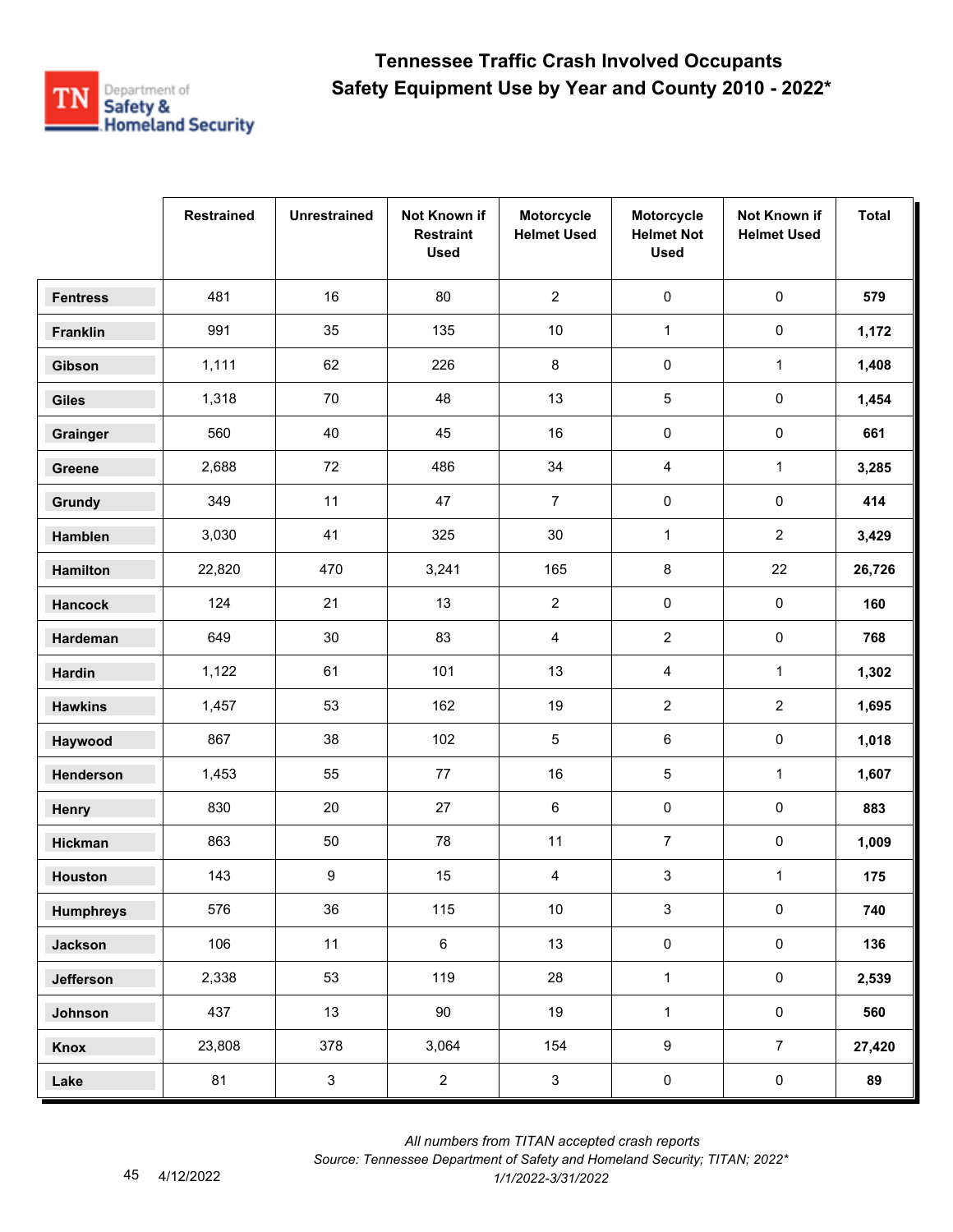

|                  | <b>Restrained</b> | <b>Unrestrained</b> | Not Known if<br><b>Restraint</b><br><b>Used</b> | Motorcycle<br><b>Helmet Used</b> | Motorcycle<br><b>Helmet Not</b><br><b>Used</b> | Not Known if<br><b>Helmet Used</b> | <b>Total</b> |
|------------------|-------------------|---------------------|-------------------------------------------------|----------------------------------|------------------------------------------------|------------------------------------|--------------|
| <b>Fentress</b>  | 481               | 16                  | 80                                              | $\overline{2}$                   | $\pmb{0}$                                      | $\pmb{0}$                          | 579          |
| Franklin         | 991               | 35                  | 135                                             | $10$                             | $\mathbf{1}$                                   | $\pmb{0}$                          | 1,172        |
| Gibson           | 1,111             | 62                  | 226                                             | 8                                | $\pmb{0}$                                      | $\mathbf{1}$                       | 1,408        |
| <b>Giles</b>     | 1,318             | 70                  | 48                                              | 13                               | 5                                              | 0                                  | 1,454        |
| Grainger         | 560               | 40                  | 45                                              | 16                               | $\pmb{0}$                                      | 0                                  | 661          |
| Greene           | 2,688             | 72                  | 486                                             | 34                               | 4                                              | $\mathbf{1}$                       | 3,285        |
| Grundy           | 349               | 11                  | 47                                              | $\overline{7}$                   | 0                                              | $\pmb{0}$                          | 414          |
| Hamblen          | 3,030             | 41                  | 325                                             | $30\,$                           | $\mathbf{1}$                                   | $\overline{2}$                     | 3,429        |
| Hamilton         | 22,820            | 470                 | 3,241                                           | 165                              | 8                                              | 22                                 | 26,726       |
| <b>Hancock</b>   | 124               | 21                  | 13                                              | $\overline{2}$                   | 0                                              | $\pmb{0}$                          | 160          |
| Hardeman         | 649               | 30                  | 83                                              | 4                                | $\overline{2}$                                 | 0                                  | 768          |
| <b>Hardin</b>    | 1,122             | 61                  | 101                                             | 13                               | 4                                              | $\mathbf{1}$                       | 1,302        |
| <b>Hawkins</b>   | 1,457             | 53                  | 162                                             | 19                               | $\overline{2}$                                 | $\overline{2}$                     | 1,695        |
| Haywood          | 867               | 38                  | 102                                             | $\sqrt{5}$                       | 6                                              | 0                                  | 1,018        |
| Henderson        | 1,453             | 55                  | $77\,$                                          | 16                               | 5                                              | $\mathbf{1}$                       | 1,607        |
| Henry            | 830               | 20                  | 27                                              | 6                                | 0                                              | $\pmb{0}$                          | 883          |
| Hickman          | 863               | 50                  | 78                                              | 11                               | $\overline{7}$                                 | 0                                  | 1,009        |
| Houston          | 143               | 9                   | 15                                              | 4                                | 3                                              | $\mathbf{1}$                       | 175          |
| <b>Humphreys</b> | 576               | 36                  | 115                                             | $10\,$                           | $\mathbf{3}$                                   | $\mathsf{O}\xspace$                | 740          |
| <b>Jackson</b>   | 106               | 11                  | $\,6\,$                                         | 13                               | $\pmb{0}$                                      | $\mathbf 0$                        | 136          |
| Jefferson        | 2,338             | 53                  | 119                                             | 28                               | $\mathbf{1}$                                   | $\mathsf{O}\xspace$                | 2,539        |
| Johnson          | 437               | 13                  | 90                                              | 19                               | $\mathbf{1}$                                   | $\mathsf{O}\xspace$                | 560          |
| Knox             | 23,808            | 378                 | 3,064                                           | 154                              | $\boldsymbol{9}$                               | $\overline{7}$                     | 27,420       |
| Lake             | 81                | $\mathbf{3}$        | $\overline{2}$                                  | $\mathbf{3}$                     | $\pmb{0}$                                      | $\pmb{0}$                          | 89           |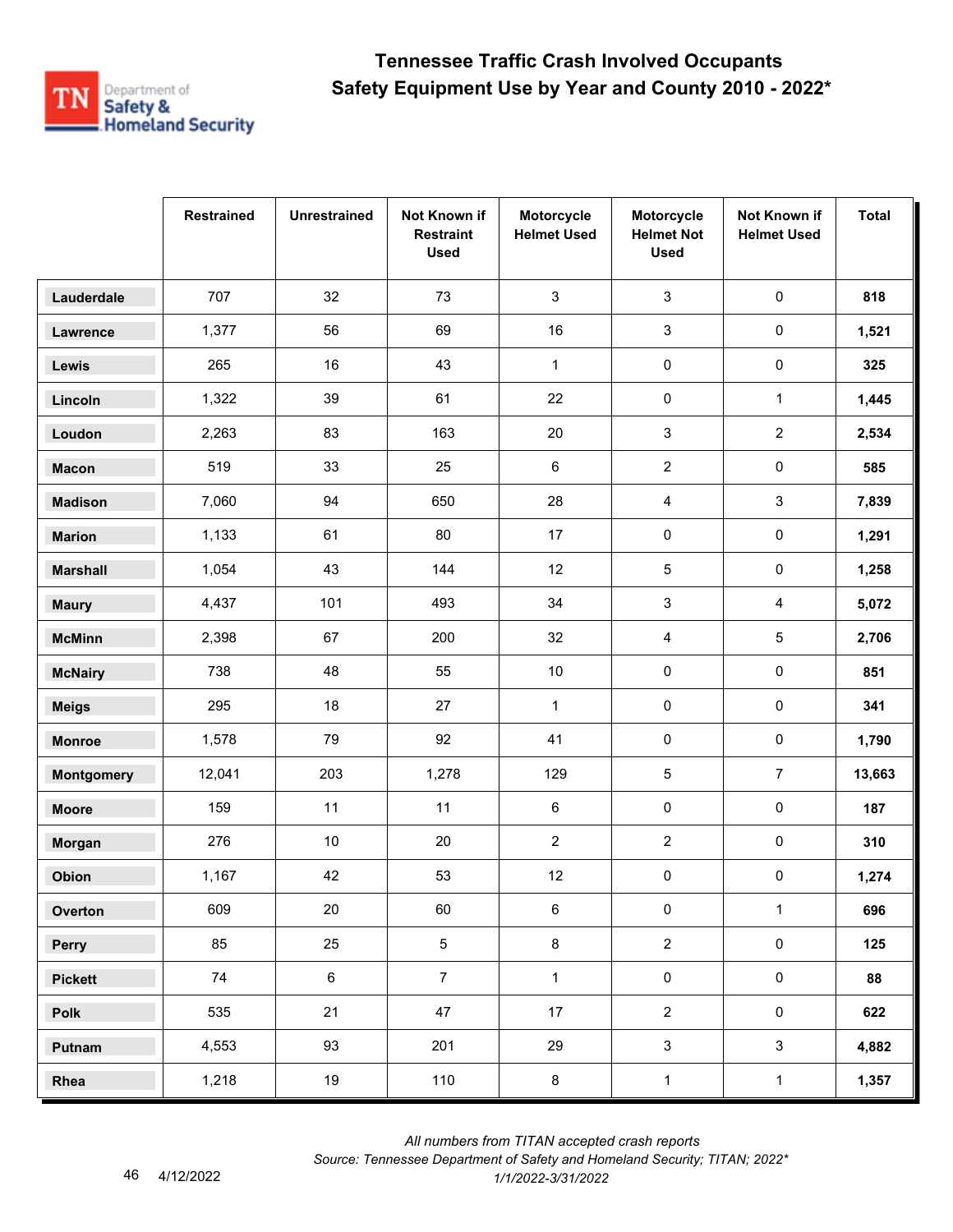

|                   | <b>Restrained</b> | <b>Unrestrained</b> | Not Known if<br><b>Restraint</b><br><b>Used</b> | Motorcycle<br><b>Helmet Used</b> | Motorcycle<br><b>Helmet Not</b><br><b>Used</b> | Not Known if<br><b>Helmet Used</b> | <b>Total</b> |
|-------------------|-------------------|---------------------|-------------------------------------------------|----------------------------------|------------------------------------------------|------------------------------------|--------------|
| Lauderdale        | 707               | 32                  | 73                                              | 3                                | $\mathfrak{S}$                                 | $\pmb{0}$                          | 818          |
| Lawrence          | 1,377             | 56                  | 69                                              | 16                               | $\mathsf 3$                                    | $\mathsf{O}\xspace$                | 1,521        |
| Lewis             | 265               | 16                  | 43                                              | $\mathbf{1}$                     | $\pmb{0}$                                      | 0                                  | 325          |
| Lincoln           | 1,322             | 39                  | 61                                              | 22                               | 0                                              | $\mathbf{1}$                       | 1,445        |
| Loudon            | 2,263             | 83                  | 163                                             | 20                               | $\mathsf 3$                                    | $\overline{2}$                     | 2,534        |
| <b>Macon</b>      | 519               | 33                  | 25                                              | 6                                | $\overline{2}$                                 | $\pmb{0}$                          | 585          |
| <b>Madison</b>    | 7,060             | 94                  | 650                                             | 28                               | 4                                              | 3                                  | 7,839        |
| <b>Marion</b>     | 1,133             | 61                  | 80                                              | 17                               | 0                                              | $\pmb{0}$                          | 1,291        |
| <b>Marshall</b>   | 1,054             | 43                  | 144                                             | 12                               | 5                                              | $\mathbf 0$                        | 1,258        |
| <b>Maury</b>      | 4,437             | 101                 | 493                                             | 34                               | 3                                              | 4                                  | 5,072        |
| <b>McMinn</b>     | 2,398             | 67                  | 200                                             | 32                               | 4                                              | 5                                  | 2,706        |
| <b>McNairy</b>    | 738               | 48                  | 55                                              | $10\,$                           | 0                                              | $\pmb{0}$                          | 851          |
| <b>Meigs</b>      | 295               | 18                  | 27                                              | $\mathbf{1}$                     | $\pmb{0}$                                      | $\pmb{0}$                          | 341          |
| <b>Monroe</b>     | 1,578             | 79                  | 92                                              | 41                               | $\pmb{0}$                                      | 0                                  | 1,790        |
| <b>Montgomery</b> | 12,041            | 203                 | 1,278                                           | 129                              | 5                                              | $\overline{7}$                     | 13,663       |
| <b>Moore</b>      | 159               | 11                  | 11                                              | 6                                | 0                                              | $\pmb{0}$                          | 187          |
| Morgan            | 276               | $10\,$              | 20                                              | $\overline{c}$                   | $\overline{c}$                                 | 0                                  | 310          |
| Obion             | 1,167             | 42                  | 53                                              | 12                               | 0                                              | 0                                  | 1,274        |
| Overton           | 609               | 20                  | 60                                              | 6                                | $\pmb{0}$                                      | $\mathbf{1}$                       | 696          |
| Perry             | 85                | 25                  | $5\phantom{.0}$                                 | $\bf 8$                          | $\overline{2}$                                 | $\mathsf{O}\xspace$                | 125          |
| <b>Pickett</b>    | 74                | $\,6\,$             | $\overline{7}$                                  | $\mathbf{1}$                     | $\pmb{0}$                                      | $\mathsf{O}\xspace$                | 88           |
| Polk              | 535               | 21                  | 47                                              | 17                               | $\overline{2}$                                 | $\mathbf 0$                        | 622          |
| Putnam            | 4,553             | 93                  | 201                                             | 29                               | $\mathbf{3}$                                   | $\mathbf{3}$                       | 4,882        |
| Rhea              | 1,218             | 19                  | 110                                             | $\bf 8$                          | $\mathbf 1$                                    | $\mathbf 1$                        | 1,357        |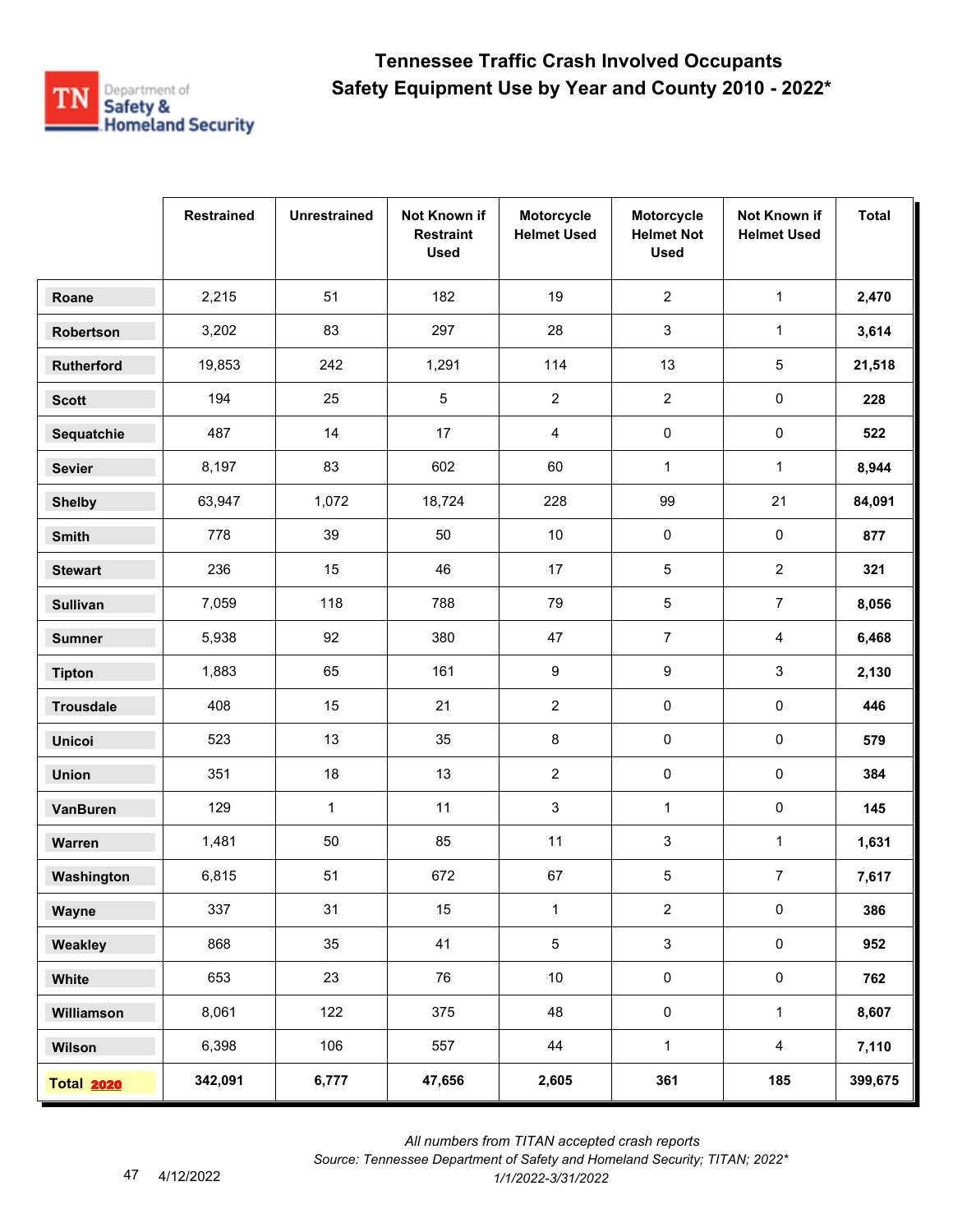

|                   | <b>Restrained</b> | <b>Unrestrained</b> | Not Known if<br><b>Restraint</b><br><b>Used</b> | Motorcycle<br><b>Helmet Used</b> | Motorcycle<br><b>Helmet Not</b><br><b>Used</b> | Not Known if<br><b>Helmet Used</b> | <b>Total</b> |
|-------------------|-------------------|---------------------|-------------------------------------------------|----------------------------------|------------------------------------------------|------------------------------------|--------------|
| Roane             | 2,215             | 51                  | 182                                             | 19                               | $\overline{2}$                                 | $\mathbf{1}$                       | 2,470        |
| Robertson         | 3,202             | 83                  | 297                                             | 28                               | 3                                              | $\mathbf{1}$                       | 3,614        |
| <b>Rutherford</b> | 19,853            | 242                 | 1,291                                           | 114                              | 13                                             | 5                                  | 21,518       |
| <b>Scott</b>      | 194               | 25                  | 5                                               | $\overline{c}$                   | $\overline{2}$                                 | $\pmb{0}$                          | 228          |
| Sequatchie        | 487               | 14                  | 17                                              | 4                                | 0                                              | $\pmb{0}$                          | 522          |
| <b>Sevier</b>     | 8,197             | 83                  | 602                                             | 60                               | $\mathbf{1}$                                   | $\mathbf{1}$                       | 8,944        |
| <b>Shelby</b>     | 63,947            | 1,072               | 18,724                                          | 228                              | 99                                             | 21                                 | 84,091       |
| Smith             | 778               | 39                  | 50                                              | $10\,$                           | $\pmb{0}$                                      | $\pmb{0}$                          | 877          |
| <b>Stewart</b>    | 236               | 15                  | 46                                              | 17                               | 5                                              | $\overline{2}$                     | 321          |
| <b>Sullivan</b>   | 7,059             | 118                 | 788                                             | 79                               | 5                                              | $\overline{7}$                     | 8,056        |
| <b>Sumner</b>     | 5,938             | 92                  | 380                                             | 47                               | $\overline{7}$                                 | $\overline{4}$                     | 6,468        |
| <b>Tipton</b>     | 1,883             | 65                  | 161                                             | 9                                | 9                                              | 3                                  | 2,130        |
| <b>Trousdale</b>  | 408               | 15                  | 21                                              | $\overline{2}$                   | 0                                              | $\pmb{0}$                          | 446          |
| <b>Unicoi</b>     | 523               | 13                  | 35                                              | 8                                | 0                                              | $\pmb{0}$                          | 579          |
| <b>Union</b>      | 351               | 18                  | 13                                              | $\overline{2}$                   | 0                                              | $\pmb{0}$                          | 384          |
| <b>VanBuren</b>   | 129               | $\mathbf{1}$        | 11                                              | 3                                | $\mathbf{1}$                                   | $\pmb{0}$                          | 145          |
| Warren            | 1,481             | 50                  | 85                                              | 11                               | 3                                              | 1                                  | 1,631        |
| Washington        | 6,815             | 51                  | 672                                             | 67                               | 5                                              | $\overline{7}$                     | 7,617        |
| Wayne             | 337               | 31                  | 15                                              | $\mathbf{1}$                     | $\overline{2}$                                 | $\pmb{0}$                          | 386          |
| Weakley           | 868               | 35                  | 41                                              | 5                                | $\mathbf{3}$                                   | $\pmb{0}$                          | 952          |
| White             | 653               | 23                  | 76                                              | $10\,$                           | 0                                              | $\mathbf 0$                        | 762          |
| Williamson        | 8,061             | 122                 | 375                                             | 48                               | $\pmb{0}$                                      | $\mathbf{1}$                       | 8,607        |
| Wilson            | 6,398             | 106                 | 557                                             | 44                               | $\mathbf{1}$                                   | $\overline{4}$                     | 7,110        |
| <b>Total 2020</b> | 342,091           | 6,777               | 47,656                                          | 2,605                            | 361                                            | 185                                | 399,675      |

 *All numbers from TITAN accepted crash reports*

*Source: Tennessee Department of Safety and Homeland Security; TITAN; 2022\**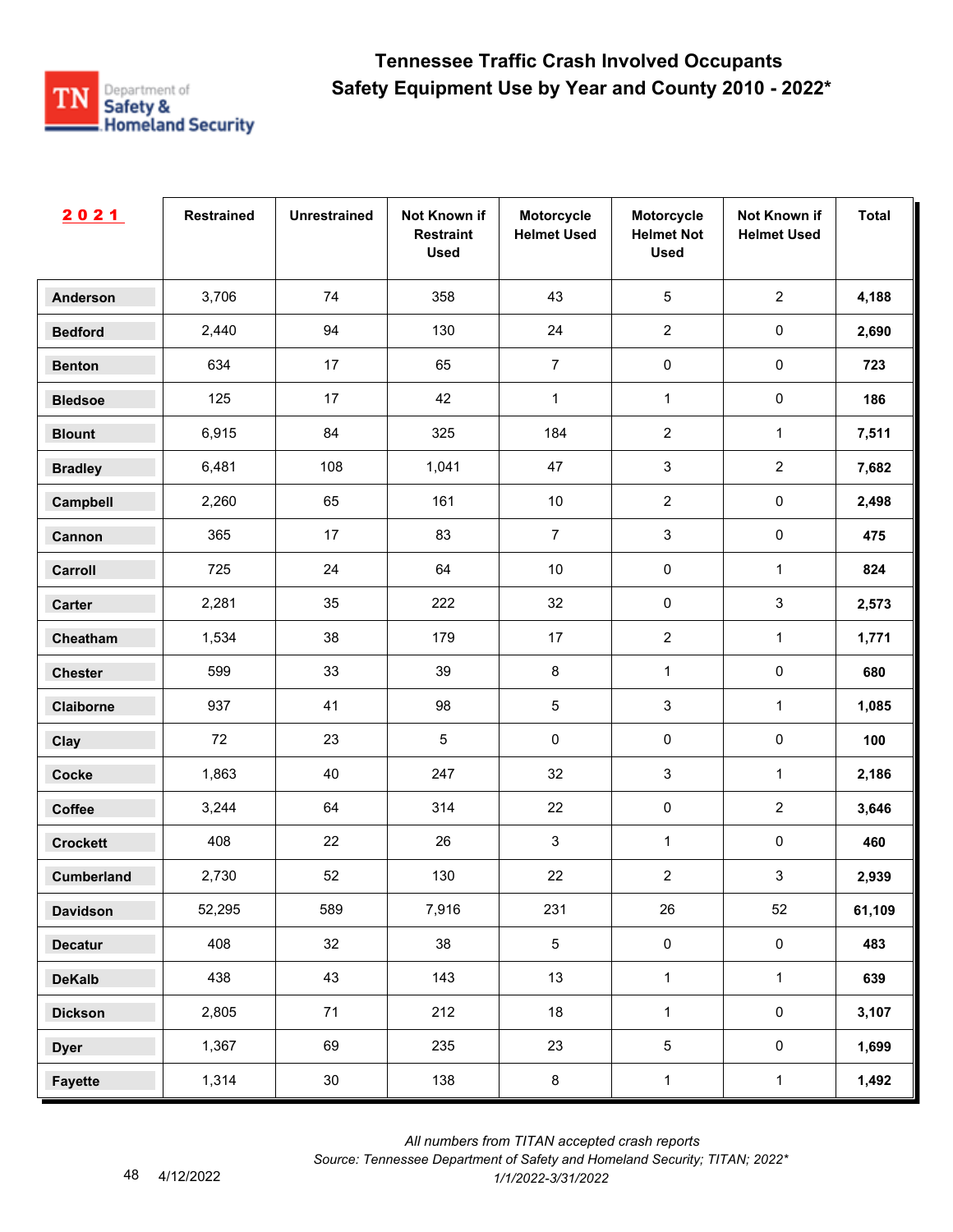

| 2021              | <b>Restrained</b> | <b>Unrestrained</b> | Not Known if<br><b>Restraint</b><br><b>Used</b> | Motorcycle<br><b>Helmet Used</b> | Motorcycle<br><b>Helmet Not</b><br><b>Used</b> | Not Known if<br><b>Helmet Used</b> | <b>Total</b> |
|-------------------|-------------------|---------------------|-------------------------------------------------|----------------------------------|------------------------------------------------|------------------------------------|--------------|
| <b>Anderson</b>   | 3,706             | 74                  | 358                                             | 43                               | $\sqrt{5}$                                     | $\overline{2}$                     | 4,188        |
| <b>Bedford</b>    | 2,440             | 94                  | 130                                             | 24                               | $\overline{2}$                                 | $\pmb{0}$                          | 2,690        |
| <b>Benton</b>     | 634               | 17                  | 65                                              | $\overline{7}$                   | $\pmb{0}$                                      | $\mathbf 0$                        | 723          |
| <b>Bledsoe</b>    | 125               | 17                  | 42                                              | $\mathbf{1}$                     | $\mathbf{1}$                                   | $\pmb{0}$                          | 186          |
| <b>Blount</b>     | 6,915             | 84                  | 325                                             | 184                              | $\overline{2}$                                 | $\mathbf{1}$                       | 7,511        |
| <b>Bradley</b>    | 6,481             | 108                 | 1,041                                           | 47                               | $\mathbf{3}$                                   | $\overline{2}$                     | 7,682        |
| Campbell          | 2,260             | 65                  | 161                                             | $10$                             | $\overline{2}$                                 | $\pmb{0}$                          | 2,498        |
| Cannon            | 365               | 17                  | 83                                              | $\overline{7}$                   | $\mathbf{3}$                                   | $\pmb{0}$                          | 475          |
| Carroll           | 725               | 24                  | 64                                              | $10$                             | $\mathbf 0$                                    | $\mathbf 1$                        | 824          |
| Carter            | 2,281             | 35                  | 222                                             | 32                               | $\pmb{0}$                                      | $\mathfrak{S}$                     | 2,573        |
| Cheatham          | 1,534             | 38                  | 179                                             | 17                               | $\overline{2}$                                 | $\mathbf{1}$                       | 1,771        |
| <b>Chester</b>    | 599               | 33                  | 39                                              | 8                                | $\mathbf{1}$                                   | $\pmb{0}$                          | 680          |
| Claiborne         | 937               | 41                  | 98                                              | $\sqrt{5}$                       | $\sqrt{3}$                                     | $\mathbf{1}$                       | 1,085        |
| Clay              | 72                | 23                  | $\sqrt{5}$                                      | 0                                | $\pmb{0}$                                      | $\pmb{0}$                          | 100          |
| <b>Cocke</b>      | 1,863             | 40                  | 247                                             | 32                               | $\mathbf{3}$                                   | $\mathbf 1$                        | 2,186        |
| Coffee            | 3,244             | 64                  | 314                                             | 22                               | $\pmb{0}$                                      | $\overline{2}$                     | 3,646        |
| <b>Crockett</b>   | 408               | 22                  | 26                                              | 3                                | $\mathbf{1}$                                   | $\pmb{0}$                          | 460          |
| <b>Cumberland</b> | 2,730             | 52                  | 130                                             | 22                               | $\overline{2}$                                 | $\mathbf{3}$                       | 2,939        |
| <b>Davidson</b>   | 52,295            | 589                 | 7,916                                           | 231                              | 26                                             | 52                                 | 61,109       |
| <b>Decatur</b>    | 408               | 32                  | 38                                              | $5\phantom{.0}$                  | $\mathsf{O}\xspace$                            | $\mathbf 0$                        | 483          |
| <b>DeKalb</b>     | 438               | 43                  | 143                                             | 13                               | $\mathbf{1}$                                   | $\mathbf{1}$                       | 639          |
| <b>Dickson</b>    | 2,805             | 71                  | 212                                             | 18                               | $\mathbf{1}$                                   | $\mathsf{O}\xspace$                | 3,107        |
| <b>Dyer</b>       | 1,367             | 69                  | 235                                             | 23                               | $\sqrt{5}$                                     | $\mathsf{O}\xspace$                | 1,699        |
| <b>Fayette</b>    | 1,314             | $30\,$              | 138                                             | $\bf 8$                          | $\mathbf{1}$                                   | $\mathbf{1}$                       | 1,492        |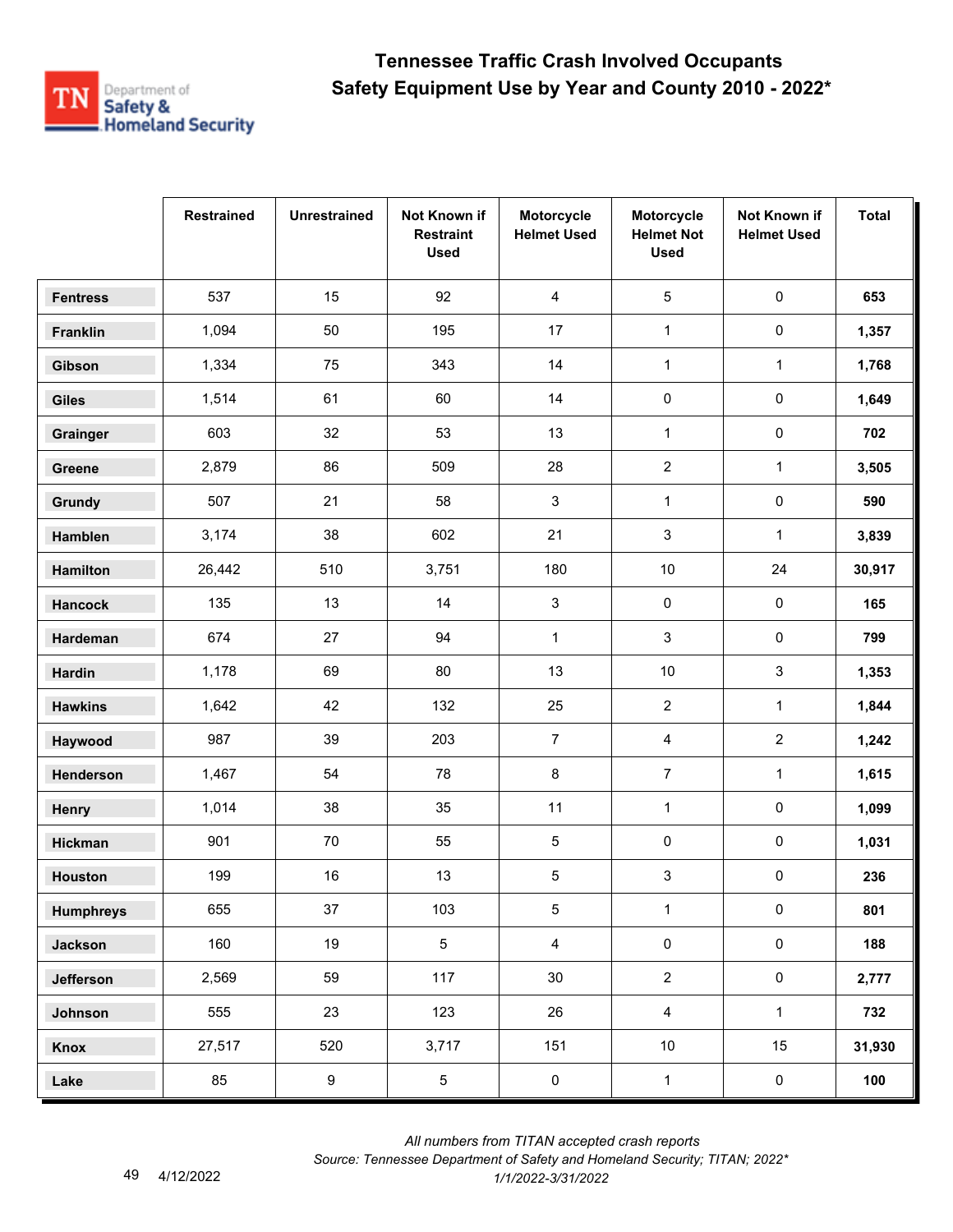

|                  | <b>Restrained</b> | <b>Unrestrained</b> | Not Known if<br><b>Restraint</b><br><b>Used</b> | Motorcycle<br><b>Helmet Used</b> | Motorcycle<br><b>Helmet Not</b><br><b>Used</b> | Not Known if<br><b>Helmet Used</b> | <b>Total</b> |
|------------------|-------------------|---------------------|-------------------------------------------------|----------------------------------|------------------------------------------------|------------------------------------|--------------|
| <b>Fentress</b>  | 537               | 15                  | 92                                              | 4                                | 5                                              | $\pmb{0}$                          | 653          |
| Franklin         | 1,094             | 50                  | 195                                             | 17                               | $\mathbf{1}$                                   | $\pmb{0}$                          | 1,357        |
| Gibson           | 1,334             | 75                  | 343                                             | 14                               | $\mathbf{1}$                                   | 1                                  | 1,768        |
| <b>Giles</b>     | 1,514             | 61                  | 60                                              | 14                               | 0                                              | 0                                  | 1,649        |
| Grainger         | 603               | 32                  | 53                                              | 13                               | $\mathbf{1}$                                   | $\pmb{0}$                          | 702          |
| Greene           | 2,879             | 86                  | 509                                             | 28                               | $\overline{2}$                                 | $\mathbf{1}$                       | 3,505        |
| Grundy           | 507               | 21                  | 58                                              | 3                                | $\mathbf{1}$                                   | 0                                  | 590          |
| Hamblen          | 3,174             | 38                  | 602                                             | 21                               | 3                                              | $\mathbf{1}$                       | 3,839        |
| Hamilton         | 26,442            | 510                 | 3,751                                           | 180                              | $10$                                           | 24                                 | 30,917       |
| <b>Hancock</b>   | 135               | 13                  | 14                                              | 3                                | 0                                              | 0                                  | 165          |
| Hardeman         | 674               | 27                  | 94                                              | $\mathbf{1}$                     | 3                                              | 0                                  | 799          |
| <b>Hardin</b>    | 1,178             | 69                  | 80                                              | 13                               | $10$                                           | 3                                  | 1,353        |
| <b>Hawkins</b>   | 1,642             | 42                  | 132                                             | 25                               | $\mathbf{2}$                                   | $\mathbf{1}$                       | 1,844        |
| Haywood          | 987               | 39                  | 203                                             | $\overline{7}$                   | 4                                              | $\overline{a}$                     | 1,242        |
| Henderson        | 1,467             | 54                  | 78                                              | 8                                | $\overline{7}$                                 | $\mathbf{1}$                       | 1,615        |
| Henry            | 1,014             | 38                  | 35                                              | 11                               | $\mathbf{1}$                                   | $\pmb{0}$                          | 1,099        |
| Hickman          | 901               | 70                  | 55                                              | 5                                | 0                                              | 0                                  | 1,031        |
| Houston          | 199               | 16                  | 13                                              | 5                                | 3                                              | 0                                  | 236          |
| <b>Humphreys</b> | 655               | 37                  | 103                                             | $\sqrt{5}$                       | $\mathbf{1}$                                   | $\pmb{0}$                          | 801          |
| <b>Jackson</b>   | 160               | 19                  | $5\phantom{.0}$                                 | $\overline{4}$                   | $\pmb{0}$                                      | $\pmb{0}$                          | 188          |
| Jefferson        | 2,569             | 59                  | 117                                             | 30                               | $\overline{2}$                                 | $\mathsf{O}\xspace$                | 2,777        |
| Johnson          | 555               | 23                  | 123                                             | 26                               | $\overline{4}$                                 | $\mathbf{1}$                       | 732          |
| Knox             | 27,517            | 520                 | 3,717                                           | 151                              | $10\,$                                         | 15                                 | 31,930       |
| Lake             | 85                | $\boldsymbol{9}$    | $\overline{5}$                                  | $\pmb{0}$                        | $\mathbf 1$                                    | $\pmb{0}$                          | 100          |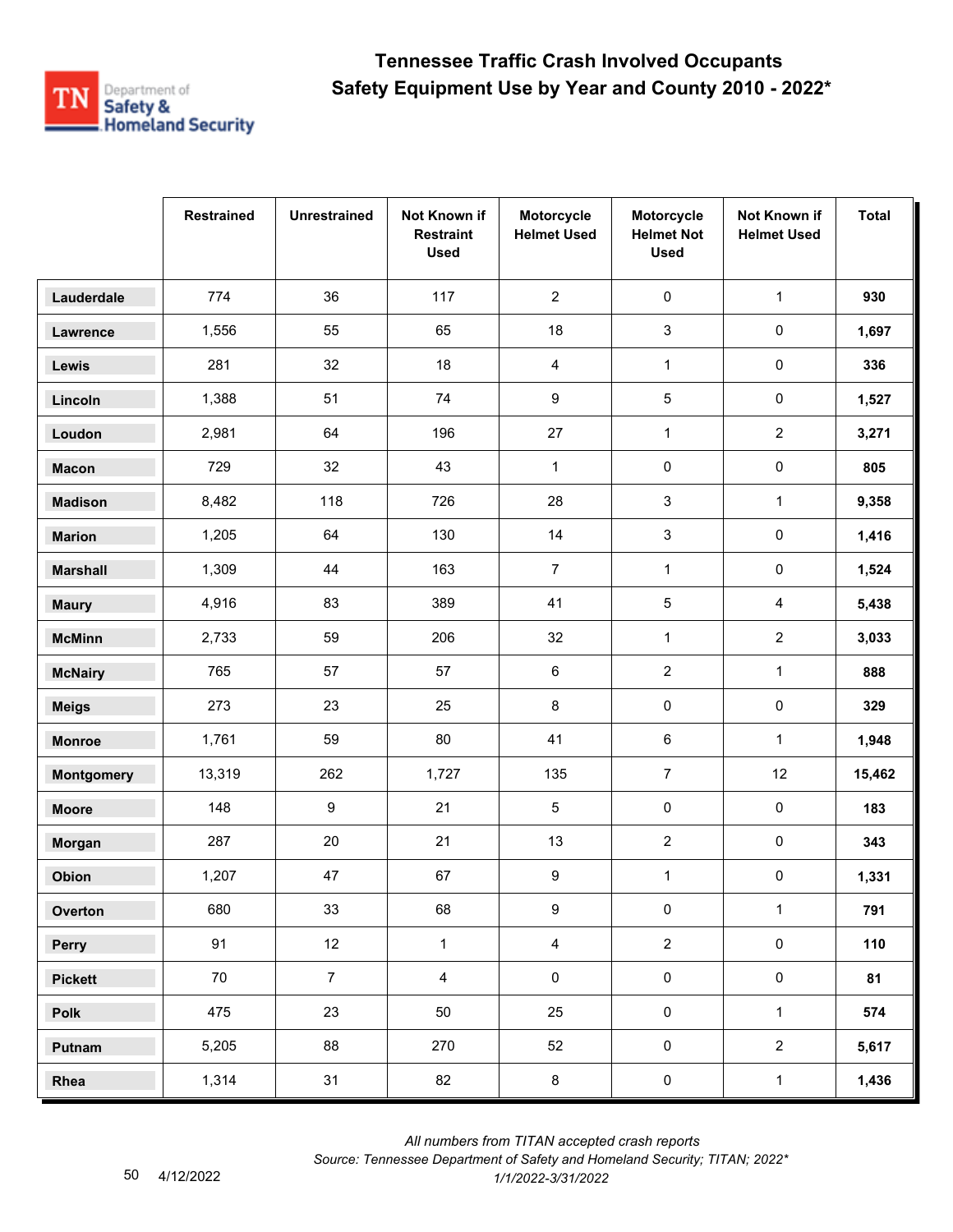

|                   | <b>Restrained</b> | <b>Unrestrained</b> | Not Known if<br><b>Restraint</b><br><b>Used</b> | Motorcycle<br><b>Helmet Used</b> | Motorcycle<br><b>Helmet Not</b><br><b>Used</b> | Not Known if<br><b>Helmet Used</b> | <b>Total</b> |
|-------------------|-------------------|---------------------|-------------------------------------------------|----------------------------------|------------------------------------------------|------------------------------------|--------------|
| Lauderdale        | 774               | 36                  | 117                                             | $\overline{2}$                   | $\pmb{0}$                                      | $\mathbf{1}$                       | 930          |
| Lawrence          | 1,556             | 55                  | 65                                              | 18                               | 3                                              | $\pmb{0}$                          | 1,697        |
| Lewis             | 281               | 32                  | 18                                              | 4                                | $\mathbf{1}$                                   | $\pmb{0}$                          | 336          |
| Lincoln           | 1,388             | 51                  | 74                                              | 9                                | 5                                              | $\pmb{0}$                          | 1,527        |
| Loudon            | 2,981             | 64                  | 196                                             | 27                               | $\mathbf{1}$                                   | $\overline{2}$                     | 3,271        |
| <b>Macon</b>      | 729               | 32                  | 43                                              | $\mathbf{1}$                     | $\pmb{0}$                                      | $\pmb{0}$                          | 805          |
| <b>Madison</b>    | 8,482             | 118                 | 726                                             | 28                               | 3                                              | $\mathbf{1}$                       | 9,358        |
| <b>Marion</b>     | 1,205             | 64                  | 130                                             | 14                               | 3                                              | $\pmb{0}$                          | 1,416        |
| <b>Marshall</b>   | 1,309             | 44                  | 163                                             | $\overline{7}$                   | $\mathbf{1}$                                   | $\pmb{0}$                          | 1,524        |
| <b>Maury</b>      | 4,916             | 83                  | 389                                             | 41                               | 5                                              | $\overline{4}$                     | 5,438        |
| <b>McMinn</b>     | 2,733             | 59                  | 206                                             | 32                               | $\mathbf{1}$                                   | $\overline{2}$                     | 3,033        |
| <b>McNairy</b>    | 765               | 57                  | 57                                              | 6                                | $\sqrt{2}$                                     | $\mathbf{1}$                       | 888          |
| <b>Meigs</b>      | 273               | 23                  | 25                                              | $\bf 8$                          | $\pmb{0}$                                      | $\pmb{0}$                          | 329          |
| <b>Monroe</b>     | 1,761             | 59                  | 80                                              | 41                               | 6                                              | $\mathbf{1}$                       | 1,948        |
| <b>Montgomery</b> | 13,319            | 262                 | 1,727                                           | 135                              | $\boldsymbol{7}$                               | 12                                 | 15,462       |
| <b>Moore</b>      | 148               | $\boldsymbol{9}$    | 21                                              | 5                                | 0                                              | $\pmb{0}$                          | 183          |
| Morgan            | 287               | 20                  | 21                                              | 13                               | $\overline{2}$                                 | $\pmb{0}$                          | 343          |
| Obion             | 1,207             | 47                  | 67                                              | 9                                | $\mathbf{1}$                                   | $\pmb{0}$                          | 1,331        |
| Overton           | 680               | 33                  | 68                                              | $\boldsymbol{9}$                 | $\pmb{0}$                                      | $\mathbf{1}$                       | 791          |
| Perry             | 91                | 12                  | $\mathbf{1}$                                    | $\overline{4}$                   | $\overline{2}$                                 | $\pmb{0}$                          | 110          |
| <b>Pickett</b>    | 70                | $\overline{7}$      | $\overline{4}$                                  | $\pmb{0}$                        | $\pmb{0}$                                      | $\mathsf{O}\xspace$                | 81           |
| Polk              | 475               | 23                  | 50                                              | 25                               | $\mathbf 0$                                    | $\mathbf{1}$                       | 574          |
| Putnam            | 5,205             | 88                  | 270                                             | 52                               | $\pmb{0}$                                      | $\overline{2}$                     | 5,617        |
| Rhea              | 1,314             | 31                  | 82                                              | $\bf 8$                          | $\pmb{0}$                                      | $\mathbf{1}$                       | 1,436        |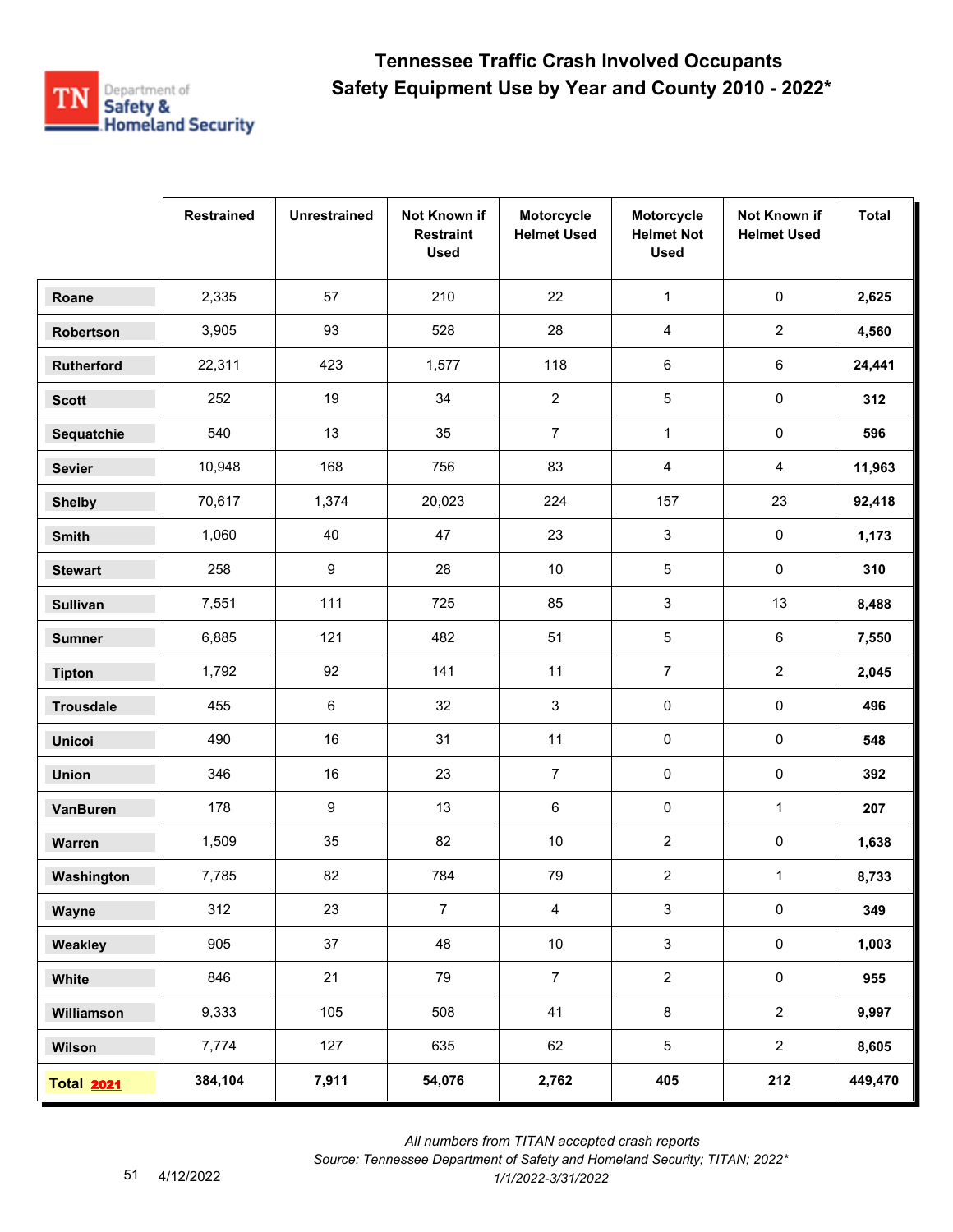

|                   | <b>Restrained</b> | <b>Unrestrained</b> | Not Known if<br><b>Restraint</b><br><b>Used</b> | Motorcycle<br><b>Helmet Used</b> | Motorcycle<br><b>Helmet Not</b><br><b>Used</b> | Not Known if<br><b>Helmet Used</b> | <b>Total</b> |
|-------------------|-------------------|---------------------|-------------------------------------------------|----------------------------------|------------------------------------------------|------------------------------------|--------------|
| Roane             | 2,335             | 57                  | 210                                             | 22                               | $\mathbf{1}$                                   | $\pmb{0}$                          | 2,625        |
| Robertson         | 3,905             | 93                  | 528                                             | 28                               | $\overline{\mathbf{4}}$                        | $\overline{2}$                     | 4,560        |
| <b>Rutherford</b> | 22,311            | 423                 | 1,577                                           | 118                              | 6                                              | $\,6\,$                            | 24,441       |
| <b>Scott</b>      | 252               | 19                  | 34                                              | $\overline{c}$                   | 5                                              | $\pmb{0}$                          | 312          |
| Sequatchie        | 540               | 13                  | 35                                              | $\overline{7}$                   | $\mathbf{1}$                                   | $\pmb{0}$                          | 596          |
| <b>Sevier</b>     | 10,948            | 168                 | 756                                             | 83                               | 4                                              | 4                                  | 11,963       |
| <b>Shelby</b>     | 70,617            | 1,374               | 20,023                                          | 224                              | 157                                            | 23                                 | 92,418       |
| Smith             | 1,060             | 40                  | 47                                              | 23                               | 3                                              | $\pmb{0}$                          | 1,173        |
| <b>Stewart</b>    | 258               | $\boldsymbol{9}$    | 28                                              | $10\,$                           | 5                                              | $\mathsf{O}\xspace$                | 310          |
| <b>Sullivan</b>   | 7,551             | 111                 | 725                                             | 85                               | 3                                              | 13                                 | 8,488        |
| <b>Sumner</b>     | 6,885             | 121                 | 482                                             | 51                               | 5                                              | $\,6\,$                            | 7,550        |
| <b>Tipton</b>     | 1,792             | 92                  | 141                                             | 11                               | $\overline{7}$                                 | $\overline{2}$                     | 2,045        |
| <b>Trousdale</b>  | 455               | $\,6\,$             | 32                                              | 3                                | 0                                              | $\pmb{0}$                          | 496          |
| <b>Unicoi</b>     | 490               | 16                  | 31                                              | 11                               | 0                                              | $\pmb{0}$                          | 548          |
| <b>Union</b>      | 346               | 16                  | 23                                              | $\overline{7}$                   | 0                                              | 0                                  | 392          |
| <b>VanBuren</b>   | 178               | $\boldsymbol{9}$    | 13                                              | 6                                | 0                                              | $\mathbf{1}$                       | 207          |
| Warren            | 1,509             | 35                  | 82                                              | $10\,$                           | $\overline{2}$                                 | $\pmb{0}$                          | 1,638        |
| Washington        | 7,785             | 82                  | 784                                             | 79                               | $\overline{\mathbf{c}}$                        | $\mathbf{1}$                       | 8,733        |
| Wayne             | 312               | 23                  | $\overline{7}$                                  | $\overline{4}$                   | $\sqrt{3}$                                     | $\pmb{0}$                          | 349          |
| Weakley           | 905               | 37                  | 48                                              | 10 <sub>1</sub>                  | $\mathbf{3}$                                   | $\mathsf{O}\xspace$                | 1,003        |
| White             | 846               | 21                  | 79                                              | $\overline{7}$                   | $\overline{2}$                                 | $\mathbf 0$                        | 955          |
| Williamson        | 9,333             | 105                 | 508                                             | 41                               | $\bf 8$                                        | $\overline{2}$                     | 9,997        |
| Wilson            | 7,774             | 127                 | 635                                             | 62                               | 5                                              | $\overline{2}$                     | 8,605        |
| <b>Total 2021</b> | 384,104           | 7,911               | 54,076                                          | 2,762                            | 405                                            | 212                                | 449,470      |

 *All numbers from TITAN accepted crash reports*

*Source: Tennessee Department of Safety and Homeland Security; TITAN; 2022\**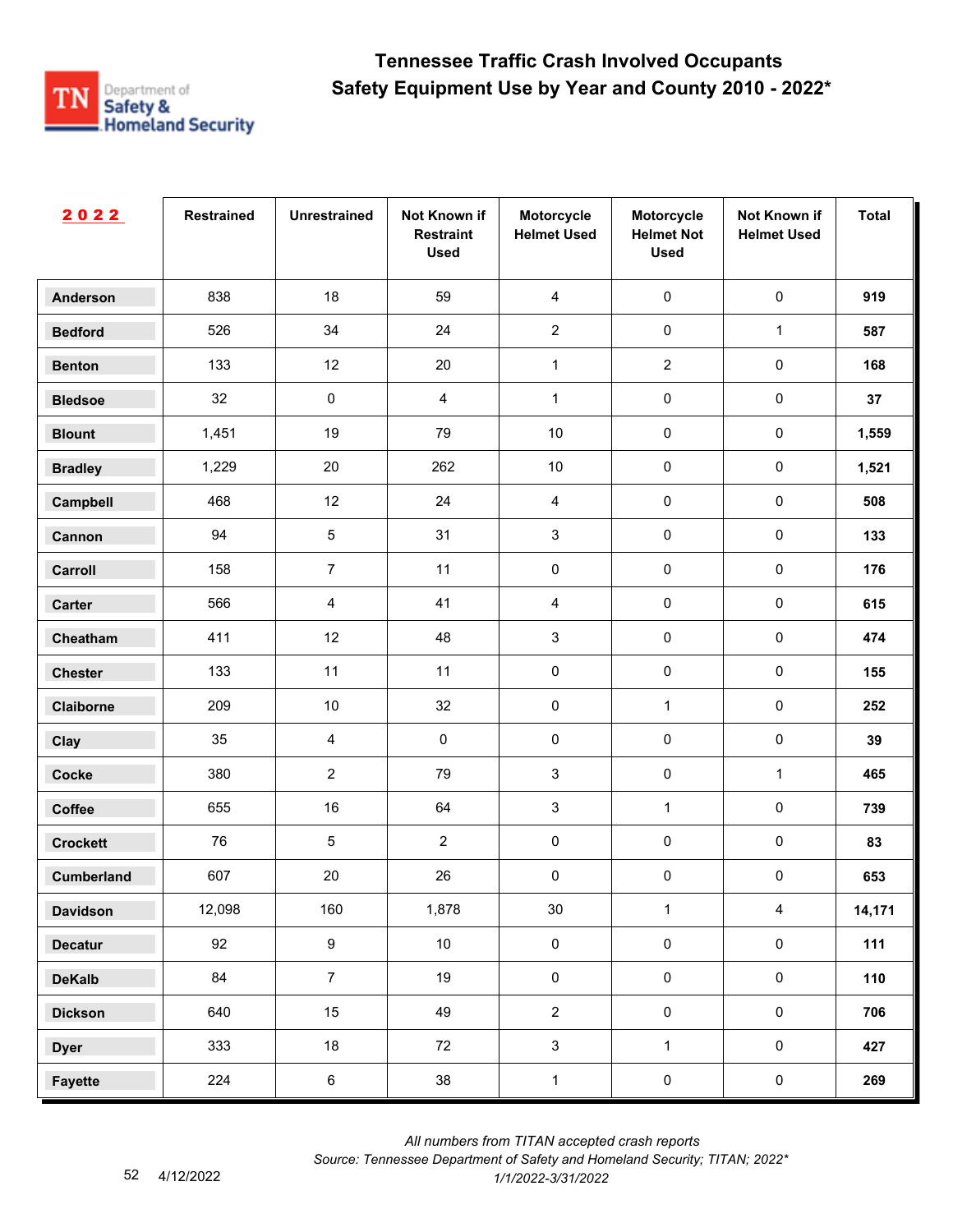

| 2022              | <b>Restrained</b> | <b>Unrestrained</b> | Not Known if<br><b>Restraint</b><br><b>Used</b> | Motorcycle<br><b>Helmet Used</b> | Motorcycle<br><b>Helmet Not</b><br><b>Used</b> | Not Known if<br><b>Helmet Used</b> | <b>Total</b> |
|-------------------|-------------------|---------------------|-------------------------------------------------|----------------------------------|------------------------------------------------|------------------------------------|--------------|
| <b>Anderson</b>   | 838               | 18                  | 59                                              | $\overline{4}$                   | $\pmb{0}$                                      | $\pmb{0}$                          | 919          |
| <b>Bedford</b>    | 526               | 34                  | 24                                              | $\overline{2}$                   | $\pmb{0}$                                      | $\mathbf{1}$                       | 587          |
| <b>Benton</b>     | 133               | 12                  | $20\,$                                          | $\mathbf{1}$                     | $\overline{2}$                                 | $\pmb{0}$                          | 168          |
| <b>Bledsoe</b>    | 32                | 0                   | $\overline{4}$                                  | $\mathbf{1}$                     | $\pmb{0}$                                      | $\pmb{0}$                          | 37           |
| <b>Blount</b>     | 1,451             | 19                  | 79                                              | $10$                             | $\pmb{0}$                                      | $\pmb{0}$                          | 1,559        |
| <b>Bradley</b>    | 1,229             | 20                  | 262                                             | $10$                             | $\pmb{0}$                                      | $\pmb{0}$                          | 1,521        |
| Campbell          | 468               | 12                  | 24                                              | $\overline{4}$                   | $\pmb{0}$                                      | $\pmb{0}$                          | 508          |
| Cannon            | 94                | 5                   | 31                                              | $\ensuremath{\mathsf{3}}$        | $\pmb{0}$                                      | $\pmb{0}$                          | 133          |
| Carroll           | 158               | $\overline{7}$      | 11                                              | 0                                | $\pmb{0}$                                      | $\pmb{0}$                          | 176          |
| Carter            | 566               | 4                   | 41                                              | $\overline{4}$                   | $\mathbf 0$                                    | $\pmb{0}$                          | 615          |
| Cheatham          | 411               | 12                  | 48                                              | 3                                | $\pmb{0}$                                      | $\pmb{0}$                          | 474          |
| <b>Chester</b>    | 133               | 11                  | 11                                              | $\pmb{0}$                        | $\pmb{0}$                                      | $\pmb{0}$                          | 155          |
| Claiborne         | 209               | $10$                | 32                                              | $\pmb{0}$                        | $\mathbf{1}$                                   | $\pmb{0}$                          | 252          |
| Clay              | 35                | 4                   | $\pmb{0}$                                       | 0                                | $\pmb{0}$                                      | $\pmb{0}$                          | 39           |
| <b>Cocke</b>      | 380               | $\overline{2}$      | 79                                              | 3                                | $\pmb{0}$                                      | $\mathbf{1}$                       | 465          |
| Coffee            | 655               | 16                  | 64                                              | 3                                | $\mathbf{1}$                                   | $\pmb{0}$                          | 739          |
| <b>Crockett</b>   | 76                | 5                   | $\overline{2}$                                  | 0                                | $\pmb{0}$                                      | $\pmb{0}$                          | 83           |
| <b>Cumberland</b> | 607               | 20                  | 26                                              | 0                                | $\pmb{0}$                                      | $\pmb{0}$                          | 653          |
| <b>Davidson</b>   | 12,098            | 160                 | 1,878                                           | $30\,$                           | $\mathbf 1$                                    | $\overline{4}$                     | 14,171       |
| <b>Decatur</b>    | 92                | 9                   | $10\,$                                          | $\pmb{0}$                        | $\mathbf 0$                                    | $\mathsf{O}\xspace$                | 111          |
| <b>DeKalb</b>     | 84                | $\overline{7}$      | 19                                              | $\pmb{0}$                        | $\mathsf{O}\xspace$                            | $\mathsf{O}\xspace$                | 110          |
| <b>Dickson</b>    | 640               | 15                  | 49                                              | $\overline{2}$                   | $\mathbf 0$                                    | $\mathbf 0$                        | 706          |
| <b>Dyer</b>       | 333               | 18                  | 72                                              | $\mathbf{3}$                     | $\mathbf 1$                                    | $\mathbf 0$                        | 427          |
| <b>Fayette</b>    | 224               | $\,6$               | 38                                              | $\mathbf{1}$                     | $\pmb{0}$                                      | $\mathbf 0$                        | 269          |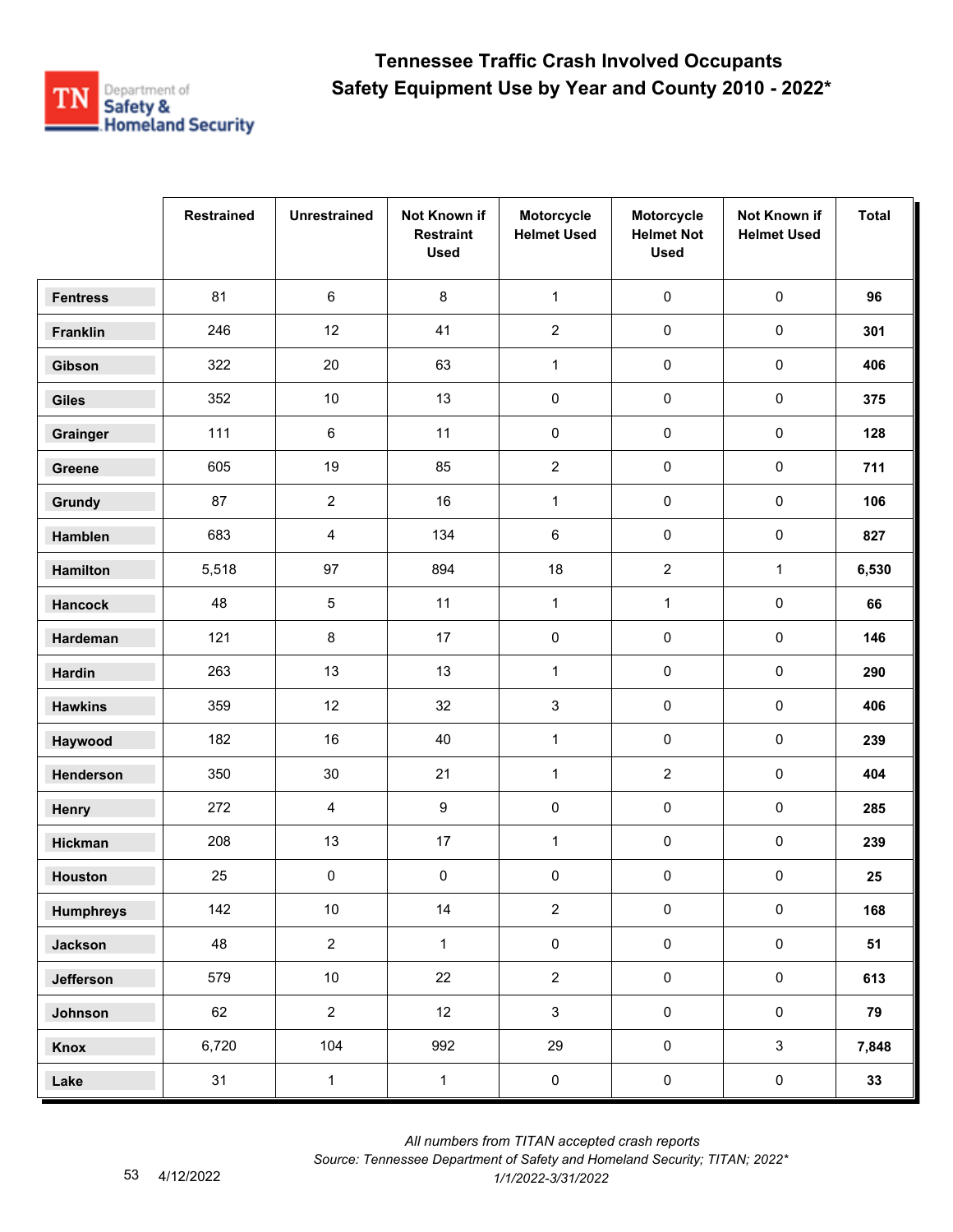

|                  | <b>Restrained</b> | <b>Unrestrained</b> | Not Known if<br><b>Restraint</b><br><b>Used</b> | Motorcycle<br><b>Helmet Used</b> | Motorcycle<br><b>Helmet Not</b><br><b>Used</b> | Not Known if<br><b>Helmet Used</b> | <b>Total</b> |
|------------------|-------------------|---------------------|-------------------------------------------------|----------------------------------|------------------------------------------------|------------------------------------|--------------|
| <b>Fentress</b>  | 81                | $\,6\,$             | 8                                               | $\mathbf{1}$                     | $\pmb{0}$                                      | $\pmb{0}$                          | 96           |
| Franklin         | 246               | 12                  | 41                                              | $\overline{2}$                   | $\pmb{0}$                                      | $\pmb{0}$                          | 301          |
| Gibson           | 322               | 20                  | 63                                              | $\mathbf 1$                      | $\pmb{0}$                                      | 0                                  | 406          |
| <b>Giles</b>     | 352               | $10$                | 13                                              | 0                                | 0                                              | 0                                  | 375          |
| Grainger         | 111               | $\,6\,$             | 11                                              | 0                                | $\pmb{0}$                                      | 0                                  | 128          |
| Greene           | 605               | 19                  | 85                                              | $\overline{c}$                   | $\pmb{0}$                                      | $\pmb{0}$                          | 711          |
| Grundy           | 87                | $\overline{2}$      | 16                                              | $\mathbf{1}$                     | $\pmb{0}$                                      | $\pmb{0}$                          | 106          |
| Hamblen          | 683               | $\overline{4}$      | 134                                             | 6                                | $\pmb{0}$                                      | 0                                  | 827          |
| Hamilton         | 5,518             | 97                  | 894                                             | 18                               | $\overline{2}$                                 | $\mathbf{1}$                       | 6,530        |
| <b>Hancock</b>   | 48                | 5                   | 11                                              | $\mathbf{1}$                     | $\mathbf{1}$                                   | 0                                  | 66           |
| Hardeman         | 121               | $\bf 8$             | 17                                              | 0                                | $\pmb{0}$                                      | 0                                  | 146          |
| <b>Hardin</b>    | 263               | 13                  | 13                                              | $\mathbf{1}$                     | $\pmb{0}$                                      | $\pmb{0}$                          | 290          |
| <b>Hawkins</b>   | 359               | 12                  | 32                                              | 3                                | $\pmb{0}$                                      | $\pmb{0}$                          | 406          |
| Haywood          | 182               | 16                  | 40                                              | $\mathbf{1}$                     | $\pmb{0}$                                      | 0                                  | 239          |
| Henderson        | 350               | $30\,$              | 21                                              | $\mathbf{1}$                     | $\overline{c}$                                 | 0                                  | 404          |
| Henry            | 272               | 4                   | $\boldsymbol{9}$                                | 0                                | 0                                              | $\pmb{0}$                          | 285          |
| Hickman          | 208               | 13                  | 17                                              | $\mathbf{1}$                     | 0                                              | 0                                  | 239          |
| <b>Houston</b>   | 25                | $\pmb{0}$           | $\pmb{0}$                                       | 0                                | 0                                              | 0                                  | 25           |
| <b>Humphreys</b> | 142               | $10\,$              | 14                                              | $\overline{2}$                   | $\pmb{0}$                                      | $\pmb{0}$                          | 168          |
| <b>Jackson</b>   | 48                | $\overline{2}$      | $\mathbf{1}$                                    | $\pmb{0}$                        | $\pmb{0}$                                      | $\pmb{0}$                          | 51           |
| Jefferson        | 579               | $10\,$              | 22                                              | $\overline{2}$                   | $\pmb{0}$                                      | $\mathbf 0$                        | 613          |
| Johnson          | 62                | $\overline{2}$      | 12                                              | $\mathbf{3}$                     | $\mathbf 0$                                    | $\pmb{0}$                          | 79           |
| Knox             | 6,720             | 104                 | 992                                             | 29                               | $\pmb{0}$                                      | $\mathbf{3}$                       | 7,848        |
| Lake             | 31                | $\mathbf 1$         | $\mathbf{1}$                                    | $\pmb{0}$                        | $\pmb{0}$                                      | $\pmb{0}$                          | 33           |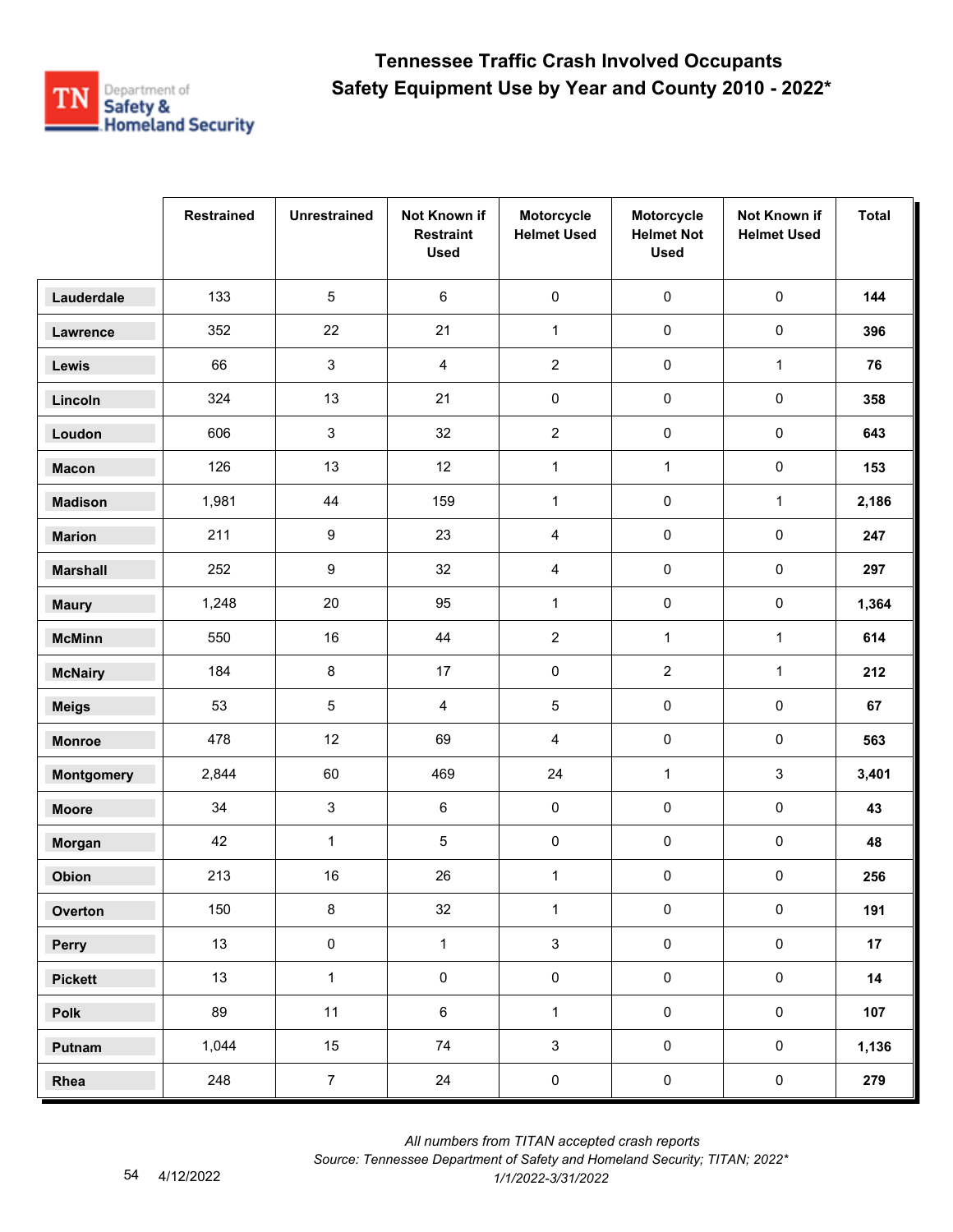

|                   | <b>Restrained</b> | <b>Unrestrained</b> | Not Known if<br><b>Restraint</b><br><b>Used</b> | Motorcycle<br><b>Helmet Used</b> | Motorcycle<br><b>Helmet Not</b><br><b>Used</b> | Not Known if<br><b>Helmet Used</b> | <b>Total</b> |
|-------------------|-------------------|---------------------|-------------------------------------------------|----------------------------------|------------------------------------------------|------------------------------------|--------------|
| Lauderdale        | 133               | 5                   | 6                                               | 0                                | $\pmb{0}$                                      | $\pmb{0}$                          | 144          |
| Lawrence          | 352               | 22                  | 21                                              | $\mathbf 1$                      | $\pmb{0}$                                      | $\mathsf{O}\xspace$                | 396          |
| Lewis             | 66                | $\mathbf{3}$        | $\overline{\mathbf{4}}$                         | $\overline{2}$                   | $\pmb{0}$                                      | $\mathbf{1}$                       | 76           |
| Lincoln           | 324               | 13                  | 21                                              | 0                                | $\pmb{0}$                                      | 0                                  | 358          |
| Loudon            | 606               | $\mathbf{3}$        | 32                                              | $\overline{2}$                   | $\pmb{0}$                                      | $\pmb{0}$                          | 643          |
| <b>Macon</b>      | 126               | 13                  | 12                                              | $\mathbf 1$                      | $\mathbf{1}$                                   | 0                                  | 153          |
| <b>Madison</b>    | 1,981             | 44                  | 159                                             | $\mathbf{1}$                     | $\pmb{0}$                                      | $\mathbf{1}$                       | 2,186        |
| <b>Marion</b>     | 211               | $\boldsymbol{9}$    | 23                                              | 4                                | $\pmb{0}$                                      | $\pmb{0}$                          | 247          |
| <b>Marshall</b>   | 252               | $\boldsymbol{9}$    | 32                                              | 4                                | $\pmb{0}$                                      | 0                                  | 297          |
| <b>Maury</b>      | 1,248             | 20                  | 95                                              | $\mathbf{1}$                     | $\pmb{0}$                                      | 0                                  | 1,364        |
| <b>McMinn</b>     | 550               | 16                  | 44                                              | $\overline{2}$                   | $\mathbf{1}$                                   | $\mathbf{1}$                       | 614          |
| <b>McNairy</b>    | 184               | $\bf 8$             | 17                                              | 0                                | $\overline{2}$                                 | $\mathbf{1}$                       | 212          |
| <b>Meigs</b>      | 53                | 5                   | $\overline{4}$                                  | 5                                | $\pmb{0}$                                      | $\pmb{0}$                          | 67           |
| <b>Monroe</b>     | 478               | 12                  | 69                                              | 4                                | $\pmb{0}$                                      | 0                                  | 563          |
| <b>Montgomery</b> | 2,844             | 60                  | 469                                             | 24                               | $\mathbf{1}$                                   | 3                                  | 3,401        |
| <b>Moore</b>      | 34                | $\mathbf{3}$        | $\,6\,$                                         | 0                                | $\pmb{0}$                                      | $\pmb{0}$                          | 43           |
| Morgan            | 42                | $\mathbf{1}$        | $\sqrt{5}$                                      | 0                                | $\pmb{0}$                                      | 0                                  | 48           |
| Obion             | 213               | 16                  | 26                                              | $\mathbf{1}$                     | 0                                              | 0                                  | 256          |
| Overton           | 150               | $\bf 8$             | 32                                              | $\mathbf 1$                      | $\pmb{0}$                                      | $\pmb{0}$                          | 191          |
| Perry             | 13                | $\mathsf{O}\xspace$ | $\mathbf{1}$                                    | $\mathbf{3}$                     | $\mathsf{O}\xspace$                            | $\pmb{0}$                          | 17           |
| <b>Pickett</b>    | 13                | $\mathbf{1}$        | $\pmb{0}$                                       | $\mathbf 0$                      | $\pmb{0}$                                      | $\pmb{0}$                          | 14           |
| Polk              | 89                | 11                  | $\,6\,$                                         | $\mathbf{1}$                     | $\pmb{0}$                                      | $\pmb{0}$                          | 107          |
| Putnam            | 1,044             | 15                  | 74                                              | $\mathbf{3}$                     | $\pmb{0}$                                      | $\mathsf{O}\xspace$                | 1,136        |
| Rhea              | 248               | $\overline{7}$      | 24                                              | $\pmb{0}$                        | $\pmb{0}$                                      | $\pmb{0}$                          | 279          |